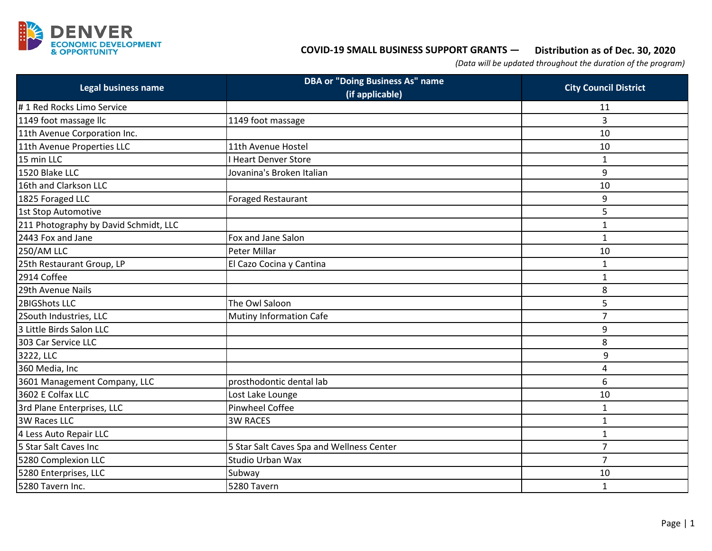

## **Distribution as of Dec. 30, 2020 COVID-19 SMALL BUSINESS SUPPORT GRANTS —**

*(Data will be updated throughout the duration of the program)*

| <b>Legal business name</b>            | <b>DBA or "Doing Business As" name</b><br>(if applicable) | <b>City Council District</b> |
|---------------------------------------|-----------------------------------------------------------|------------------------------|
| #1 Red Rocks Limo Service             |                                                           | 11                           |
| 1149 foot massage IIc                 | 1149 foot massage                                         | 3                            |
| 11th Avenue Corporation Inc.          |                                                           | 10                           |
| 11th Avenue Properties LLC            | 11th Avenue Hostel                                        | 10                           |
| 15 min LLC                            | <b>Heart Denver Store</b>                                 | 1                            |
| 1520 Blake LLC                        | Jovanina's Broken Italian                                 | 9                            |
| 16th and Clarkson LLC                 |                                                           | 10                           |
| 1825 Foraged LLC                      | Foraged Restaurant                                        | 9                            |
| 1st Stop Automotive                   |                                                           | 5                            |
| 211 Photography by David Schmidt, LLC |                                                           | $\mathbf{1}$                 |
| 2443 Fox and Jane                     | Fox and Jane Salon                                        | $\mathbf{1}$                 |
| <b>250/AM LLC</b>                     | Peter Millar                                              | 10                           |
| 25th Restaurant Group, LP             | El Cazo Cocina y Cantina                                  | 1                            |
| 2914 Coffee                           |                                                           | $\mathbf{1}$                 |
| 29th Avenue Nails                     |                                                           | 8                            |
| 2BIGShots LLC                         | The Owl Saloon                                            | 5                            |
| 2South Industries, LLC                | <b>Mutiny Information Cafe</b>                            | $\overline{7}$               |
| 3 Little Birds Salon LLC              |                                                           | 9                            |
| 303 Car Service LLC                   |                                                           | 8                            |
| 3222, LLC                             |                                                           | 9                            |
| 360 Media, Inc                        |                                                           | 4                            |
| 3601 Management Company, LLC          | prosthodontic dental lab                                  | 6                            |
| 3602 E Colfax LLC                     | Lost Lake Lounge                                          | 10                           |
| 3rd Plane Enterprises, LLC            | <b>Pinwheel Coffee</b>                                    | $\mathbf{1}$                 |
| 3W Races LLC                          | <b>3W RACES</b>                                           | 1                            |
| 4 Less Auto Repair LLC                |                                                           | $\mathbf{1}$                 |
| 5 Star Salt Caves Inc                 | 5 Star Salt Caves Spa and Wellness Center                 | $\overline{7}$               |
| 5280 Complexion LLC                   | <b>Studio Urban Wax</b>                                   | $\overline{7}$               |
| 5280 Enterprises, LLC                 | Subway                                                    | 10                           |
| 5280 Tavern Inc.                      | 5280 Tavern                                               | $\mathbf 1$                  |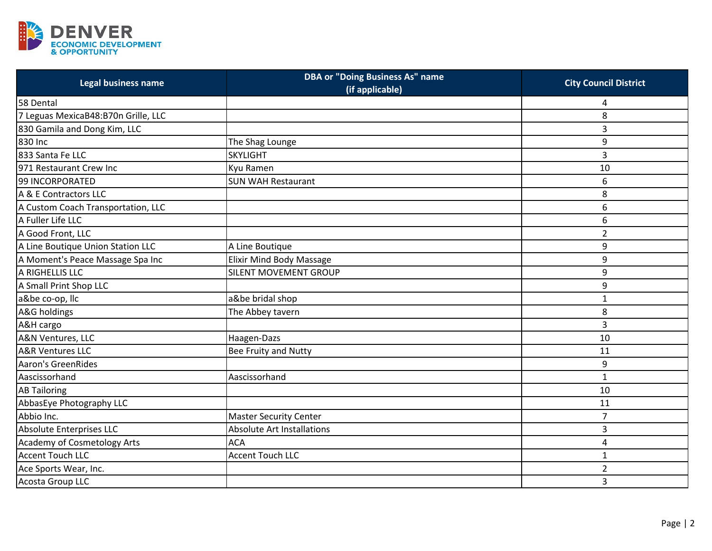

| Legal business name                 | <b>DBA or "Doing Business As" name</b><br>(if applicable) | <b>City Council District</b> |
|-------------------------------------|-----------------------------------------------------------|------------------------------|
| 58 Dental                           |                                                           | Δ                            |
| 7 Leguas MexicaB48:B70n Grille, LLC |                                                           | 8                            |
| 830 Gamila and Dong Kim, LLC        |                                                           | 3                            |
| 830 Inc                             | The Shag Lounge                                           | 9                            |
| 833 Santa Fe LLC                    | <b>SKYLIGHT</b>                                           | 3                            |
| 971 Restaurant Crew Inc             | Kyu Ramen                                                 | 10                           |
| 99 INCORPORATED                     | <b>SUN WAH Restaurant</b>                                 | 6                            |
| A & E Contractors LLC               |                                                           | 8                            |
| A Custom Coach Transportation, LLC  |                                                           | 6                            |
| A Fuller Life LLC                   |                                                           | 6                            |
| A Good Front, LLC                   |                                                           | $\overline{2}$               |
| A Line Boutique Union Station LLC   | A Line Boutique                                           | 9                            |
| A Moment's Peace Massage Spa Inc    | <b>Elixir Mind Body Massage</b>                           | 9                            |
| A RIGHELLIS LLC                     | SILENT MOVEMENT GROUP                                     | 9                            |
| A Small Print Shop LLC              |                                                           | 9                            |
| a&be co-op, llc                     | a&be bridal shop                                          | $\mathbf{1}$                 |
| A&G holdings                        | The Abbey tavern                                          | 8                            |
| A&H cargo                           |                                                           | 3                            |
| A&N Ventures, LLC                   | Haagen-Dazs                                               | 10                           |
| <b>A&amp;R Ventures LLC</b>         | Bee Fruity and Nutty                                      | 11                           |
| <b>Aaron's GreenRides</b>           |                                                           | 9                            |
| Aascissorhand                       | Aascissorhand                                             | $\mathbf{1}$                 |
| <b>AB Tailoring</b>                 |                                                           | 10                           |
| AbbasEye Photography LLC            |                                                           | 11                           |
| Abbio Inc.                          | <b>Master Security Center</b>                             | $\overline{7}$               |
| Absolute Enterprises LLC            | <b>Absolute Art Installations</b>                         | 3                            |
| <b>Academy of Cosmetology Arts</b>  | <b>ACA</b>                                                | 4                            |
| <b>Accent Touch LLC</b>             | <b>Accent Touch LLC</b>                                   | $\mathbf{1}$                 |
| Ace Sports Wear, Inc.               |                                                           | $\overline{2}$               |
| Acosta Group LLC                    |                                                           | 3                            |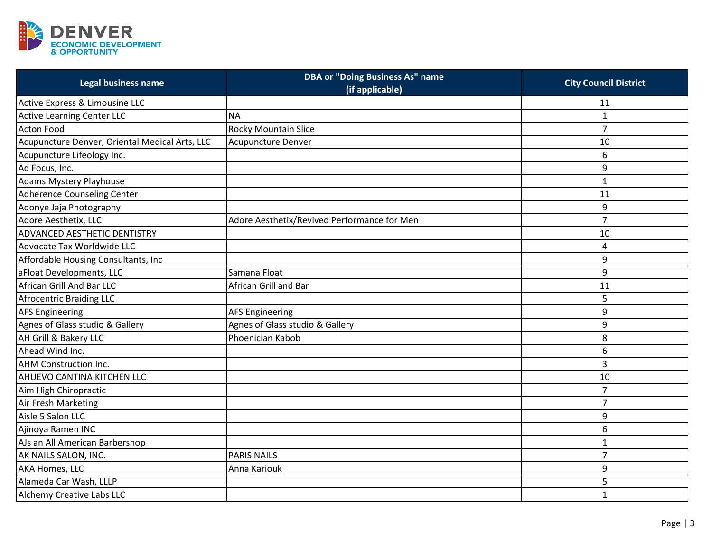

| Legal business name                            | <b>DBA or "Doing Business As" name</b><br>(if applicable) | <b>City Council District</b> |
|------------------------------------------------|-----------------------------------------------------------|------------------------------|
| Active Express & Limousine LLC                 |                                                           | 11                           |
| <b>Active Learning Center LLC</b>              | <b>NA</b>                                                 | $\mathbf{1}$                 |
| <b>Acton Food</b>                              | Rocky Mountain Slice                                      | $\overline{7}$               |
| Acupuncture Denver, Oriental Medical Arts, LLC | Acupuncture Denver                                        | 10                           |
| Acupuncture Lifeology Inc.                     |                                                           | 6                            |
| Ad Focus, Inc.                                 |                                                           | 9                            |
| Adams Mystery Playhouse                        |                                                           | $\mathbf{1}$                 |
| <b>Adherence Counseling Center</b>             |                                                           | 11                           |
| Adonye Jaja Photography                        |                                                           | 9                            |
| Adore Aesthetix, LLC                           | Adore Aesthetix/Revived Performance for Men               | $\overline{7}$               |
| ADVANCED AESTHETIC DENTISTRY                   |                                                           | 10                           |
| Advocate Tax Worldwide LLC                     |                                                           | 4                            |
| Affordable Housing Consultants, Inc            |                                                           | 9                            |
| aFloat Developments, LLC                       | Samana Float                                              | 9                            |
| African Grill And Bar LLC                      | African Grill and Bar                                     | 11                           |
| Afrocentric Braiding LLC                       |                                                           | 5                            |
| <b>AFS Engineering</b>                         | <b>AFS Engineering</b>                                    | 9                            |
| Agnes of Glass studio & Gallery                | Agnes of Glass studio & Gallery                           | 9                            |
| AH Grill & Bakery LLC                          | Phoenician Kabob                                          | 8                            |
| Ahead Wind Inc.                                |                                                           | 6                            |
| <b>AHM Construction Inc.</b>                   |                                                           | 3                            |
| AHUEVO CANTINA KITCHEN LLC                     |                                                           | 10                           |
| Aim High Chiropractic                          |                                                           | $\overline{7}$               |
| Air Fresh Marketing                            |                                                           | $\overline{7}$               |
| Aisle 5 Salon LLC                              |                                                           | 9                            |
| Ajinoya Ramen INC                              |                                                           | 6                            |
| AJs an All American Barbershop                 |                                                           | $\mathbf{1}$                 |
| AK NAILS SALON, INC.                           | <b>PARIS NAILS</b>                                        | $\overline{7}$               |
| AKA Homes, LLC                                 | Anna Kariouk                                              | 9                            |
| Alameda Car Wash, LLLP                         |                                                           | 5                            |
| Alchemy Creative Labs LLC                      |                                                           | $\mathbf{1}$                 |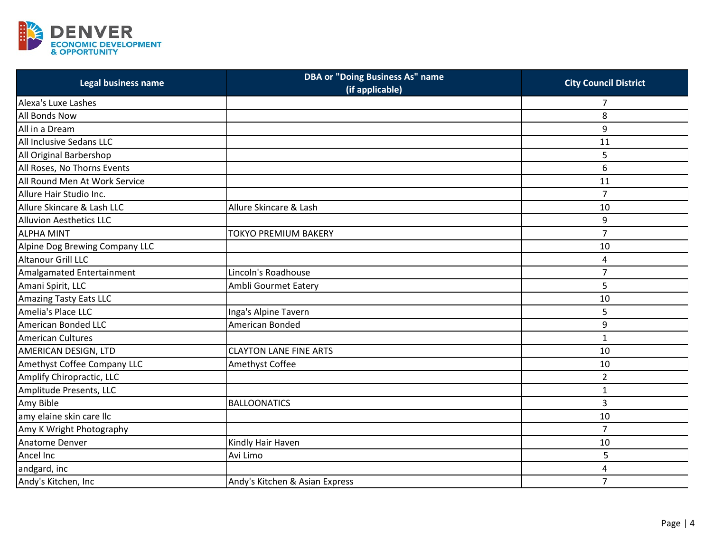

| Legal business name            | <b>DBA or "Doing Business As" name</b> | <b>City Council District</b> |
|--------------------------------|----------------------------------------|------------------------------|
|                                | (if applicable)                        |                              |
| Alexa's Luxe Lashes            |                                        | 7                            |
| All Bonds Now                  |                                        | 8                            |
| All in a Dream                 |                                        | 9                            |
| All Inclusive Sedans LLC       |                                        | 11                           |
| All Original Barbershop        |                                        | 5                            |
| All Roses, No Thorns Events    |                                        | 6                            |
| All Round Men At Work Service  |                                        | 11                           |
| Allure Hair Studio Inc.        |                                        | $\overline{7}$               |
| Allure Skincare & Lash LLC     | Allure Skincare & Lash                 | 10                           |
| <b>Alluvion Aesthetics LLC</b> |                                        | 9                            |
| <b>ALPHA MINT</b>              | TOKYO PREMIUM BAKERY                   | $\overline{7}$               |
| Alpine Dog Brewing Company LLC |                                        | 10                           |
| <b>Altanour Grill LLC</b>      |                                        | 4                            |
| Amalgamated Entertainment      | Lincoln's Roadhouse                    | $\overline{7}$               |
| Amani Spirit, LLC              | Ambli Gourmet Eatery                   | 5                            |
| <b>Amazing Tasty Eats LLC</b>  |                                        | 10                           |
| Amelia's Place LLC             | Inga's Alpine Tavern                   | 5                            |
| American Bonded LLC            | American Bonded                        | 9                            |
| <b>American Cultures</b>       |                                        | $\mathbf{1}$                 |
| AMERICAN DESIGN, LTD           | <b>CLAYTON LANE FINE ARTS</b>          | 10                           |
| Amethyst Coffee Company LLC    | Amethyst Coffee                        | 10                           |
| Amplify Chiropractic, LLC      |                                        | $\overline{2}$               |
| Amplitude Presents, LLC        |                                        | $\mathbf{1}$                 |
| Amy Bible                      | <b>BALLOONATICS</b>                    | 3                            |
| amy elaine skin care llc       |                                        | 10                           |
| Amy K Wright Photography       |                                        | $\overline{7}$               |
| Anatome Denver                 | Kindly Hair Haven                      | 10                           |
| Ancel Inc                      | Avi Limo                               | 5                            |
| andgard, inc                   |                                        | 4                            |
| Andy's Kitchen, Inc            | Andy's Kitchen & Asian Express         | $\overline{7}$               |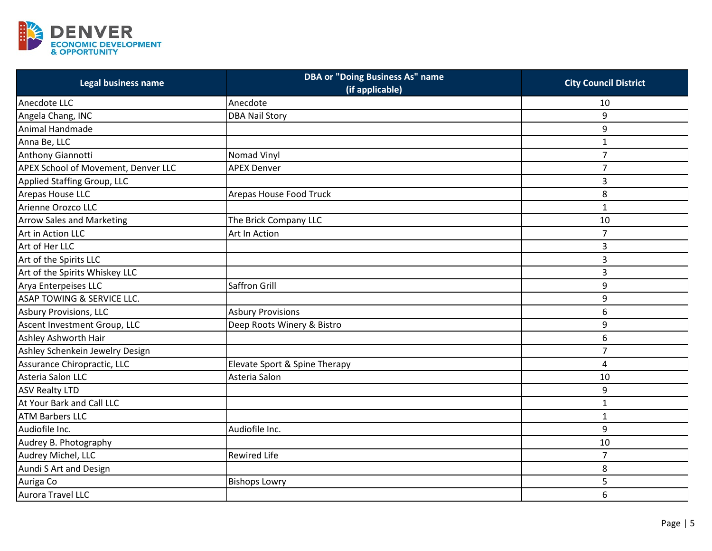

| <b>Legal business name</b>            | <b>DBA or "Doing Business As" name</b><br>(if applicable) | <b>City Council District</b> |
|---------------------------------------|-----------------------------------------------------------|------------------------------|
| Anecdote LLC                          | Anecdote                                                  | 10                           |
| Angela Chang, INC                     | <b>DBA Nail Story</b>                                     | 9                            |
| Animal Handmade                       |                                                           | 9                            |
| Anna Be, LLC                          |                                                           | $\mathbf{1}$                 |
| Anthony Giannotti                     | Nomad Vinyl                                               | $\overline{7}$               |
| APEX School of Movement, Denver LLC   | <b>APEX Denver</b>                                        | $\overline{7}$               |
| Applied Staffing Group, LLC           |                                                           | 3                            |
| Arepas House LLC                      | Arepas House Food Truck                                   | 8                            |
| Arienne Orozco LLC                    |                                                           | $\mathbf 1$                  |
| <b>Arrow Sales and Marketing</b>      | The Brick Company LLC                                     | 10                           |
| Art in Action LLC                     | Art In Action                                             | $\overline{7}$               |
| Art of Her LLC                        |                                                           | 3                            |
| Art of the Spirits LLC                |                                                           | 3                            |
| Art of the Spirits Whiskey LLC        |                                                           | 3                            |
| Arya Enterpeises LLC                  | Saffron Grill                                             | 9                            |
| <b>ASAP TOWING &amp; SERVICE LLC.</b> |                                                           | 9                            |
| <b>Asbury Provisions, LLC</b>         | <b>Asbury Provisions</b>                                  | 6                            |
| Ascent Investment Group, LLC          | Deep Roots Winery & Bistro                                | 9                            |
| Ashley Ashworth Hair                  |                                                           | 6                            |
| Ashley Schenkein Jewelry Design       |                                                           | $\overline{7}$               |
| Assurance Chiropractic, LLC           | Elevate Sport & Spine Therapy                             | 4                            |
| Asteria Salon LLC                     | Asteria Salon                                             | 10                           |
| <b>ASV Realty LTD</b>                 |                                                           | 9                            |
| At Your Bark and Call LLC             |                                                           | $\mathbf{1}$                 |
| <b>ATM Barbers LLC</b>                |                                                           | $\mathbf{1}$                 |
| Audiofile Inc.                        | Audiofile Inc.                                            | 9                            |
| Audrey B. Photography                 |                                                           | 10                           |
| Audrey Michel, LLC                    | <b>Rewired Life</b>                                       | $\overline{7}$               |
| Aundi S Art and Design                |                                                           | 8                            |
| Auriga Co                             | <b>Bishops Lowry</b>                                      | 5                            |
| Aurora Travel LLC                     |                                                           | 6                            |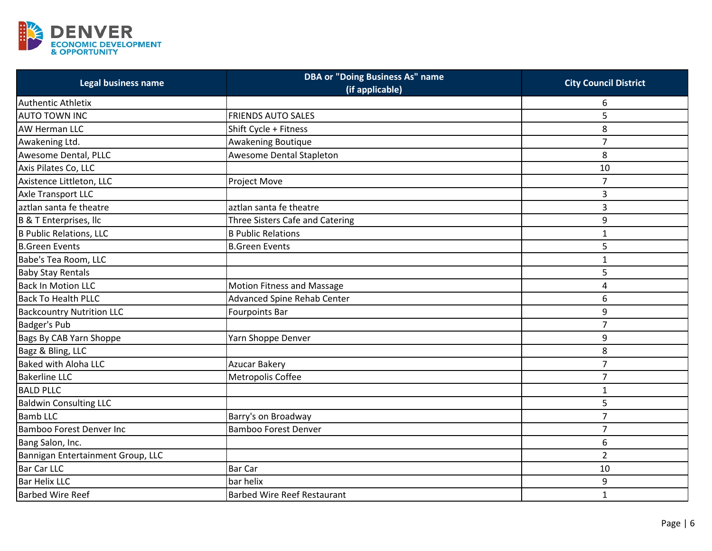

| <b>Legal business name</b>        | <b>DBA or "Doing Business As" name</b><br>(if applicable) | <b>City Council District</b> |
|-----------------------------------|-----------------------------------------------------------|------------------------------|
| Authentic Athletix                |                                                           | 6                            |
| <b>AUTO TOWN INC</b>              | <b>FRIENDS AUTO SALES</b>                                 | 5                            |
| <b>AW Herman LLC</b>              | Shift Cycle + Fitness                                     | 8                            |
| Awakening Ltd.                    | Awakening Boutique                                        | $\overline{7}$               |
| Awesome Dental, PLLC              | Awesome Dental Stapleton                                  | 8                            |
| Axis Pilates Co, LLC              |                                                           | 10                           |
| Axistence Littleton, LLC          | Project Move                                              | $\overline{7}$               |
| Axle Transport LLC                |                                                           | 3                            |
| laztlan santa fe theatre          | aztlan santa fe theatre                                   | 3                            |
| B & T Enterprises, Ilc            | Three Sisters Cafe and Catering                           | 9                            |
| <b>B Public Relations, LLC</b>    | <b>B Public Relations</b>                                 | $\mathbf{1}$                 |
| <b>B.Green Events</b>             | <b>B.Green Events</b>                                     | 5                            |
| Babe's Tea Room, LLC              |                                                           | $\mathbf{1}$                 |
| <b>Baby Stay Rentals</b>          |                                                           | 5                            |
| <b>Back In Motion LLC</b>         | <b>Motion Fitness and Massage</b>                         | 4                            |
| <b>Back To Health PLLC</b>        | <b>Advanced Spine Rehab Center</b>                        | 6                            |
| <b>Backcountry Nutrition LLC</b>  | <b>Fourpoints Bar</b>                                     | 9                            |
| Badger's Pub                      |                                                           | $\overline{7}$               |
| Bags By CAB Yarn Shoppe           | Yarn Shoppe Denver                                        | 9                            |
| Bagz & Bling, LLC                 |                                                           | 8                            |
| <b>Baked with Aloha LLC</b>       | <b>Azucar Bakery</b>                                      | $\overline{7}$               |
| <b>Bakerline LLC</b>              | Metropolis Coffee                                         | $\overline{7}$               |
| <b>BALD PLLC</b>                  |                                                           | $\mathbf{1}$                 |
| <b>Baldwin Consulting LLC</b>     |                                                           | 5                            |
| <b>Bamb LLC</b>                   | Barry's on Broadway                                       | $\overline{7}$               |
| <b>Bamboo Forest Denver Inc</b>   | <b>Bamboo Forest Denver</b>                               | $\overline{7}$               |
| Bang Salon, Inc.                  |                                                           | 6                            |
| Bannigan Entertainment Group, LLC |                                                           | $\overline{2}$               |
| Bar Car LLC                       | <b>Bar Car</b>                                            | 10                           |
| <b>Bar Helix LLC</b>              | bar helix                                                 | 9                            |
| <b>Barbed Wire Reef</b>           | <b>Barbed Wire Reef Restaurant</b>                        | $\mathbf 1$                  |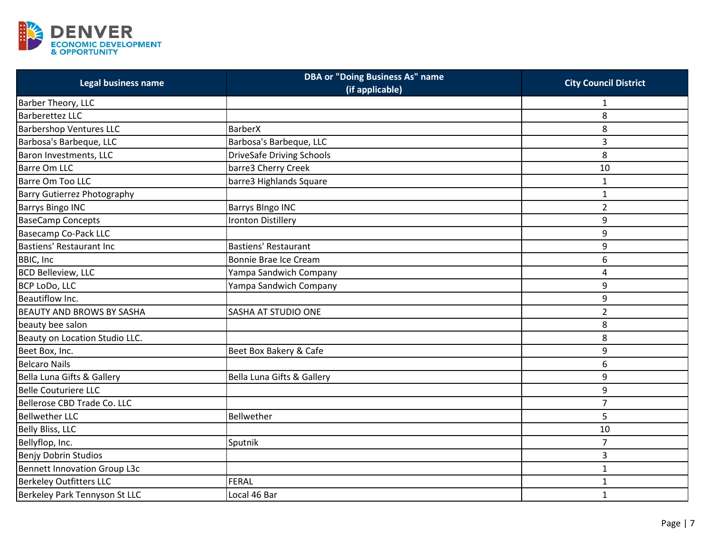

| Legal business name                 | <b>DBA or "Doing Business As" name</b><br>(if applicable) | <b>City Council District</b> |
|-------------------------------------|-----------------------------------------------------------|------------------------------|
| Barber Theory, LLC                  |                                                           | 1                            |
| <b>Barberettez LLC</b>              |                                                           | 8                            |
| <b>Barbershop Ventures LLC</b>      | <b>BarberX</b>                                            | 8                            |
| Barbosa's Barbeque, LLC             | Barbosa's Barbeque, LLC                                   | 3                            |
| Baron Investments, LLC              | <b>DriveSafe Driving Schools</b>                          | 8                            |
| <b>Barre Om LLC</b>                 | barre3 Cherry Creek                                       | 10                           |
| <b>Barre Om Too LLC</b>             | barre3 Highlands Square                                   | 1                            |
| <b>Barry Gutierrez Photography</b>  |                                                           | $\mathbf{1}$                 |
| <b>Barrys Bingo INC</b>             | <b>Barrys Blngo INC</b>                                   | $\overline{2}$               |
| <b>BaseCamp Concepts</b>            | <b>Ironton Distillery</b>                                 | 9                            |
| <b>Basecamp Co-Pack LLC</b>         |                                                           | 9                            |
| Bastiens' Restaurant Inc            | Bastiens' Restaurant                                      | 9                            |
| <b>BBIC, Inc.</b>                   | Bonnie Brae Ice Cream                                     | 6                            |
| <b>BCD Belleview, LLC</b>           | Yampa Sandwich Company                                    | 4                            |
| BCP LoDo, LLC                       | Yampa Sandwich Company                                    | 9                            |
| Beautiflow Inc.                     |                                                           | 9                            |
| <b>BEAUTY AND BROWS BY SASHA</b>    | <b>SASHA AT STUDIO ONE</b>                                | $\overline{2}$               |
| beauty bee salon                    |                                                           | 8                            |
| Beauty on Location Studio LLC.      |                                                           | 8                            |
| Beet Box, Inc.                      | Beet Box Bakery & Cafe                                    | 9                            |
| <b>Belcaro Nails</b>                |                                                           | 6                            |
| Bella Luna Gifts & Gallery          | Bella Luna Gifts & Gallery                                | 9                            |
| <b>Belle Couturiere LLC</b>         |                                                           | 9                            |
| Bellerose CBD Trade Co. LLC         |                                                           | $\overline{7}$               |
| <b>Bellwether LLC</b>               | Bellwether                                                | 5                            |
| <b>Belly Bliss, LLC</b>             |                                                           | 10                           |
| Bellyflop, Inc.                     | Sputnik                                                   | $\overline{7}$               |
| <b>Benjy Dobrin Studios</b>         |                                                           | 3                            |
| <b>Bennett Innovation Group L3c</b> |                                                           | $\mathbf{1}$                 |
| <b>Berkeley Outfitters LLC</b>      | <b>FERAL</b>                                              | $\mathbf{1}$                 |
| Berkeley Park Tennyson St LLC       | Local 46 Bar                                              | $\mathbf{1}$                 |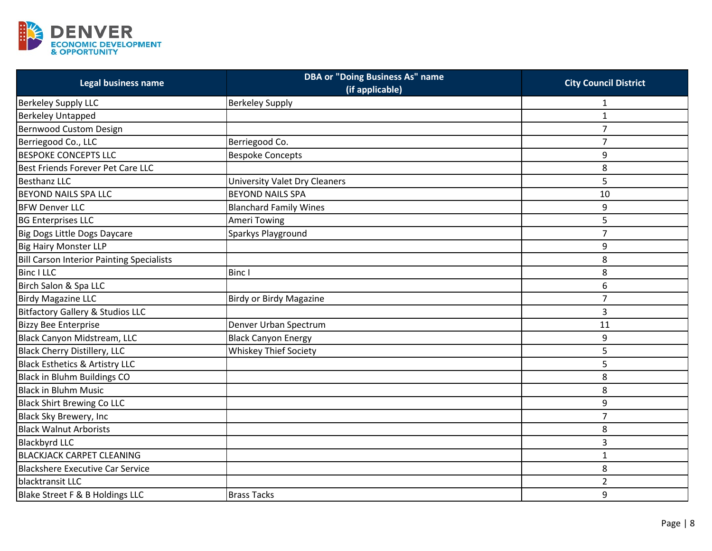

| Legal business name                              | <b>DBA or "Doing Business As" name</b><br>(if applicable) | <b>City Council District</b> |
|--------------------------------------------------|-----------------------------------------------------------|------------------------------|
| <b>Berkeley Supply LLC</b>                       | <b>Berkeley Supply</b>                                    | $\mathbf{1}$                 |
| <b>Berkeley Untapped</b>                         |                                                           | $\mathbf{1}$                 |
| Bernwood Custom Design                           |                                                           | $\overline{7}$               |
| Berriegood Co., LLC                              | Berriegood Co.                                            | $\overline{7}$               |
| <b>BESPOKE CONCEPTS LLC</b>                      | <b>Bespoke Concepts</b>                                   | 9                            |
| Best Friends Forever Pet Care LLC                |                                                           | 8                            |
| <b>Besthanz LLC</b>                              | <b>University Valet Dry Cleaners</b>                      | 5                            |
| <b>BEYOND NAILS SPA LLC</b>                      | <b>BEYOND NAILS SPA</b>                                   | 10                           |
| <b>BFW Denver LLC</b>                            | <b>Blanchard Family Wines</b>                             | 9                            |
| <b>BG Enterprises LLC</b>                        | <b>Ameri Towing</b>                                       | 5                            |
| Big Dogs Little Dogs Daycare                     | Sparkys Playground                                        | $\overline{7}$               |
| <b>Big Hairy Monster LLP</b>                     |                                                           | 9                            |
| <b>Bill Carson Interior Painting Specialists</b> |                                                           | 8                            |
| <b>Binc I LLC</b>                                | <b>Binc I</b>                                             | 8                            |
| Birch Salon & Spa LLC                            |                                                           | 6                            |
| <b>Birdy Magazine LLC</b>                        | <b>Birdy or Birdy Magazine</b>                            | $\overline{7}$               |
| <b>Bitfactory Gallery &amp; Studios LLC</b>      |                                                           | 3                            |
| <b>Bizzy Bee Enterprise</b>                      | Denver Urban Spectrum                                     | 11                           |
| Black Canyon Midstream, LLC                      | <b>Black Canyon Energy</b>                                | 9                            |
| <b>Black Cherry Distillery, LLC</b>              | <b>Whiskey Thief Society</b>                              | 5                            |
| <b>Black Esthetics &amp; Artistry LLC</b>        |                                                           | 5                            |
| Black in Bluhm Buildings CO                      |                                                           | 8                            |
| <b>Black in Bluhm Music</b>                      |                                                           | 8                            |
| <b>Black Shirt Brewing Co LLC</b>                |                                                           | 9                            |
| Black Sky Brewery, Inc                           |                                                           | $\overline{7}$               |
| <b>Black Walnut Arborists</b>                    |                                                           | 8                            |
| <b>Blackbyrd LLC</b>                             |                                                           | 3                            |
| <b>BLACKJACK CARPET CLEANING</b>                 |                                                           | $\mathbf{1}$                 |
| <b>Blackshere Executive Car Service</b>          |                                                           | 8                            |
| blacktransit LLC                                 |                                                           | $\overline{2}$               |
| Blake Street F & B Holdings LLC                  | <b>Brass Tacks</b>                                        | 9                            |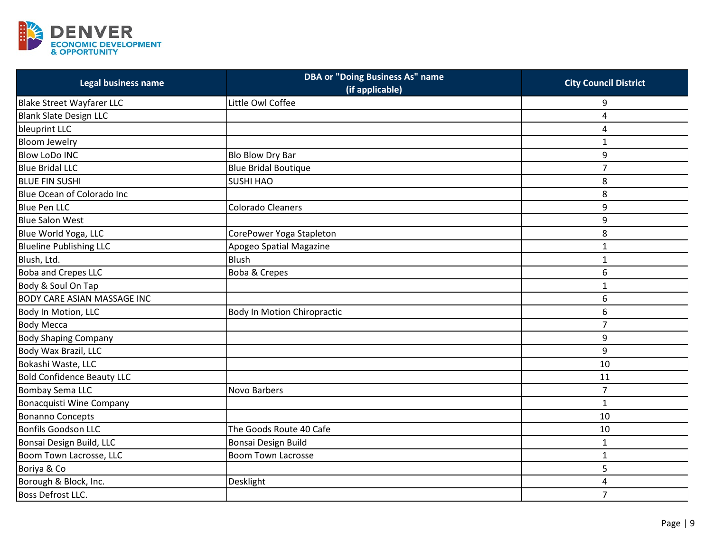

| Legal business name                | <b>DBA or "Doing Business As" name</b><br>(if applicable) | <b>City Council District</b> |
|------------------------------------|-----------------------------------------------------------|------------------------------|
| <b>Blake Street Wayfarer LLC</b>   | Little Owl Coffee                                         | 9                            |
| <b>Blank Slate Design LLC</b>      |                                                           | 4                            |
| bleuprint LLC                      |                                                           | 4                            |
| <b>Bloom Jewelry</b>               |                                                           | $\mathbf{1}$                 |
| <b>Blow LoDo INC</b>               | Blo Blow Dry Bar                                          | 9                            |
| <b>Blue Bridal LLC</b>             | <b>Blue Bridal Boutique</b>                               | $\overline{7}$               |
| <b>BLUE FIN SUSHI</b>              | <b>SUSHI HAO</b>                                          | 8                            |
| Blue Ocean of Colorado Inc         |                                                           | 8                            |
| <b>Blue Pen LLC</b>                | <b>Colorado Cleaners</b>                                  | 9                            |
| <b>Blue Salon West</b>             |                                                           | 9                            |
| Blue World Yoga, LLC               | CorePower Yoga Stapleton                                  | 8                            |
| <b>Blueline Publishing LLC</b>     | Apogeo Spatial Magazine                                   | $\mathbf{1}$                 |
| Blush, Ltd.                        | <b>Blush</b>                                              | $\mathbf{1}$                 |
| <b>Boba and Crepes LLC</b>         | Boba & Crepes                                             | 6                            |
| Body & Soul On Tap                 |                                                           | $\mathbf{1}$                 |
| <b>BODY CARE ASIAN MASSAGE INC</b> |                                                           | 6                            |
| Body In Motion, LLC                | <b>Body In Motion Chiropractic</b>                        | 6                            |
| <b>Body Mecca</b>                  |                                                           | 7                            |
| <b>Body Shaping Company</b>        |                                                           | 9                            |
| Body Wax Brazil, LLC               |                                                           | 9                            |
| Bokashi Waste, LLC                 |                                                           | 10                           |
| <b>Bold Confidence Beauty LLC</b>  |                                                           | 11                           |
| <b>Bombay Sema LLC</b>             | Novo Barbers                                              | $\overline{7}$               |
| Bonacquisti Wine Company           |                                                           | $\mathbf{1}$                 |
| <b>Bonanno Concepts</b>            |                                                           | 10                           |
| <b>Bonfils Goodson LLC</b>         | The Goods Route 40 Cafe                                   | 10                           |
| Bonsai Design Build, LLC           | Bonsai Design Build                                       | $\mathbf{1}$                 |
| Boom Town Lacrosse, LLC            | <b>Boom Town Lacrosse</b>                                 | $\mathbf{1}$                 |
| Boriya & Co                        |                                                           | 5                            |
| Borough & Block, Inc.              | Desklight                                                 | 4                            |
| <b>Boss Defrost LLC.</b>           |                                                           | $\overline{7}$               |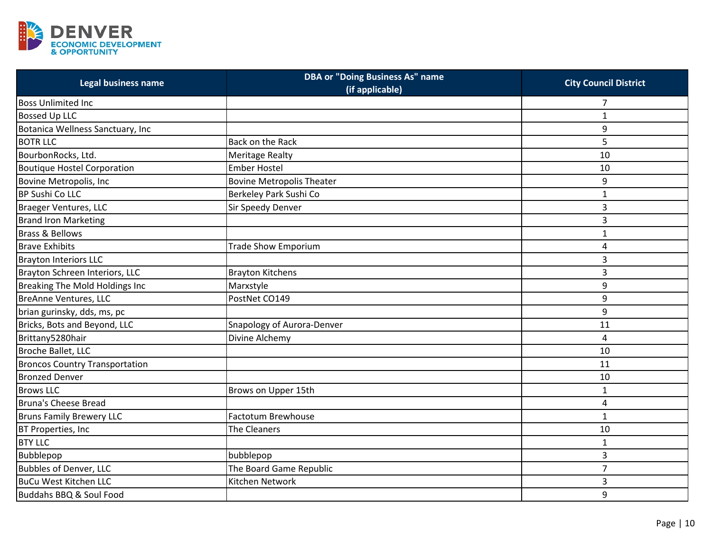

| Legal business name                   | <b>DBA or "Doing Business As" name</b><br>(if applicable) | <b>City Council District</b> |
|---------------------------------------|-----------------------------------------------------------|------------------------------|
| <b>Boss Unlimited Inc</b>             |                                                           | 7                            |
| <b>Bossed Up LLC</b>                  |                                                           | $\mathbf{1}$                 |
| Botanica Wellness Sanctuary, Inc      |                                                           | 9                            |
| <b>BOTR LLC</b>                       | Back on the Rack                                          | 5                            |
| BourbonRocks, Ltd.                    | <b>Meritage Realty</b>                                    | 10                           |
| <b>Boutique Hostel Corporation</b>    | <b>Ember Hostel</b>                                       | 10                           |
| Bovine Metropolis, Inc                | <b>Bovine Metropolis Theater</b>                          | 9                            |
| <b>BP Sushi Co LLC</b>                | Berkeley Park Sushi Co                                    | $\mathbf{1}$                 |
| <b>Braeger Ventures, LLC</b>          | Sir Speedy Denver                                         | 3                            |
| <b>Brand Iron Marketing</b>           |                                                           | 3                            |
| <b>Brass &amp; Bellows</b>            |                                                           | $\mathbf{1}$                 |
| <b>Brave Exhibits</b>                 | <b>Trade Show Emporium</b>                                | 4                            |
| <b>Brayton Interiors LLC</b>          |                                                           | 3                            |
| Brayton Schreen Interiors, LLC        | <b>Brayton Kitchens</b>                                   | 3                            |
| Breaking The Mold Holdings Inc        | Marxstyle                                                 | 9                            |
| <b>BreAnne Ventures, LLC</b>          | PostNet CO149                                             | 9                            |
| brian gurinsky, dds, ms, pc           |                                                           | 9                            |
| Bricks, Bots and Beyond, LLC          | Snapology of Aurora-Denver                                | 11                           |
| Brittany5280hair                      | Divine Alchemy                                            | 4                            |
| Broche Ballet, LLC                    |                                                           | 10                           |
| <b>Broncos Country Transportation</b> |                                                           | 11                           |
| <b>Bronzed Denver</b>                 |                                                           | 10                           |
| <b>Brows LLC</b>                      | Brows on Upper 15th                                       | $\mathbf{1}$                 |
| Bruna's Cheese Bread                  |                                                           | 4                            |
| <b>Bruns Family Brewery LLC</b>       | <b>Factotum Brewhouse</b>                                 | $\mathbf{1}$                 |
| BT Properties, Inc                    | The Cleaners                                              | 10                           |
| <b>BTY LLC</b>                        |                                                           | $\mathbf{1}$                 |
| Bubblepop                             | bubblepop                                                 | 3                            |
| <b>Bubbles of Denver, LLC</b>         | The Board Game Republic                                   | $\overline{7}$               |
| <b>BuCu West Kitchen LLC</b>          | Kitchen Network                                           | 3                            |
| Buddahs BBQ & Soul Food               |                                                           | 9                            |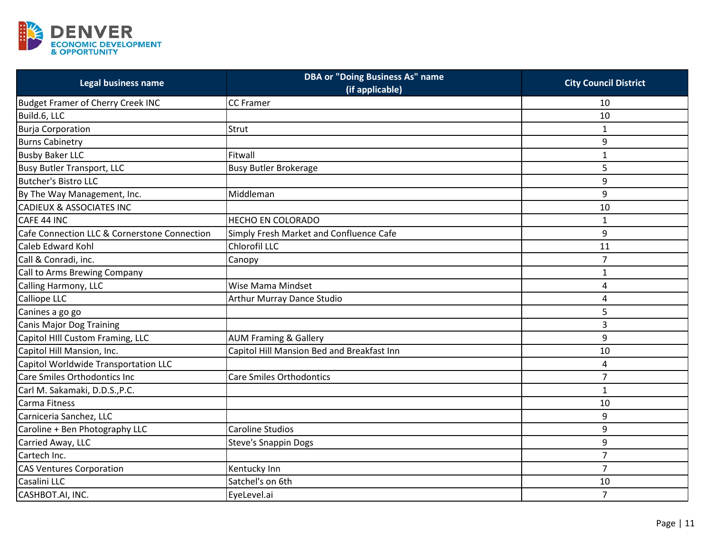

| Legal business name                          | <b>DBA or "Doing Business As" name</b><br>(if applicable) | <b>City Council District</b> |
|----------------------------------------------|-----------------------------------------------------------|------------------------------|
| <b>Budget Framer of Cherry Creek INC</b>     | <b>CC</b> Framer                                          | 10                           |
| Build.6, LLC                                 |                                                           | 10                           |
| <b>Burja Corporation</b>                     | Strut                                                     | 1                            |
| <b>Burns Cabinetry</b>                       |                                                           | 9                            |
| <b>Busby Baker LLC</b>                       | Fitwall                                                   | $\mathbf{1}$                 |
| <b>Busy Butler Transport, LLC</b>            | <b>Busy Butler Brokerage</b>                              | 5                            |
| <b>Butcher's Bistro LLC</b>                  |                                                           | 9                            |
| By The Way Management, Inc.                  | Middleman                                                 | 9                            |
| <b>CADIEUX &amp; ASSOCIATES INC</b>          |                                                           | 10                           |
| CAFE 44 INC                                  | <b>HECHO EN COLORADO</b>                                  | $\mathbf{1}$                 |
| Cafe Connection LLC & Cornerstone Connection | Simply Fresh Market and Confluence Cafe                   | 9                            |
| Caleb Edward Kohl                            | Chlorofil LLC                                             | 11                           |
| Call & Conradi, inc.                         | Canopy                                                    | $\overline{7}$               |
| Call to Arms Brewing Company                 |                                                           | 1                            |
| Calling Harmony, LLC                         | Wise Mama Mindset                                         | 4                            |
| Calliope LLC                                 | <b>Arthur Murray Dance Studio</b>                         | 4                            |
| Canines a go go                              |                                                           | 5                            |
| <b>Canis Major Dog Training</b>              |                                                           | 3                            |
| Capitol HIII Custom Framing, LLC             | <b>AUM Framing &amp; Gallery</b>                          | 9                            |
| Capitol Hill Mansion, Inc.                   | Capitol Hill Mansion Bed and Breakfast Inn                | 10                           |
| Capitol Worldwide Transportation LLC         |                                                           | 4                            |
| Care Smiles Orthodontics Inc                 | <b>Care Smiles Orthodontics</b>                           | $\overline{7}$               |
| Carl M. Sakamaki, D.D.S., P.C.               |                                                           | $\mathbf{1}$                 |
| Carma Fitness                                |                                                           | 10                           |
| Carniceria Sanchez, LLC                      |                                                           | 9                            |
| Caroline + Ben Photography LLC               | <b>Caroline Studios</b>                                   | 9                            |
| Carried Away, LLC                            | <b>Steve's Snappin Dogs</b>                               | 9                            |
| Cartech Inc.                                 |                                                           | $\overline{7}$               |
| <b>CAS Ventures Corporation</b>              | Kentucky Inn                                              | $\overline{7}$               |
| Casalini LLC                                 | Satchel's on 6th                                          | 10                           |
| CASHBOT.AI, INC.                             | EyeLevel.ai                                               | $\overline{7}$               |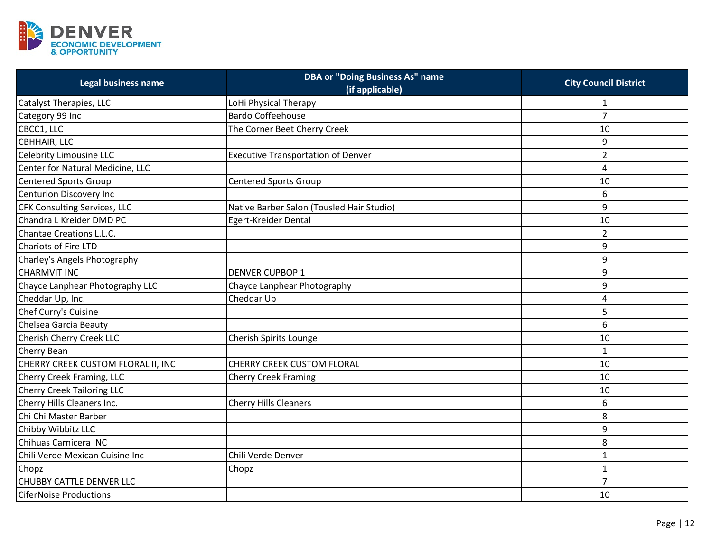

| Legal business name                | <b>DBA or "Doing Business As" name</b><br>(if applicable) | <b>City Council District</b> |
|------------------------------------|-----------------------------------------------------------|------------------------------|
| Catalyst Therapies, LLC            | LoHi Physical Therapy                                     | 1                            |
| Category 99 Inc                    | <b>Bardo Coffeehouse</b>                                  | $\overline{7}$               |
| CBCC1, LLC                         | The Corner Beet Cherry Creek                              | 10                           |
| <b>CBHHAIR, LLC</b>                |                                                           | 9                            |
| <b>Celebrity Limousine LLC</b>     | <b>Executive Transportation of Denver</b>                 | $\overline{2}$               |
| Center for Natural Medicine, LLC   |                                                           | $\overline{4}$               |
| <b>Centered Sports Group</b>       | <b>Centered Sports Group</b>                              | 10                           |
| <b>Centurion Discovery Inc</b>     |                                                           | 6                            |
| CFK Consulting Services, LLC       | Native Barber Salon (Tousled Hair Studio)                 | 9                            |
| Chandra L Kreider DMD PC           | Egert-Kreider Dental                                      | 10                           |
| Chantae Creations L.L.C.           |                                                           | $\overline{2}$               |
| <b>Chariots of Fire LTD</b>        |                                                           | 9                            |
| Charley's Angels Photography       |                                                           | 9                            |
| <b>CHARMVIT INC</b>                | <b>DENVER CUPBOP 1</b>                                    | 9                            |
| Chayce Lanphear Photography LLC    | Chayce Lanphear Photography                               | 9                            |
| Cheddar Up, Inc.                   | Cheddar Up                                                | 4                            |
| Chef Curry's Cuisine               |                                                           | 5                            |
| Chelsea Garcia Beauty              |                                                           | 6                            |
| Cherish Cherry Creek LLC           | Cherish Spirits Lounge                                    | 10                           |
| Cherry Bean                        |                                                           | $\mathbf{1}$                 |
| CHERRY CREEK CUSTOM FLORAL II, INC | CHERRY CREEK CUSTOM FLORAL                                | 10                           |
| Cherry Creek Framing, LLC          | <b>Cherry Creek Framing</b>                               | 10                           |
| <b>Cherry Creek Tailoring LLC</b>  |                                                           | 10                           |
| Cherry Hills Cleaners Inc.         | Cherry Hills Cleaners                                     | 6                            |
| Chi Chi Master Barber              |                                                           | 8                            |
| Chibby Wibbitz LLC                 |                                                           | 9                            |
| Chihuas Carnicera INC              |                                                           | 8                            |
| Chili Verde Mexican Cuisine Inc    | Chili Verde Denver                                        | $\mathbf{1}$                 |
| Chopz                              | Chopz                                                     | $\mathbf{1}$                 |
| <b>CHUBBY CATTLE DENVER LLC</b>    |                                                           | $\overline{7}$               |
| <b>CiferNoise Productions</b>      |                                                           | 10                           |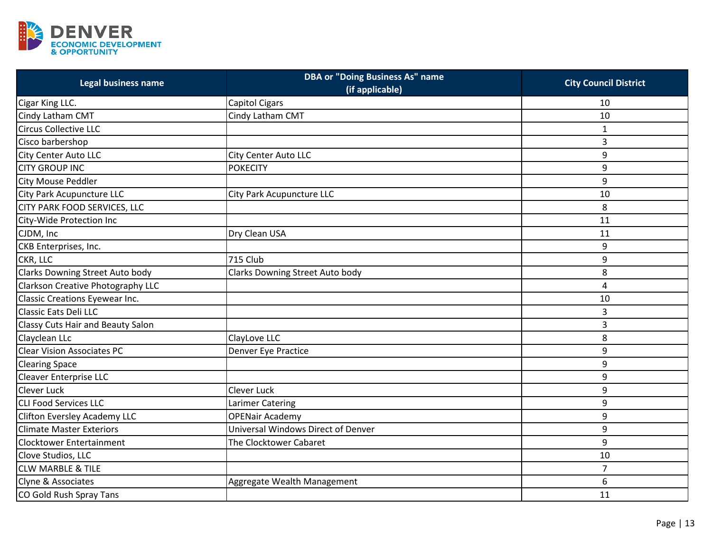

| Legal business name                    | <b>DBA or "Doing Business As" name</b><br>(if applicable) | <b>City Council District</b> |
|----------------------------------------|-----------------------------------------------------------|------------------------------|
| Cigar King LLC.                        | <b>Capitol Cigars</b>                                     | 10                           |
| Cindy Latham CMT                       | Cindy Latham CMT                                          | 10                           |
| <b>Circus Collective LLC</b>           |                                                           | 1                            |
| Cisco barbershop                       |                                                           | 3                            |
| City Center Auto LLC                   | <b>City Center Auto LLC</b>                               | 9                            |
| <b>CITY GROUP INC</b>                  | <b>POKECITY</b>                                           | 9                            |
| <b>City Mouse Peddler</b>              |                                                           | 9                            |
| City Park Acupuncture LLC              | City Park Acupuncture LLC                                 | 10                           |
| CITY PARK FOOD SERVICES, LLC           |                                                           | 8                            |
| City-Wide Protection Inc               |                                                           | 11                           |
| CJDM, Inc                              | Dry Clean USA                                             | 11                           |
| CKB Enterprises, Inc.                  |                                                           | 9                            |
| CKR, LLC                               | <b>715 Club</b>                                           | 9                            |
| <b>Clarks Downing Street Auto body</b> | Clarks Downing Street Auto body                           | 8                            |
| Clarkson Creative Photography LLC      |                                                           | 4                            |
| Classic Creations Eyewear Inc.         |                                                           | 10                           |
| <b>Classic Eats Deli LLC</b>           |                                                           | 3                            |
| Classy Cuts Hair and Beauty Salon      |                                                           | 3                            |
| Clayclean LLc                          | ClayLove LLC                                              | 8                            |
| <b>Clear Vision Associates PC</b>      | Denver Eye Practice                                       | 9                            |
| <b>Clearing Space</b>                  |                                                           | 9                            |
| <b>Cleaver Enterprise LLC</b>          |                                                           | 9                            |
| <b>Clever Luck</b>                     | <b>Clever Luck</b>                                        | 9                            |
| <b>CLI Food Services LLC</b>           | Larimer Catering                                          | 9                            |
| Clifton Eversley Academy LLC           | <b>OPENair Academy</b>                                    | 9                            |
| <b>Climate Master Exteriors</b>        | Universal Windows Direct of Denver                        | 9                            |
| Clocktower Entertainment               | The Clocktower Cabaret                                    | 9                            |
| Clove Studios, LLC                     |                                                           | 10                           |
| <b>CLW MARBLE &amp; TILE</b>           |                                                           | $\overline{7}$               |
| Clyne & Associates                     | Aggregate Wealth Management                               | 6                            |
| CO Gold Rush Spray Tans                |                                                           | 11                           |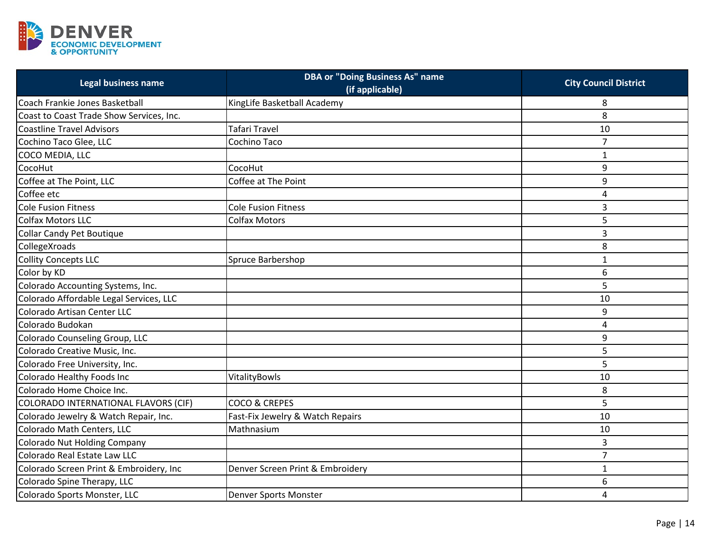

| Legal business name                      | <b>DBA or "Doing Business As" name</b><br>(if applicable) | <b>City Council District</b> |
|------------------------------------------|-----------------------------------------------------------|------------------------------|
| Coach Frankie Jones Basketball           | KingLife Basketball Academy                               | 8                            |
| Coast to Coast Trade Show Services, Inc. |                                                           | 8                            |
| <b>Coastline Travel Advisors</b>         | <b>Tafari Travel</b>                                      | 10                           |
| Cochino Taco Glee, LLC                   | Cochino Taco                                              | $\overline{7}$               |
| COCO MEDIA, LLC                          |                                                           | $\mathbf{1}$                 |
| CocoHut                                  | CocoHut                                                   | 9                            |
| Coffee at The Point, LLC                 | Coffee at The Point                                       | 9                            |
| Coffee etc                               |                                                           | 4                            |
| <b>Cole Fusion Fitness</b>               | <b>Cole Fusion Fitness</b>                                | 3                            |
| <b>Colfax Motors LLC</b>                 | <b>Colfax Motors</b>                                      | 5                            |
| Collar Candy Pet Boutique                |                                                           | 3                            |
| CollegeXroads                            |                                                           | 8                            |
| <b>Collity Concepts LLC</b>              | Spruce Barbershop                                         | $\mathbf{1}$                 |
| Color by KD                              |                                                           | 6                            |
| Colorado Accounting Systems, Inc.        |                                                           | 5                            |
| Colorado Affordable Legal Services, LLC  |                                                           | 10                           |
| Colorado Artisan Center LLC              |                                                           | 9                            |
| Colorado Budokan                         |                                                           | 4                            |
| Colorado Counseling Group, LLC           |                                                           | 9                            |
| Colorado Creative Music, Inc.            |                                                           | 5                            |
| Colorado Free University, Inc.           |                                                           | 5                            |
| Colorado Healthy Foods Inc               | VitalityBowls                                             | 10                           |
| Colorado Home Choice Inc.                |                                                           | 8                            |
| COLORADO INTERNATIONAL FLAVORS (CIF)     | COCO & CREPES                                             | 5                            |
| Colorado Jewelry & Watch Repair, Inc.    | Fast-Fix Jewelry & Watch Repairs                          | 10                           |
| Colorado Math Centers, LLC               | Mathnasium                                                | 10                           |
| Colorado Nut Holding Company             |                                                           | 3                            |
| Colorado Real Estate Law LLC             |                                                           | $\overline{7}$               |
| Colorado Screen Print & Embroidery, Inc  | Denver Screen Print & Embroidery                          | $\mathbf{1}$                 |
| Colorado Spine Therapy, LLC              |                                                           | 6                            |
| Colorado Sports Monster, LLC             | Denver Sports Monster                                     | 4                            |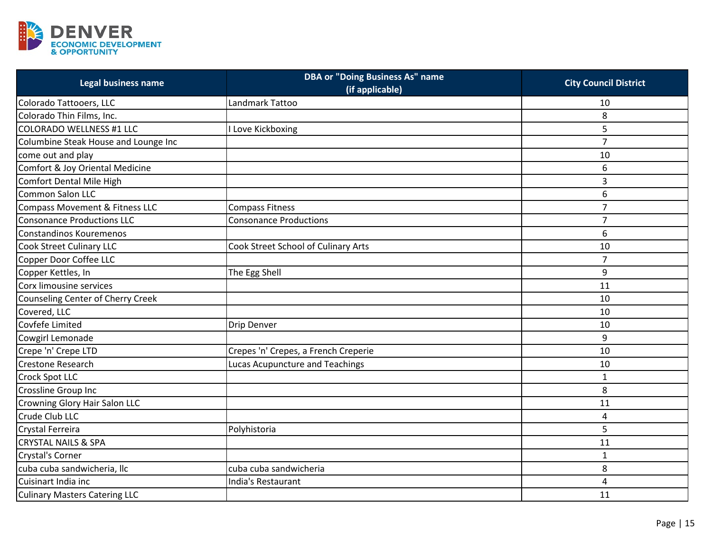

| <b>Legal business name</b>               | <b>DBA or "Doing Business As" name</b><br>(if applicable) | <b>City Council District</b> |
|------------------------------------------|-----------------------------------------------------------|------------------------------|
| Colorado Tattooers, LLC                  | Landmark Tattoo                                           | 10                           |
| Colorado Thin Films, Inc.                |                                                           | 8                            |
| <b>COLORADO WELLNESS #1 LLC</b>          | <b>Love Kickboxing</b>                                    | 5                            |
| Columbine Steak House and Lounge Inc     |                                                           | $\overline{7}$               |
| come out and play                        |                                                           | 10                           |
| Comfort & Joy Oriental Medicine          |                                                           | 6                            |
| <b>Comfort Dental Mile High</b>          |                                                           | 3                            |
| <b>Common Salon LLC</b>                  |                                                           | 6                            |
| Compass Movement & Fitness LLC           | <b>Compass Fitness</b>                                    | $\overline{7}$               |
| <b>Consonance Productions LLC</b>        | <b>Consonance Productions</b>                             | $\overline{7}$               |
| Constandinos Kouremenos                  |                                                           | 6                            |
| <b>Cook Street Culinary LLC</b>          | Cook Street School of Culinary Arts                       | 10                           |
| Copper Door Coffee LLC                   |                                                           | $\overline{7}$               |
| Copper Kettles, In                       | The Egg Shell                                             | 9                            |
| Corx limousine services                  |                                                           | 11                           |
| <b>Counseling Center of Cherry Creek</b> |                                                           | 10                           |
| Covered, LLC                             |                                                           | 10                           |
| Covfefe Limited                          | Drip Denver                                               | 10                           |
| Cowgirl Lemonade                         |                                                           | 9                            |
| Crepe 'n' Crepe LTD                      | Crepes 'n' Crepes, a French Creperie                      | 10                           |
| <b>Crestone Research</b>                 | Lucas Acupuncture and Teachings                           | 10                           |
| <b>Crock Spot LLC</b>                    |                                                           | $\mathbf{1}$                 |
| Crossline Group Inc                      |                                                           | 8                            |
| Crowning Glory Hair Salon LLC            |                                                           | 11                           |
| Crude Club LLC                           |                                                           | 4                            |
| Crystal Ferreira                         | Polyhistoria                                              | 5                            |
| <b>CRYSTAL NAILS &amp; SPA</b>           |                                                           | 11                           |
| <b>Crystal's Corner</b>                  |                                                           | $\mathbf{1}$                 |
| cuba cuba sandwicheria, llc              | cuba cuba sandwicheria                                    | 8                            |
| Cuisinart India inc                      | India's Restaurant                                        | 4                            |
| <b>Culinary Masters Catering LLC</b>     |                                                           | 11                           |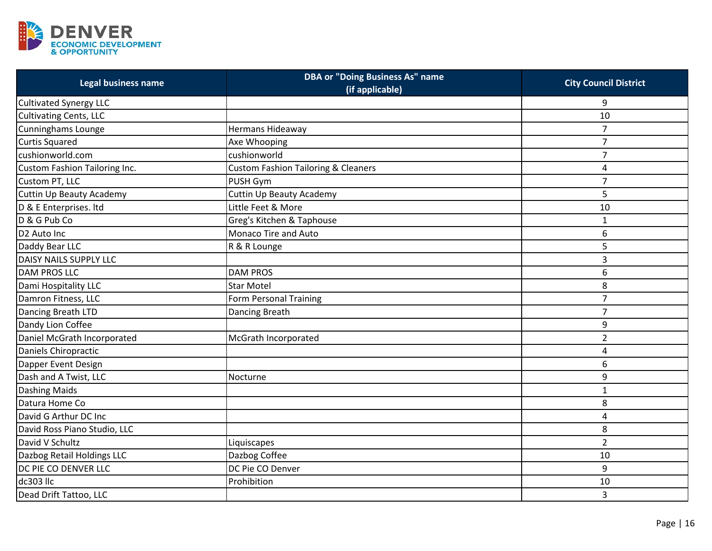

| <b>Legal business name</b>    | <b>DBA or "Doing Business As" name</b><br>(if applicable) | <b>City Council District</b> |
|-------------------------------|-----------------------------------------------------------|------------------------------|
| Cultivated Synergy LLC        |                                                           | 9                            |
| <b>Cultivating Cents, LLC</b> |                                                           | 10                           |
| <b>Cunninghams Lounge</b>     | Hermans Hideaway                                          | $\overline{7}$               |
| <b>Curtis Squared</b>         | Axe Whooping                                              | $\overline{7}$               |
| cushionworld.com              | cushionworld                                              | $\overline{7}$               |
| Custom Fashion Tailoring Inc. | <b>Custom Fashion Tailoring &amp; Cleaners</b>            | 4                            |
| Custom PT, LLC                | PUSH Gym                                                  | $\overline{7}$               |
| Cuttin Up Beauty Academy      | <b>Cuttin Up Beauty Academy</b>                           | 5                            |
| D & E Enterprises. Itd        | Little Feet & More                                        | 10                           |
| D & G Pub Co                  | Greg's Kitchen & Taphouse                                 | $\mathbf{1}$                 |
| D <sub>2</sub> Auto Inc       | Monaco Tire and Auto                                      | 6                            |
| Daddy Bear LLC                | R & R Lounge                                              | 5                            |
| <b>DAISY NAILS SUPPLY LLC</b> |                                                           | 3                            |
| <b>DAM PROS LLC</b>           | <b>DAM PROS</b>                                           | 6                            |
| Dami Hospitality LLC          | <b>Star Motel</b>                                         | 8                            |
| Damron Fitness, LLC           | Form Personal Training                                    | $\overline{7}$               |
| Dancing Breath LTD            | Dancing Breath                                            | $\overline{7}$               |
| Dandy Lion Coffee             |                                                           | 9                            |
| Daniel McGrath Incorporated   | McGrath Incorporated                                      | $\overline{2}$               |
| Daniels Chiropractic          |                                                           | 4                            |
| Dapper Event Design           |                                                           | 6                            |
| Dash and A Twist, LLC         | Nocturne                                                  | 9                            |
| <b>Dashing Maids</b>          |                                                           | $\mathbf{1}$                 |
| Datura Home Co                |                                                           | 8                            |
| David G Arthur DC Inc         |                                                           | 4                            |
| David Ross Piano Studio, LLC  |                                                           | 8                            |
| David V Schultz               | Liquiscapes                                               | $\overline{2}$               |
| Dazbog Retail Holdings LLC    | Dazbog Coffee                                             | 10                           |
| DC PIE CO DENVER LLC          | DC Pie CO Denver                                          | 9                            |
| dc303 llc                     | Prohibition                                               | 10                           |
| Dead Drift Tattoo, LLC        |                                                           | 3                            |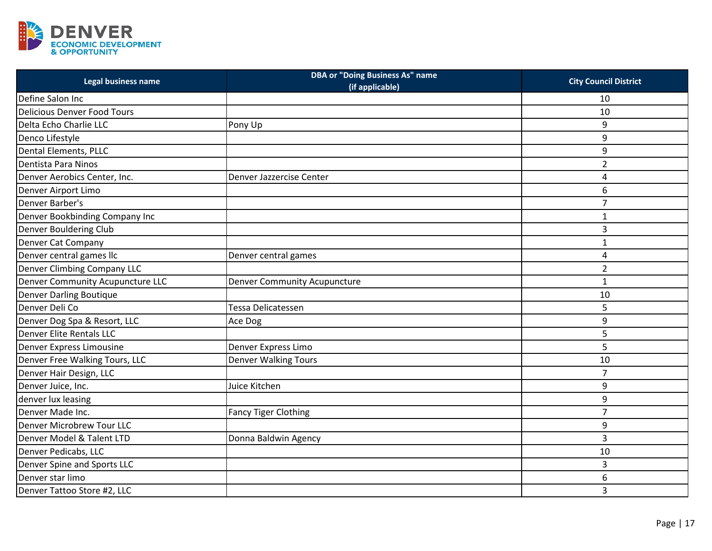

| Legal business name                | <b>DBA or "Doing Business As" name</b><br>(if applicable) | <b>City Council District</b> |
|------------------------------------|-----------------------------------------------------------|------------------------------|
| Define Salon Inc                   |                                                           | 10                           |
| <b>Delicious Denver Food Tours</b> |                                                           | 10                           |
| Delta Echo Charlie LLC             | Pony Up                                                   | 9                            |
| Denco Lifestyle                    |                                                           | 9                            |
| Dental Elements, PLLC              |                                                           | 9                            |
| Dentista Para Ninos                |                                                           | $\overline{2}$               |
| Denver Aerobics Center, Inc.       | Denver Jazzercise Center                                  | 4                            |
| Denver Airport Limo                |                                                           | 6                            |
| Denver Barber's                    |                                                           | 7                            |
| Denver Bookbinding Company Inc     |                                                           | $\mathbf{1}$                 |
| Denver Bouldering Club             |                                                           | 3                            |
| Denver Cat Company                 |                                                           | $\mathbf 1$                  |
| Denver central games llc           | Denver central games                                      | 4                            |
| <b>Denver Climbing Company LLC</b> |                                                           | $\overline{2}$               |
| Denver Community Acupuncture LLC   | <b>Denver Community Acupuncture</b>                       | $\mathbf 1$                  |
| <b>Denver Darling Boutique</b>     |                                                           | 10                           |
| Denver Deli Co                     | Tessa Delicatessen                                        | 5                            |
| Denver Dog Spa & Resort, LLC       | Ace Dog                                                   | 9                            |
| Denver Elite Rentals LLC           |                                                           | 5                            |
| Denver Express Limousine           | Denver Express Limo                                       | 5                            |
| Denver Free Walking Tours, LLC     | <b>Denver Walking Tours</b>                               | 10                           |
| Denver Hair Design, LLC            |                                                           | $\overline{7}$               |
| Denver Juice, Inc.                 | Juice Kitchen                                             | 9                            |
| denver lux leasing                 |                                                           | 9                            |
| Denver Made Inc.                   | <b>Fancy Tiger Clothing</b>                               | $\overline{7}$               |
| Denver Microbrew Tour LLC          |                                                           | 9                            |
| Denver Model & Talent LTD          | Donna Baldwin Agency                                      | 3                            |
| Denver Pedicabs, LLC               |                                                           | 10                           |
| Denver Spine and Sports LLC        |                                                           | 3                            |
| Denver star limo                   |                                                           | 6                            |
| Denver Tattoo Store #2, LLC        |                                                           | 3                            |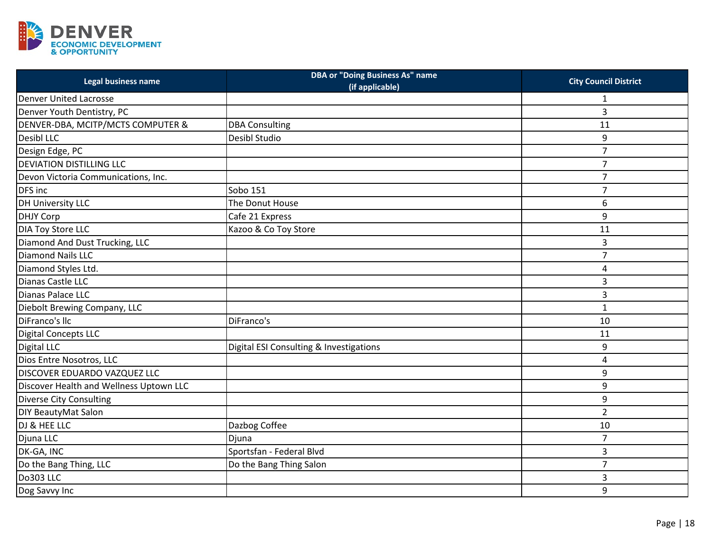

| Legal business name                     | <b>DBA or "Doing Business As" name</b><br>(if applicable) | <b>City Council District</b> |
|-----------------------------------------|-----------------------------------------------------------|------------------------------|
| <b>Denver United Lacrosse</b>           |                                                           | 1                            |
| Denver Youth Dentistry, PC              |                                                           | 3                            |
| DENVER-DBA, MCITP/MCTS COMPUTER &       | <b>DBA Consulting</b>                                     | 11                           |
| <b>Desibl LLC</b>                       | Desibl Studio                                             | 9                            |
| Design Edge, PC                         |                                                           | $\overline{7}$               |
| <b>DEVIATION DISTILLING LLC</b>         |                                                           | $\overline{7}$               |
| Devon Victoria Communications, Inc.     |                                                           | $\overline{7}$               |
| DFS inc                                 | Sobo 151                                                  | $\overline{7}$               |
| <b>DH University LLC</b>                | The Donut House                                           | 6                            |
| <b>DHJY Corp</b>                        | Cafe 21 Express                                           | 9                            |
| <b>DIA Toy Store LLC</b>                | Kazoo & Co Toy Store                                      | 11                           |
| Diamond And Dust Trucking, LLC          |                                                           | 3                            |
| <b>Diamond Nails LLC</b>                |                                                           | $\overline{7}$               |
| Diamond Styles Ltd.                     |                                                           | 4                            |
| Dianas Castle LLC                       |                                                           | 3                            |
| Dianas Palace LLC                       |                                                           | 3                            |
| Diebolt Brewing Company, LLC            |                                                           | $\mathbf 1$                  |
| DiFranco's llc                          | DiFranco's                                                | 10                           |
| <b>Digital Concepts LLC</b>             |                                                           | 11                           |
| <b>Digital LLC</b>                      | Digital ESI Consulting & Investigations                   | 9                            |
| Dios Entre Nosotros, LLC                |                                                           | 4                            |
| DISCOVER EDUARDO VAZQUEZ LLC            |                                                           | 9                            |
| Discover Health and Wellness Uptown LLC |                                                           | 9                            |
| <b>Diverse City Consulting</b>          |                                                           | 9                            |
| DIY BeautyMat Salon                     |                                                           | $\overline{2}$               |
| DJ & HEE LLC                            | Dazbog Coffee                                             | 10                           |
| Djuna LLC                               | Djuna                                                     | $\overline{7}$               |
| DK-GA, INC                              | Sportsfan - Federal Blvd                                  | 3                            |
| Do the Bang Thing, LLC                  | Do the Bang Thing Salon                                   | $\overline{7}$               |
| Do303 LLC                               |                                                           | 3                            |
| Dog Savvy Inc                           |                                                           | 9                            |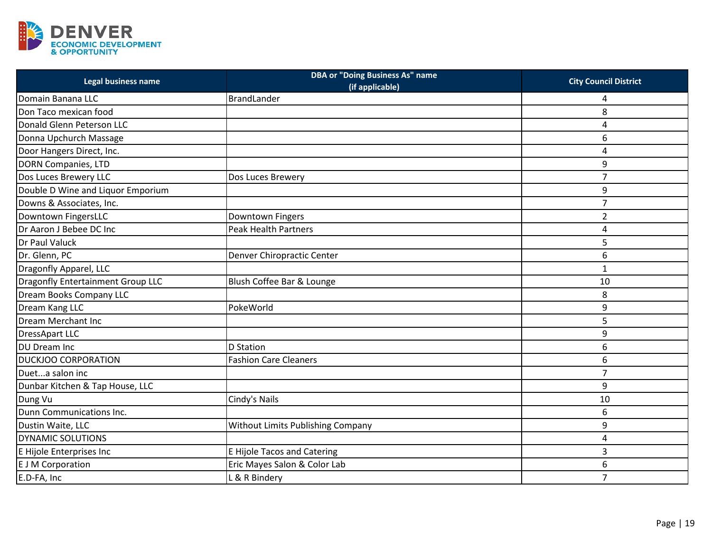

| Legal business name               | <b>DBA or "Doing Business As" name</b><br>(if applicable) | <b>City Council District</b> |
|-----------------------------------|-----------------------------------------------------------|------------------------------|
| Domain Banana LLC                 | BrandLander                                               | 4                            |
| Don Taco mexican food             |                                                           | 8                            |
| Donald Glenn Peterson LLC         |                                                           | 4                            |
| Donna Upchurch Massage            |                                                           | 6                            |
| Door Hangers Direct, Inc.         |                                                           | 4                            |
| <b>DORN Companies, LTD</b>        |                                                           | 9                            |
| Dos Luces Brewery LLC             | Dos Luces Brewery                                         | $\overline{7}$               |
| Double D Wine and Liquor Emporium |                                                           | 9                            |
| Downs & Associates, Inc.          |                                                           | $\overline{7}$               |
| Downtown FingersLLC               | Downtown Fingers                                          | $\overline{2}$               |
| Dr Aaron J Bebee DC Inc           | <b>Peak Health Partners</b>                               | 4                            |
| Dr Paul Valuck                    |                                                           | 5                            |
| Dr. Glenn, PC                     | Denver Chiropractic Center                                | 6                            |
| Dragonfly Apparel, LLC            |                                                           | $\mathbf{1}$                 |
| Dragonfly Entertainment Group LLC | Blush Coffee Bar & Lounge                                 | 10                           |
| Dream Books Company LLC           |                                                           | 8                            |
| Dream Kang LLC                    | PokeWorld                                                 | 9                            |
| Dream Merchant Inc                |                                                           | 5                            |
| <b>DressApart LLC</b>             |                                                           | 9                            |
| DU Dream Inc                      | <b>D</b> Station                                          | 6                            |
| <b>DUCKJOO CORPORATION</b>        | <b>Fashion Care Cleaners</b>                              | 6                            |
| Dueta salon inc                   |                                                           | $\overline{7}$               |
| Dunbar Kitchen & Tap House, LLC   |                                                           | 9                            |
| Dung Vu                           | Cindy's Nails                                             | 10                           |
| Dunn Communications Inc.          |                                                           | 6                            |
| Dustin Waite, LLC                 | <b>Without Limits Publishing Company</b>                  | 9                            |
| DYNAMIC SOLUTIONS                 |                                                           | 4                            |
| E Hijole Enterprises Inc          | <b>E Hijole Tacos and Catering</b>                        | 3                            |
| <b>E J M Corporation</b>          | Eric Mayes Salon & Color Lab                              | 6                            |
| E.D-FA, Inc                       | L & R Bindery                                             | $\overline{7}$               |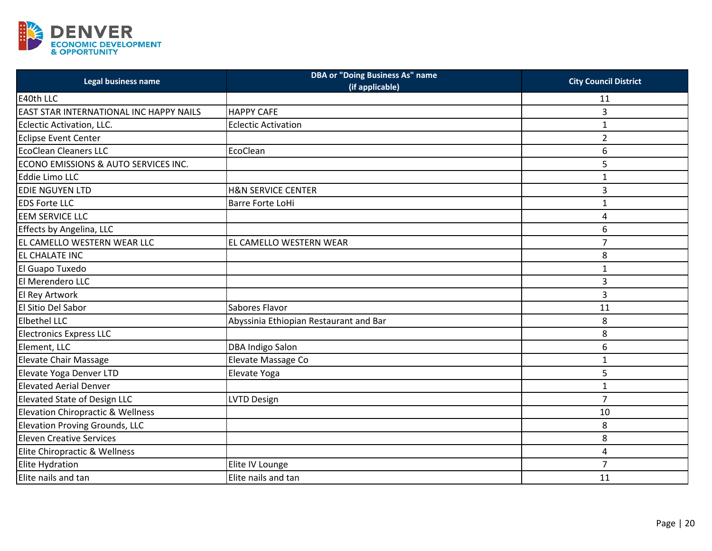

| Legal business name                            | <b>DBA or "Doing Business As" name</b><br>(if applicable) | <b>City Council District</b> |
|------------------------------------------------|-----------------------------------------------------------|------------------------------|
| E40th LLC                                      |                                                           | 11                           |
| <b>EAST STAR INTERNATIONAL INC HAPPY NAILS</b> | <b>HAPPY CAFE</b>                                         | 3                            |
| Eclectic Activation, LLC.                      | <b>Eclectic Activation</b>                                | $\mathbf{1}$                 |
| <b>Eclipse Event Center</b>                    |                                                           | $\overline{2}$               |
| <b>EcoClean Cleaners LLC</b>                   | EcoClean                                                  | 6                            |
| ECONO EMISSIONS & AUTO SERVICES INC.           |                                                           | 5                            |
| Eddie Limo LLC                                 |                                                           | $\mathbf{1}$                 |
| EDIE NGUYEN LTD                                | <b>H&amp;N SERVICE CENTER</b>                             | 3                            |
| <b>EDS Forte LLC</b>                           | Barre Forte LoHi                                          | $\mathbf{1}$                 |
| <b>EEM SERVICE LLC</b>                         |                                                           | 4                            |
| Effects by Angelina, LLC                       |                                                           | 6                            |
| EL CAMELLO WESTERN WEAR LLC                    | EL CAMELLO WESTERN WEAR                                   | $\overline{7}$               |
| EL CHALATE INC                                 |                                                           | 8                            |
| El Guapo Tuxedo                                |                                                           | $\mathbf{1}$                 |
| El Merendero LLC                               |                                                           | 3                            |
| El Rey Artwork                                 |                                                           | 3                            |
| El Sitio Del Sabor                             | Sabores Flavor                                            | 11                           |
| <b>Elbethel LLC</b>                            | Abyssinia Ethiopian Restaurant and Bar                    | 8                            |
| <b>Electronics Express LLC</b>                 |                                                           | 8                            |
| Element, LLC                                   | <b>DBA Indigo Salon</b>                                   | 6                            |
| <b>Elevate Chair Massage</b>                   | Elevate Massage Co                                        | $\mathbf{1}$                 |
| Elevate Yoga Denver LTD                        | Elevate Yoga                                              | 5                            |
| <b>Elevated Aerial Denver</b>                  |                                                           | $\mathbf{1}$                 |
| Elevated State of Design LLC                   | <b>LVTD Design</b>                                        | $\overline{7}$               |
| <b>Elevation Chiropractic &amp; Wellness</b>   |                                                           | 10                           |
| Elevation Proving Grounds, LLC                 |                                                           | 8                            |
| <b>Eleven Creative Services</b>                |                                                           | 8                            |
| Elite Chiropractic & Wellness                  |                                                           | 4                            |
| <b>Elite Hydration</b>                         | Elite IV Lounge                                           | $\overline{7}$               |
| Elite nails and tan                            | Elite nails and tan                                       | 11                           |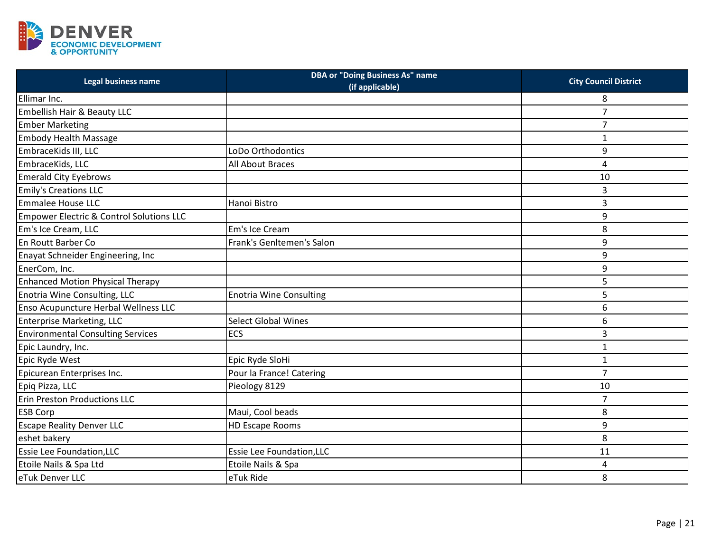

| Legal business name                                 | <b>DBA or "Doing Business As" name</b><br>(if applicable) | <b>City Council District</b> |
|-----------------------------------------------------|-----------------------------------------------------------|------------------------------|
| Ellimar Inc.                                        |                                                           | 8                            |
| Embellish Hair & Beauty LLC                         |                                                           | $\overline{7}$               |
| <b>Ember Marketing</b>                              |                                                           | $\overline{7}$               |
| <b>Embody Health Massage</b>                        |                                                           | 1                            |
| EmbraceKids III, LLC                                | LoDo Orthodontics                                         | 9                            |
| EmbraceKids, LLC                                    | All About Braces                                          | 4                            |
| <b>Emerald City Eyebrows</b>                        |                                                           | 10                           |
| <b>Emily's Creations LLC</b>                        |                                                           | 3                            |
| Emmalee House LLC                                   | Hanoi Bistro                                              | 3                            |
| <b>Empower Electric &amp; Control Solutions LLC</b> |                                                           | 9                            |
| Em's Ice Cream, LLC                                 | Em's Ice Cream                                            | 8                            |
| En Routt Barber Co                                  | Frank's Genltemen's Salon                                 | 9                            |
| Enayat Schneider Engineering, Inc                   |                                                           | 9                            |
| EnerCom, Inc.                                       |                                                           | 9                            |
| <b>Enhanced Motion Physical Therapy</b>             |                                                           | 5                            |
| Enotria Wine Consulting, LLC                        | <b>Enotria Wine Consulting</b>                            | 5                            |
| Enso Acupuncture Herbal Wellness LLC                |                                                           | 6                            |
| <b>Enterprise Marketing, LLC</b>                    | <b>Select Global Wines</b>                                | 6                            |
| <b>Environmental Consulting Services</b>            | ECS                                                       | 3                            |
| Epic Laundry, Inc.                                  |                                                           | $\mathbf{1}$                 |
| Epic Ryde West                                      | Epic Ryde SloHi                                           | $\mathbf{1}$                 |
| Epicurean Enterprises Inc.                          | Pour la France! Catering                                  | $\overline{7}$               |
| Epiq Pizza, LLC                                     | Pieology 8129                                             | 10                           |
| Erin Preston Productions LLC                        |                                                           | $\overline{7}$               |
| <b>ESB Corp</b>                                     | Maui, Cool beads                                          | 8                            |
| <b>Escape Reality Denver LLC</b>                    | <b>HD Escape Rooms</b>                                    | 9                            |
| eshet bakery                                        |                                                           | 8                            |
| <b>Essie Lee Foundation, LLC</b>                    | Essie Lee Foundation, LLC                                 | 11                           |
| Etoile Nails & Spa Ltd                              | Etoile Nails & Spa                                        | 4                            |
| eTuk Denver LLC                                     | eTuk Ride                                                 | 8                            |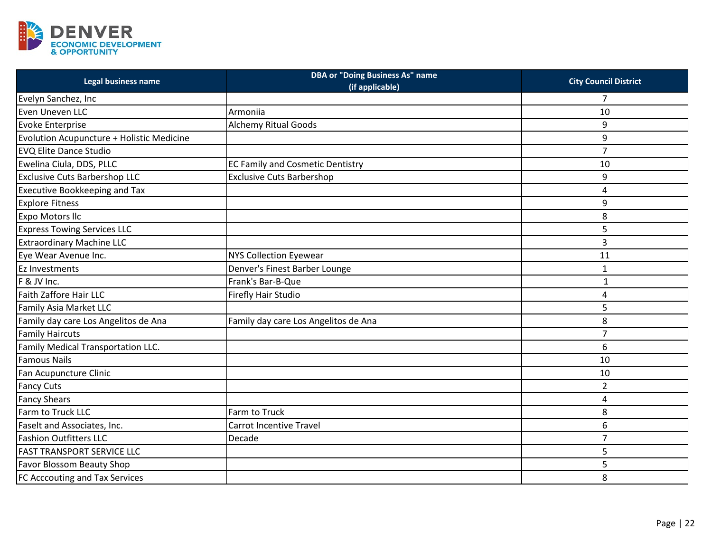

| Legal business name                       | <b>DBA or "Doing Business As" name</b><br>(if applicable) | <b>City Council District</b> |
|-------------------------------------------|-----------------------------------------------------------|------------------------------|
| Evelyn Sanchez, Inc                       |                                                           | 7                            |
| Even Uneven LLC                           | Armoniia                                                  | 10                           |
| <b>Evoke Enterprise</b>                   | <b>Alchemy Ritual Goods</b>                               | 9                            |
| Evolution Acupuncture + Holistic Medicine |                                                           | 9                            |
| <b>EVQ Elite Dance Studio</b>             |                                                           | $\overline{7}$               |
| Ewelina Ciula, DDS, PLLC                  | <b>EC Family and Cosmetic Dentistry</b>                   | 10                           |
| <b>Exclusive Cuts Barbershop LLC</b>      | <b>Exclusive Cuts Barbershop</b>                          | 9                            |
| <b>Executive Bookkeeping and Tax</b>      |                                                           | 4                            |
| <b>Explore Fitness</b>                    |                                                           | 9                            |
| Expo Motors IIc                           |                                                           | 8                            |
| <b>Express Towing Services LLC</b>        |                                                           | 5                            |
| <b>Extraordinary Machine LLC</b>          |                                                           | 3                            |
| Eye Wear Avenue Inc.                      | <b>NYS Collection Eyewear</b>                             | 11                           |
| Ez Investments                            | Denver's Finest Barber Lounge                             | $\mathbf{1}$                 |
| F & JV Inc.                               | Frank's Bar-B-Que                                         | $\mathbf{1}$                 |
| <b>Faith Zaffore Hair LLC</b>             | Firefly Hair Studio                                       | 4                            |
| Family Asia Market LLC                    |                                                           | 5                            |
| Family day care Los Angelitos de Ana      | Family day care Los Angelitos de Ana                      | 8                            |
| <b>Family Haircuts</b>                    |                                                           | $\overline{7}$               |
| Family Medical Transportation LLC.        |                                                           | 6                            |
| <b>Famous Nails</b>                       |                                                           | 10                           |
| Fan Acupuncture Clinic                    |                                                           | 10                           |
| <b>Fancy Cuts</b>                         |                                                           | $\overline{2}$               |
| <b>Fancy Shears</b>                       |                                                           | 4                            |
| Farm to Truck LLC                         | Farm to Truck                                             | 8                            |
| Faselt and Associates, Inc.               | <b>Carrot Incentive Travel</b>                            | 6                            |
| <b>Fashion Outfitters LLC</b>             | Decade                                                    | $\overline{7}$               |
| <b>FAST TRANSPORT SERVICE LLC</b>         |                                                           | 5                            |
| <b>Favor Blossom Beauty Shop</b>          |                                                           | 5                            |
| FC Acccouting and Tax Services            |                                                           | 8                            |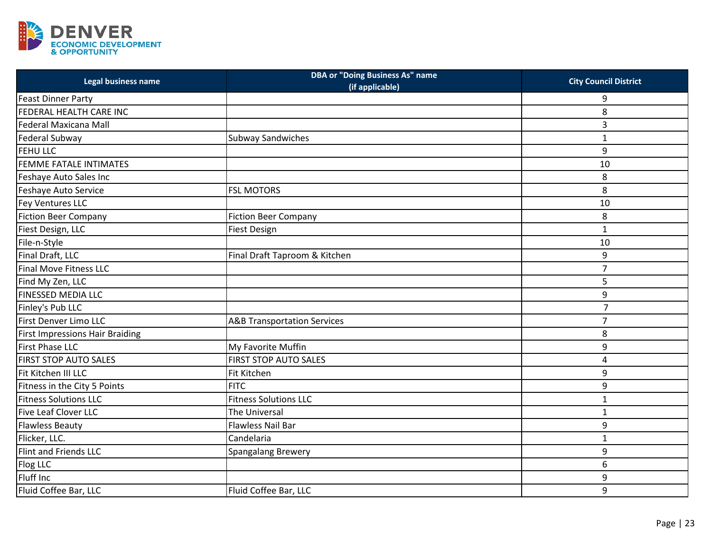

| Legal business name                    | <b>DBA or "Doing Business As" name</b><br>(if applicable) | <b>City Council District</b> |
|----------------------------------------|-----------------------------------------------------------|------------------------------|
| <b>Feast Dinner Party</b>              |                                                           | 9                            |
| FEDERAL HEALTH CARE INC                |                                                           | 8                            |
| Federal Maxicana Mall                  |                                                           | 3                            |
| Federal Subway                         | <b>Subway Sandwiches</b>                                  | $\mathbf{1}$                 |
| <b>FEHU LLC</b>                        |                                                           | 9                            |
| FEMME FATALE INTIMATES                 |                                                           | 10                           |
| Feshaye Auto Sales Inc                 |                                                           | 8                            |
| Feshaye Auto Service                   | <b>FSL MOTORS</b>                                         | 8                            |
| Fey Ventures LLC                       |                                                           | 10                           |
| <b>Fiction Beer Company</b>            | <b>Fiction Beer Company</b>                               | 8                            |
| Fiest Design, LLC                      | <b>Fiest Design</b>                                       | $\mathbf{1}$                 |
| File-n-Style                           |                                                           | 10                           |
| Final Draft, LLC                       | Final Draft Taproom & Kitchen                             | 9                            |
| <b>Final Move Fitness LLC</b>          |                                                           | $\overline{7}$               |
| Find My Zen, LLC                       |                                                           | 5                            |
| <b>FINESSED MEDIA LLC</b>              |                                                           | 9                            |
| Finley's Pub LLC                       |                                                           | $\overline{7}$               |
| First Denver Limo LLC                  | <b>A&amp;B Transportation Services</b>                    | $\overline{7}$               |
| <b>First Impressions Hair Braiding</b> |                                                           | 8                            |
| <b>First Phase LLC</b>                 | My Favorite Muffin                                        | 9                            |
| FIRST STOP AUTO SALES                  | <b>FIRST STOP AUTO SALES</b>                              | 4                            |
| Fit Kitchen III LLC                    | <b>Fit Kitchen</b>                                        | 9                            |
| Fitness in the City 5 Points           | <b>FITC</b>                                               | 9                            |
| <b>Fitness Solutions LLC</b>           | <b>Fitness Solutions LLC</b>                              | $\mathbf{1}$                 |
| Five Leaf Clover LLC                   | The Universal                                             | $\mathbf 1$                  |
| <b>Flawless Beauty</b>                 | Flawless Nail Bar                                         | 9                            |
| Flicker, LLC.                          | Candelaria                                                | $\mathbf{1}$                 |
| Flint and Friends LLC                  | Spangalang Brewery                                        | 9                            |
| Flog LLC                               |                                                           | 6                            |
| Fluff Inc                              |                                                           | 9                            |
| Fluid Coffee Bar, LLC                  | Fluid Coffee Bar, LLC                                     | 9                            |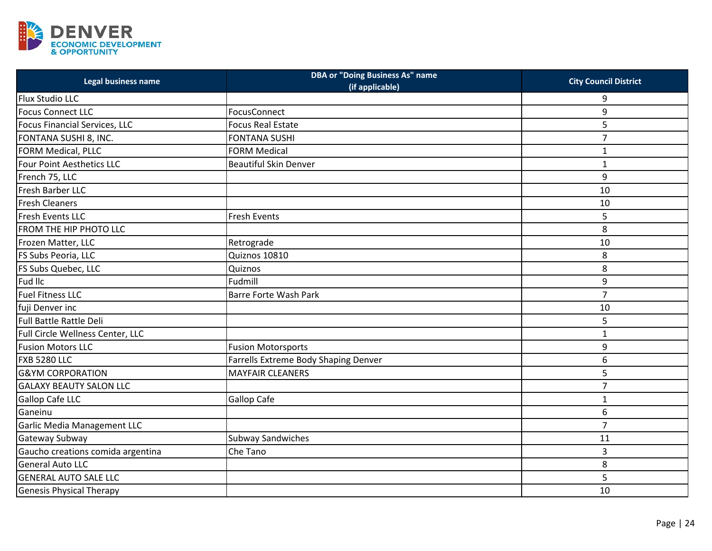

| Legal business name               | <b>DBA or "Doing Business As" name</b><br>(if applicable) | <b>City Council District</b> |
|-----------------------------------|-----------------------------------------------------------|------------------------------|
| Flux Studio LLC                   |                                                           | 9                            |
| <b>Focus Connect LLC</b>          | FocusConnect                                              | 9                            |
| Focus Financial Services, LLC     | <b>Focus Real Estate</b>                                  | 5                            |
| FONTANA SUSHI 8, INC.             | <b>FONTANA SUSHI</b>                                      | $\overline{7}$               |
| FORM Medical, PLLC                | <b>FORM Medical</b>                                       | $\mathbf{1}$                 |
| Four Point Aesthetics LLC         | <b>Beautiful Skin Denver</b>                              | $\mathbf{1}$                 |
| French 75, LLC                    |                                                           | 9                            |
| Fresh Barber LLC                  |                                                           | 10                           |
| <b>Fresh Cleaners</b>             |                                                           | 10                           |
| Fresh Events LLC                  | <b>Fresh Events</b>                                       | 5                            |
| FROM THE HIP PHOTO LLC            |                                                           | 8                            |
| Frozen Matter, LLC                | Retrograde                                                | 10                           |
| FS Subs Peoria, LLC               | Quiznos 10810                                             | 8                            |
| FS Subs Quebec, LLC               | Quiznos                                                   | 8                            |
| Fud IIc                           | Fudmill                                                   | 9                            |
| <b>Fuel Fitness LLC</b>           | <b>Barre Forte Wash Park</b>                              | $\overline{7}$               |
| fuji Denver inc                   |                                                           | 10                           |
| <b>Full Battle Rattle Deli</b>    |                                                           | 5                            |
| Full Circle Wellness Center, LLC  |                                                           | $\mathbf 1$                  |
| <b>Fusion Motors LLC</b>          | <b>Fusion Motorsports</b>                                 | 9                            |
| <b>FXB 5280 LLC</b>               | Farrells Extreme Body Shaping Denver                      | 6                            |
| <b>G&amp;YM CORPORATION</b>       | <b>MAYFAIR CLEANERS</b>                                   | 5                            |
| <b>GALAXY BEAUTY SALON LLC</b>    |                                                           | $\overline{7}$               |
| <b>Gallop Cafe LLC</b>            | Gallop Cafe                                               | $\mathbf{1}$                 |
| Ganeinu                           |                                                           | 6                            |
| Garlic Media Management LLC       |                                                           | $\overline{7}$               |
| Gateway Subway                    | <b>Subway Sandwiches</b>                                  | 11                           |
| Gaucho creations comida argentina | Che Tano                                                  | 3                            |
| General Auto LLC                  |                                                           | 8                            |
| <b>GENERAL AUTO SALE LLC</b>      |                                                           | 5                            |
| <b>Genesis Physical Therapy</b>   |                                                           | 10                           |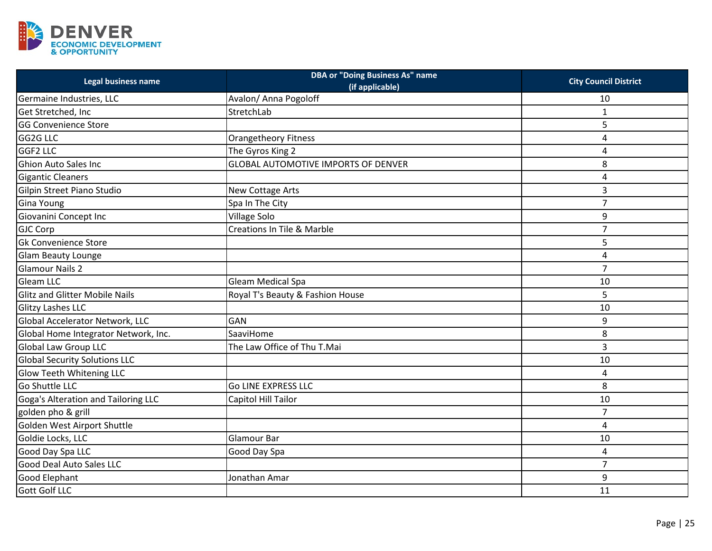

| <b>Legal business name</b>            | <b>DBA or "Doing Business As" name</b><br>(if applicable) | <b>City Council District</b> |
|---------------------------------------|-----------------------------------------------------------|------------------------------|
| Germaine Industries, LLC              | Avalon/ Anna Pogoloff                                     | 10                           |
| Get Stretched, Inc                    | StretchLab                                                | $\mathbf{1}$                 |
| <b>GG Convenience Store</b>           |                                                           | 5                            |
| GG2G LLC                              | <b>Orangetheory Fitness</b>                               | 4                            |
| <b>GGF2 LLC</b>                       | The Gyros King 2                                          | 4                            |
| <b>Ghion Auto Sales Inc</b>           | <b>GLOBAL AUTOMOTIVE IMPORTS OF DENVER</b>                | 8                            |
| <b>Gigantic Cleaners</b>              |                                                           | 4                            |
| Gilpin Street Piano Studio            | New Cottage Arts                                          | 3                            |
| <b>Gina Young</b>                     | Spa In The City                                           | $\overline{7}$               |
| Giovanini Concept Inc                 | <b>Village Solo</b>                                       | 9                            |
| <b>GJC Corp</b>                       | <b>Creations In Tile &amp; Marble</b>                     | 7                            |
| <b>Gk Convenience Store</b>           |                                                           | 5                            |
| Glam Beauty Lounge                    |                                                           | 4                            |
| <b>Glamour Nails 2</b>                |                                                           | $\overline{7}$               |
| <b>Gleam LLC</b>                      | Gleam Medical Spa                                         | 10                           |
| <b>Glitz and Glitter Mobile Nails</b> | Royal T's Beauty & Fashion House                          | 5                            |
| <b>Glitzy Lashes LLC</b>              |                                                           | 10                           |
| Global Accelerator Network, LLC       | <b>GAN</b>                                                | 9                            |
| Global Home Integrator Network, Inc.  | SaaviHome                                                 | 8                            |
| <b>Global Law Group LLC</b>           | The Law Office of Thu T.Mai                               | 3                            |
| <b>Global Security Solutions LLC</b>  |                                                           | 10                           |
| Glow Teeth Whitening LLC              |                                                           | 4                            |
| Go Shuttle LLC                        | <b>Go LINE EXPRESS LLC</b>                                | 8                            |
| Goga's Alteration and Tailoring LLC   | Capitol Hill Tailor                                       | 10                           |
| golden pho & grill                    |                                                           | $\overline{7}$               |
| Golden West Airport Shuttle           |                                                           | 4                            |
| Goldie Locks, LLC                     | Glamour Bar                                               | 10                           |
| Good Day Spa LLC                      | Good Day Spa                                              | 4                            |
| <b>Good Deal Auto Sales LLC</b>       |                                                           | $\overline{7}$               |
| <b>Good Elephant</b>                  | Jonathan Amar                                             | 9                            |
| <b>Gott Golf LLC</b>                  |                                                           | 11                           |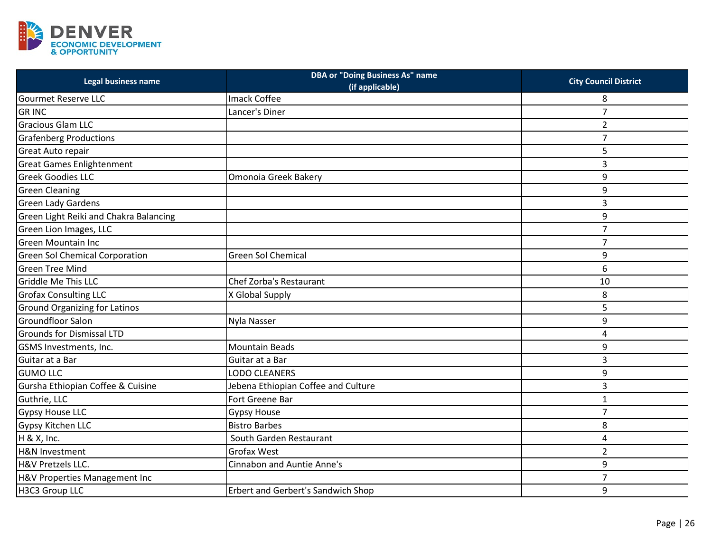

| Legal business name                    | <b>DBA or "Doing Business As" name</b><br>(if applicable) | <b>City Council District</b> |
|----------------------------------------|-----------------------------------------------------------|------------------------------|
| <b>Gourmet Reserve LLC</b>             | Imack Coffee                                              | 8                            |
| <b>GRINC</b>                           | Lancer's Diner                                            | 7                            |
| <b>Gracious Glam LLC</b>               |                                                           | $\overline{2}$               |
| <b>Grafenberg Productions</b>          |                                                           | $\overline{7}$               |
| Great Auto repair                      |                                                           | 5                            |
| <b>Great Games Enlightenment</b>       |                                                           | 3                            |
| <b>Greek Goodies LLC</b>               | Omonoia Greek Bakery                                      | 9                            |
| <b>Green Cleaning</b>                  |                                                           | 9                            |
| <b>Green Lady Gardens</b>              |                                                           | 3                            |
| Green Light Reiki and Chakra Balancing |                                                           | 9                            |
| Green Lion Images, LLC                 |                                                           | $\overline{7}$               |
| <b>Green Mountain Inc</b>              |                                                           | $\overline{7}$               |
| <b>Green Sol Chemical Corporation</b>  | <b>Green Sol Chemical</b>                                 | 9                            |
| <b>Green Tree Mind</b>                 |                                                           | 6                            |
| <b>Griddle Me This LLC</b>             | Chef Zorba's Restaurant                                   | 10                           |
| <b>Grofax Consulting LLC</b>           | X Global Supply                                           | 8                            |
| <b>Ground Organizing for Latinos</b>   |                                                           | 5                            |
| <b>Groundfloor Salon</b>               | Nyla Nasser                                               | 9                            |
| <b>Grounds for Dismissal LTD</b>       |                                                           | 4                            |
| GSMS Investments, Inc.                 | <b>Mountain Beads</b>                                     | 9                            |
| Guitar at a Bar                        | Guitar at a Bar                                           | 3                            |
| <b>GUMO LLC</b>                        | <b>LODO CLEANERS</b>                                      | 9                            |
| Gursha Ethiopian Coffee & Cuisine      | Jebena Ethiopian Coffee and Culture                       | 3                            |
| Guthrie, LLC                           | Fort Greene Bar                                           | $\mathbf{1}$                 |
| <b>Gypsy House LLC</b>                 | <b>Gypsy House</b>                                        | $\overline{7}$               |
| Gypsy Kitchen LLC                      | <b>Bistro Barbes</b>                                      | 8                            |
| H & X, Inc.                            | South Garden Restaurant                                   | 4                            |
| <b>H&amp;N Investment</b>              | <b>Grofax West</b>                                        | $\overline{2}$               |
| H&V Pretzels LLC.                      | <b>Cinnabon and Auntie Anne's</b>                         | 9                            |
| H&V Properties Management Inc          |                                                           | $\overline{7}$               |
| H3C3 Group LLC                         | Erbert and Gerbert's Sandwich Shop                        | 9                            |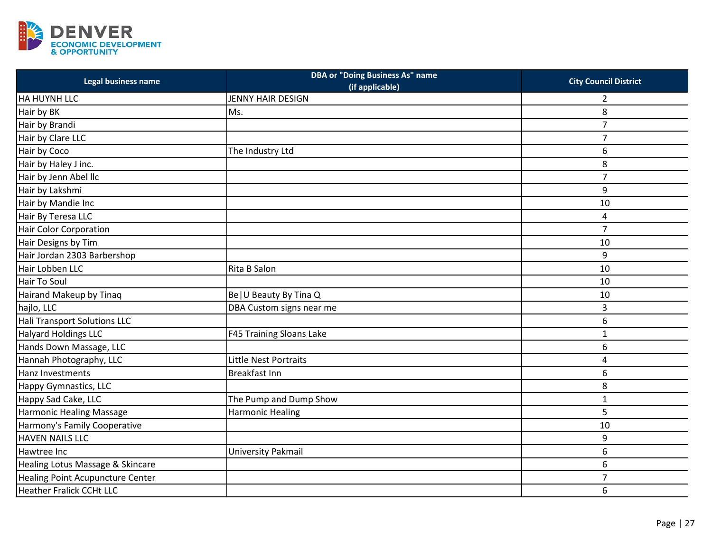

| Legal business name              | <b>DBA or "Doing Business As" name</b><br>(if applicable) | <b>City Council District</b> |
|----------------------------------|-----------------------------------------------------------|------------------------------|
| HA HUYNH LLC                     | <b>JENNY HAIR DESIGN</b>                                  | 2                            |
| Hair by BK                       | Ms.                                                       | 8                            |
| Hair by Brandi                   |                                                           | $\overline{7}$               |
| Hair by Clare LLC                |                                                           | $\overline{7}$               |
| Hair by Coco                     | The Industry Ltd                                          | 6                            |
| Hair by Haley J inc.             |                                                           | 8                            |
| Hair by Jenn Abel IIc            |                                                           | $\overline{7}$               |
| Hair by Lakshmi                  |                                                           | 9                            |
| Hair by Mandie Inc               |                                                           | 10                           |
| Hair By Teresa LLC               |                                                           | 4                            |
| <b>Hair Color Corporation</b>    |                                                           | $\overline{7}$               |
| Hair Designs by Tim              |                                                           | 10                           |
| Hair Jordan 2303 Barbershop      |                                                           | 9                            |
| Hair Lobben LLC                  | Rita B Salon                                              | 10                           |
| <b>Hair To Soul</b>              |                                                           | 10                           |
| Hairand Makeup by Tinaq          | Be   U Beauty By Tina Q                                   | 10                           |
| hajlo, LLC                       | DBA Custom signs near me                                  | 3                            |
| Hali Transport Solutions LLC     |                                                           | 6                            |
| <b>Halyard Holdings LLC</b>      | F45 Training Sloans Lake                                  | 1                            |
| Hands Down Massage, LLC          |                                                           | 6                            |
| Hannah Photography, LLC          | Little Nest Portraits                                     | 4                            |
| Hanz Investments                 | <b>Breakfast Inn</b>                                      | 6                            |
| <b>Happy Gymnastics, LLC</b>     |                                                           | 8                            |
| Happy Sad Cake, LLC              | The Pump and Dump Show                                    | $\mathbf{1}$                 |
| Harmonic Healing Massage         | <b>Harmonic Healing</b>                                   | 5                            |
| Harmony's Family Cooperative     |                                                           | 10                           |
| <b>HAVEN NAILS LLC</b>           |                                                           | 9                            |
| Hawtree Inc                      | University Pakmail                                        | 6                            |
| Healing Lotus Massage & Skincare |                                                           | 6                            |
| Healing Point Acupuncture Center |                                                           | $\overline{7}$               |
| <b>Heather Fralick CCHt LLC</b>  |                                                           | 6                            |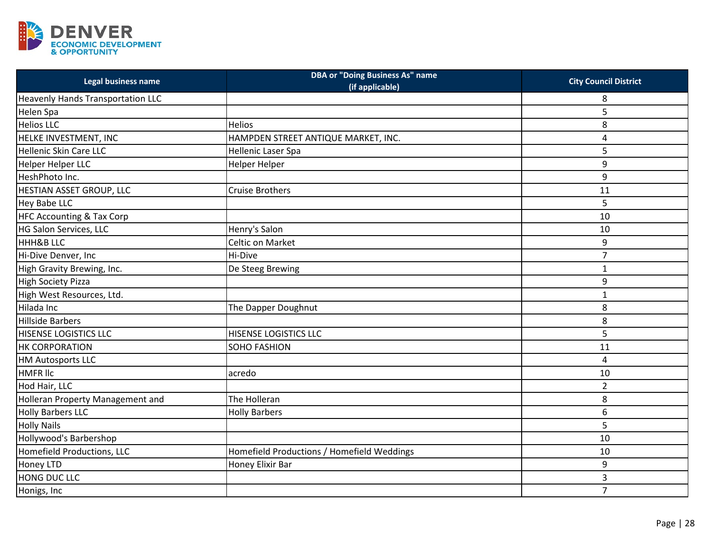

| Legal business name                      | <b>DBA or "Doing Business As" name</b><br>(if applicable) | <b>City Council District</b> |
|------------------------------------------|-----------------------------------------------------------|------------------------------|
| <b>Heavenly Hands Transportation LLC</b> |                                                           | 8                            |
| Helen Spa                                |                                                           | 5                            |
| <b>Helios LLC</b>                        | Helios                                                    | 8                            |
| HELKE INVESTMENT, INC                    | HAMPDEN STREET ANTIQUE MARKET, INC.                       | 4                            |
| <b>Hellenic Skin Care LLC</b>            | Hellenic Laser Spa                                        | 5                            |
| Helper Helper LLC                        | <b>Helper Helper</b>                                      | 9                            |
| HeshPhoto Inc.                           |                                                           | 9                            |
| HESTIAN ASSET GROUP, LLC                 | <b>Cruise Brothers</b>                                    | 11                           |
| Hey Babe LLC                             |                                                           | 5                            |
| <b>HFC Accounting &amp; Tax Corp</b>     |                                                           | 10                           |
| HG Salon Services, LLC                   | Henry's Salon                                             | 10                           |
| <b>HHH&amp;B LLC</b>                     | Celtic on Market                                          | 9                            |
| Hi-Dive Denver, Inc                      | Hi-Dive                                                   | $\overline{7}$               |
| High Gravity Brewing, Inc.               | De Steeg Brewing                                          | $\mathbf 1$                  |
| <b>High Society Pizza</b>                |                                                           | 9                            |
| High West Resources, Ltd.                |                                                           | $\mathbf{1}$                 |
| Hilada Inc                               | The Dapper Doughnut                                       | 8                            |
| <b>Hillside Barbers</b>                  |                                                           | 8                            |
| HISENSE LOGISTICS LLC                    | <b>HISENSE LOGISTICS LLC</b>                              | 5                            |
| <b>HK CORPORATION</b>                    | SOHO FASHION                                              | 11                           |
| <b>HM Autosports LLC</b>                 |                                                           | 4                            |
| <b>HMFR IIc</b>                          | acredo                                                    | 10                           |
| Hod Hair, LLC                            |                                                           | $\overline{2}$               |
| Holleran Property Management and         | The Holleran                                              | 8                            |
| <b>Holly Barbers LLC</b>                 | <b>Holly Barbers</b>                                      | 6                            |
| <b>Holly Nails</b>                       |                                                           | 5                            |
| Hollywood's Barbershop                   |                                                           | 10                           |
| Homefield Productions, LLC               | Homefield Productions / Homefield Weddings                | 10                           |
| <b>Honey LTD</b>                         | Honey Elixir Bar                                          | 9                            |
| HONG DUC LLC                             |                                                           | 3                            |
| Honigs, Inc                              |                                                           | $\overline{7}$               |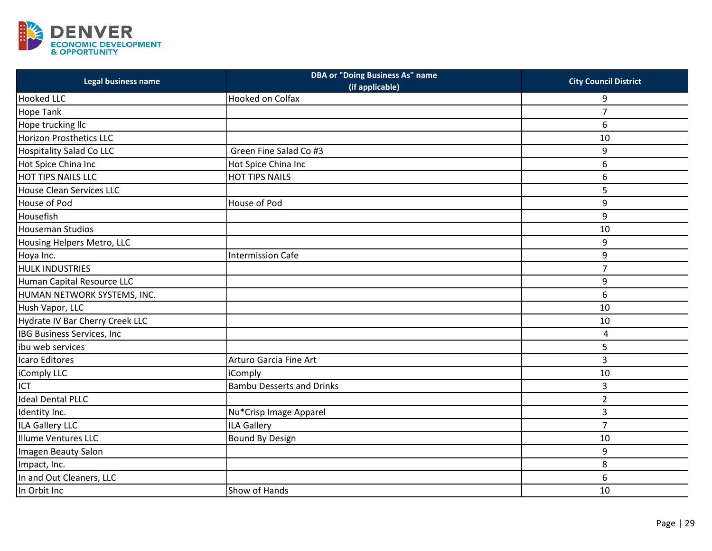

| Legal business name                | <b>DBA or "Doing Business As" name</b><br>(if applicable) | <b>City Council District</b> |
|------------------------------------|-----------------------------------------------------------|------------------------------|
| <b>Hooked LLC</b>                  | Hooked on Colfax                                          | 9                            |
| Hope Tank                          |                                                           | $\overline{7}$               |
| Hope trucking llc                  |                                                           | 6                            |
| <b>Horizon Prosthetics LLC</b>     |                                                           | 10                           |
| <b>Hospitality Salad Co LLC</b>    | Green Fine Salad Co #3                                    | 9                            |
| Hot Spice China Inc                | Hot Spice China Inc                                       | 6                            |
| <b>HOT TIPS NAILS LLC</b>          | <b>HOT TIPS NAILS</b>                                     | 6                            |
| <b>House Clean Services LLC</b>    |                                                           | 5                            |
| House of Pod                       | House of Pod                                              | 9                            |
| Housefish                          |                                                           | 9                            |
| <b>Houseman Studios</b>            |                                                           | 10                           |
| Housing Helpers Metro, LLC         |                                                           | 9                            |
| Hoya Inc.                          | <b>Intermission Cafe</b>                                  | 9                            |
| <b>HULK INDUSTRIES</b>             |                                                           | $\overline{7}$               |
| Human Capital Resource LLC         |                                                           | 9                            |
| HUMAN NETWORK SYSTEMS, INC.        |                                                           | 6                            |
| Hush Vapor, LLC                    |                                                           | 10                           |
| Hydrate IV Bar Cherry Creek LLC    |                                                           | 10                           |
| <b>IBG Business Services, Inc.</b> |                                                           | 4                            |
| ibu web services                   |                                                           | 5                            |
| Icaro Editores                     | Arturo Garcia Fine Art                                    | 3                            |
| iComply LLC                        | iComply                                                   | 10                           |
| ICT                                | <b>Bambu Desserts and Drinks</b>                          | 3                            |
| <b>Ideal Dental PLLC</b>           |                                                           | $\overline{2}$               |
| Identity Inc.                      | Nu*Crisp Image Apparel                                    | 3                            |
| <b>ILA Gallery LLC</b>             | <b>ILA Gallery</b>                                        | $\overline{7}$               |
| <b>Illume Ventures LLC</b>         | <b>Bound By Design</b>                                    | 10                           |
| Imagen Beauty Salon                |                                                           | 9                            |
| Impact, Inc.                       |                                                           | 8                            |
| In and Out Cleaners, LLC           |                                                           | 6                            |
| In Orbit Inc                       | Show of Hands                                             | 10                           |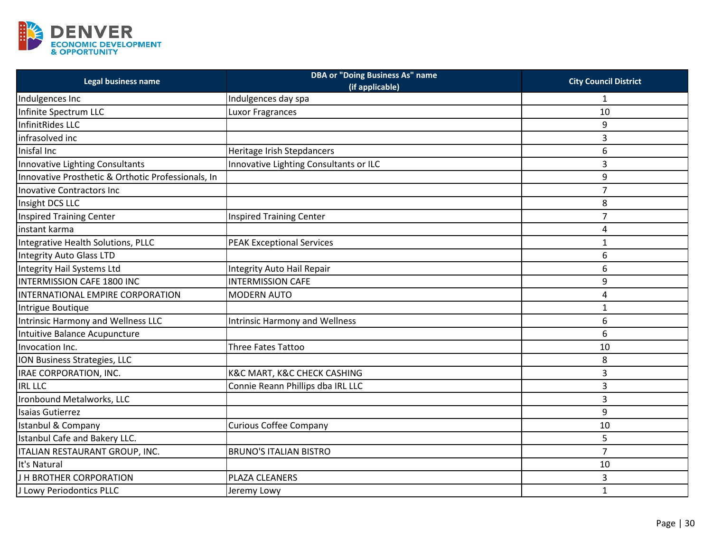

| Legal business name                                | <b>DBA or "Doing Business As" name</b><br>(if applicable) | <b>City Council District</b> |
|----------------------------------------------------|-----------------------------------------------------------|------------------------------|
| Indulgences Inc                                    | Indulgences day spa                                       | 1                            |
| Infinite Spectrum LLC                              | <b>Luxor Fragrances</b>                                   | 10                           |
| InfinitRides LLC                                   |                                                           | 9                            |
| infrasolved inc                                    |                                                           | 3                            |
| Inisfal Inc                                        | Heritage Irish Stepdancers                                | 6                            |
| Innovative Lighting Consultants                    | Innovative Lighting Consultants or ILC                    | 3                            |
| Innovative Prosthetic & Orthotic Professionals, In |                                                           | 9                            |
| <b>Inovative Contractors Inc.</b>                  |                                                           | $\overline{7}$               |
| Insight DCS LLC                                    |                                                           | 8                            |
| <b>Inspired Training Center</b>                    | <b>Inspired Training Center</b>                           | $\overline{7}$               |
| instant karma                                      |                                                           | 4                            |
| Integrative Health Solutions, PLLC                 | <b>PEAK Exceptional Services</b>                          | $\mathbf{1}$                 |
| <b>Integrity Auto Glass LTD</b>                    |                                                           | 6                            |
| Integrity Hail Systems Ltd                         | <b>Integrity Auto Hail Repair</b>                         | 6                            |
| <b>INTERMISSION CAFE 1800 INC</b>                  | <b>INTERMISSION CAFE</b>                                  | 9                            |
| INTERNATIONAL EMPIRE CORPORATION                   | <b>MODERN AUTO</b>                                        | 4                            |
| Intrigue Boutique                                  |                                                           | 1                            |
| Intrinsic Harmony and Wellness LLC                 | <b>Intrinsic Harmony and Wellness</b>                     | 6                            |
| Intuitive Balance Acupuncture                      |                                                           | 6                            |
| Invocation Inc.                                    | Three Fates Tattoo                                        | 10                           |
| ION Business Strategies, LLC                       |                                                           | 8                            |
| IRAE CORPORATION, INC.                             | <b>K&amp;C MART, K&amp;C CHECK CASHING</b>                | 3                            |
| <b>IRL LLC</b>                                     | Connie Reann Phillips dba IRL LLC                         | 3                            |
| Ironbound Metalworks, LLC                          |                                                           | 3                            |
| <b>Isaias Gutierrez</b>                            |                                                           | 9                            |
| Istanbul & Company                                 | <b>Curious Coffee Company</b>                             | 10                           |
| Istanbul Cafe and Bakery LLC.                      |                                                           | 5                            |
| ITALIAN RESTAURANT GROUP, INC.                     | <b>BRUNO'S ITALIAN BISTRO</b>                             | $\overline{7}$               |
| It's Natural                                       |                                                           | 10                           |
| J H BROTHER CORPORATION                            | PLAZA CLEANERS                                            | 3                            |
| J Lowy Periodontics PLLC                           | Jeremy Lowy                                               | $\mathbf{1}$                 |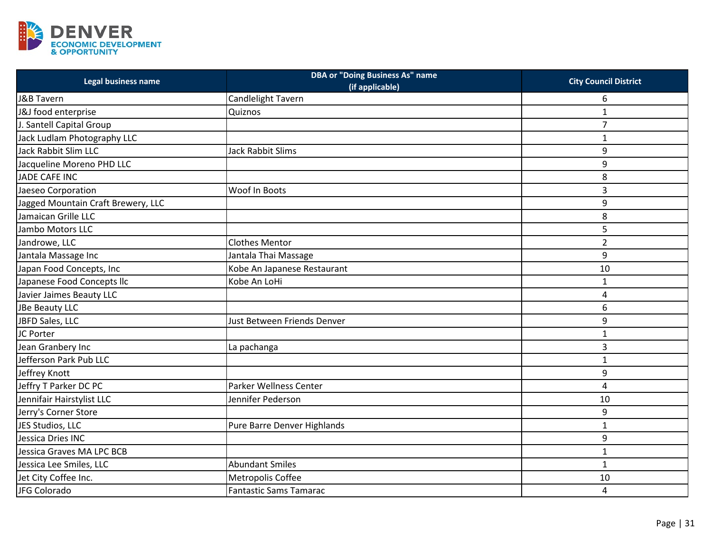

| Legal business name                | <b>DBA or "Doing Business As" name</b><br>(if applicable) | <b>City Council District</b> |
|------------------------------------|-----------------------------------------------------------|------------------------------|
| J&B Tavern                         | Candlelight Tavern                                        | 6                            |
| J&J food enterprise                | Quiznos                                                   | 1                            |
| J. Santell Capital Group           |                                                           | $\overline{7}$               |
| Jack Ludlam Photography LLC        |                                                           | $\mathbf{1}$                 |
| Jack Rabbit Slim LLC               | Jack Rabbit Slims                                         | 9                            |
| Jacqueline Moreno PHD LLC          |                                                           | 9                            |
| <b>JADE CAFE INC</b>               |                                                           | 8                            |
| Jaeseo Corporation                 | Woof In Boots                                             | 3                            |
| Jagged Mountain Craft Brewery, LLC |                                                           | 9                            |
| Jamaican Grille LLC                |                                                           | 8                            |
| Jambo Motors LLC                   |                                                           | 5                            |
| Jandrowe, LLC                      | <b>Clothes Mentor</b>                                     | $\overline{2}$               |
| Jantala Massage Inc                | Jantala Thai Massage                                      | 9                            |
| Japan Food Concepts, Inc           | Kobe An Japanese Restaurant                               | 10                           |
| Japanese Food Concepts Ilc         | Kobe An LoHi                                              | $\mathbf{1}$                 |
| Javier Jaimes Beauty LLC           |                                                           | 4                            |
| JBe Beauty LLC                     |                                                           | 6                            |
| JBFD Sales, LLC                    | Just Between Friends Denver                               | 9                            |
| JC Porter                          |                                                           | $\mathbf{1}$                 |
| Jean Granbery Inc                  | La pachanga                                               | 3                            |
| Jefferson Park Pub LLC             |                                                           | $\mathbf{1}$                 |
| Jeffrey Knott                      |                                                           | 9                            |
| Jeffry T Parker DC PC              | <b>Parker Wellness Center</b>                             | 4                            |
| Jennifair Hairstylist LLC          | Jennifer Pederson                                         | 10                           |
| Jerry's Corner Store               |                                                           | 9                            |
| JES Studios, LLC                   | Pure Barre Denver Highlands                               | $\mathbf{1}$                 |
| Jessica Dries INC                  |                                                           | 9                            |
| Jessica Graves MA LPC BCB          |                                                           | $\mathbf{1}$                 |
| Jessica Lee Smiles, LLC            | <b>Abundant Smiles</b>                                    | $\mathbf{1}$                 |
| Jet City Coffee Inc.               | Metropolis Coffee                                         | 10                           |
| JFG Colorado                       | <b>Fantastic Sams Tamarac</b>                             | 4                            |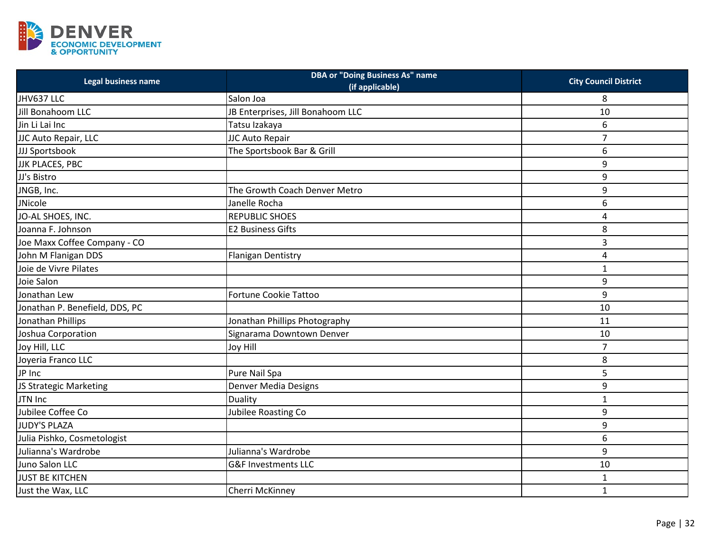

| Legal business name            | <b>DBA or "Doing Business As" name</b><br>(if applicable) | <b>City Council District</b> |
|--------------------------------|-----------------------------------------------------------|------------------------------|
| JHV637 LLC                     | Salon Joa                                                 | 8                            |
| Jill Bonahoom LLC              | JB Enterprises, Jill Bonahoom LLC                         | 10                           |
| Jin Li Lai Inc                 | Tatsu Izakaya                                             | 6                            |
| JJC Auto Repair, LLC           | JJC Auto Repair                                           | $\overline{7}$               |
| JJJ Sportsbook                 | The Sportsbook Bar & Grill                                | 6                            |
| <b>JJK PLACES, PBC</b>         |                                                           | 9                            |
| JJ's Bistro                    |                                                           | 9                            |
| JNGB, Inc.                     | The Growth Coach Denver Metro                             | 9                            |
| JNicole                        | Janelle Rocha                                             | 6                            |
| JO-AL SHOES, INC.              | <b>REPUBLIC SHOES</b>                                     | 4                            |
| Joanna F. Johnson              | <b>E2 Business Gifts</b>                                  | 8                            |
| Joe Maxx Coffee Company - CO   |                                                           | 3                            |
| John M Flanigan DDS            | <b>Flanigan Dentistry</b>                                 | 4                            |
| Joie de Vivre Pilates          |                                                           | $\mathbf{1}$                 |
| Joie Salon                     |                                                           | 9                            |
| Jonathan Lew                   | <b>Fortune Cookie Tattoo</b>                              | 9                            |
| Jonathan P. Benefield, DDS, PC |                                                           | 10                           |
| Jonathan Phillips              | Jonathan Phillips Photography                             | 11                           |
| Joshua Corporation             | Signarama Downtown Denver                                 | 10                           |
| Joy Hill, LLC                  | <b>Joy Hill</b>                                           | $\overline{7}$               |
| Joyeria Franco LLC             |                                                           | 8                            |
| JP Inc                         | Pure Nail Spa                                             | 5                            |
| JS Strategic Marketing         | Denver Media Designs                                      | 9                            |
| JTN Inc                        | Duality                                                   | $\mathbf{1}$                 |
| Jubilee Coffee Co              | Jubilee Roasting Co                                       | 9                            |
| <b>JUDY'S PLAZA</b>            |                                                           | 9                            |
| Julia Pishko, Cosmetologist    |                                                           | 6                            |
| Julianna's Wardrobe            | Julianna's Wardrobe                                       | 9                            |
| Juno Salon LLC                 | <b>G&amp;F Investments LLC</b>                            | 10                           |
| <b>JUST BE KITCHEN</b>         |                                                           | 1                            |
| Just the Wax, LLC              | Cherri McKinney                                           | $\mathbf 1$                  |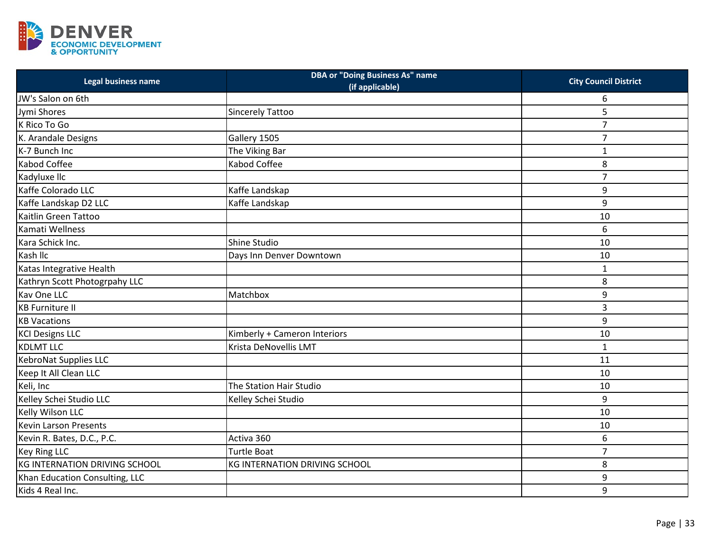

| Legal business name            | <b>DBA or "Doing Business As" name</b><br>(if applicable) | <b>City Council District</b> |
|--------------------------------|-----------------------------------------------------------|------------------------------|
| JW's Salon on 6th              |                                                           | 6                            |
| Jymi Shores                    | <b>Sincerely Tattoo</b>                                   | 5                            |
| K Rico To Go                   |                                                           | $\overline{7}$               |
| K. Arandale Designs            | Gallery 1505                                              | 7                            |
| K-7 Bunch Inc                  | The Viking Bar                                            | $\mathbf{1}$                 |
| Kabod Coffee                   | Kabod Coffee                                              | 8                            |
| Kadyluxe IIc                   |                                                           | $\overline{7}$               |
| Kaffe Colorado LLC             | Kaffe Landskap                                            | 9                            |
| Kaffe Landskap D2 LLC          | Kaffe Landskap                                            | 9                            |
| Kaitlin Green Tattoo           |                                                           | 10                           |
| Kamati Wellness                |                                                           | 6                            |
| Kara Schick Inc.               | Shine Studio                                              | 10                           |
| Kash IIc                       | Days Inn Denver Downtown                                  | 10                           |
| Katas Integrative Health       |                                                           | $\mathbf{1}$                 |
| Kathryn Scott Photogrpahy LLC  |                                                           | 8                            |
| Kav One LLC                    | Matchbox                                                  | 9                            |
| <b>KB</b> Furniture II         |                                                           | 3                            |
| <b>KB Vacations</b>            |                                                           | 9                            |
| <b>KCI Designs LLC</b>         | Kimberly + Cameron Interiors                              | 10                           |
| <b>KDLMT LLC</b>               | Krista DeNovellis LMT                                     | $\mathbf{1}$                 |
| KebroNat Supplies LLC          |                                                           | 11                           |
| Keep It All Clean LLC          |                                                           | 10                           |
| Keli, Inc                      | The Station Hair Studio                                   | 10                           |
| Kelley Schei Studio LLC        | Kelley Schei Studio                                       | 9                            |
| Kelly Wilson LLC               |                                                           | 10                           |
| Kevin Larson Presents          |                                                           | 10                           |
| Kevin R. Bates, D.C., P.C.     | Activa 360                                                | 6                            |
| <b>Key Ring LLC</b>            | Turtle Boat                                               | $\overline{7}$               |
| KG INTERNATION DRIVING SCHOOL  | KG INTERNATION DRIVING SCHOOL                             | 8                            |
| Khan Education Consulting, LLC |                                                           | 9                            |
| Kids 4 Real Inc.               |                                                           | 9                            |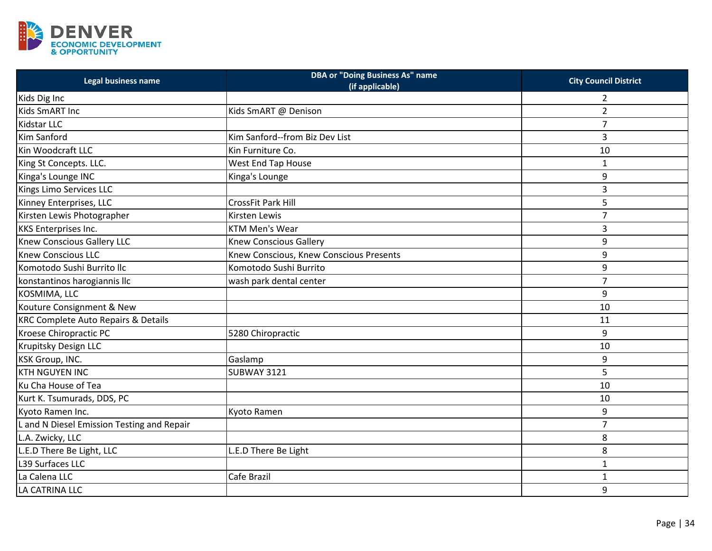

| <b>Legal business name</b>                     | <b>DBA or "Doing Business As" name</b><br>(if applicable) | <b>City Council District</b> |
|------------------------------------------------|-----------------------------------------------------------|------------------------------|
| Kids Dig Inc                                   |                                                           | $\overline{2}$               |
| Kids SmART Inc                                 | Kids SmART @ Denison                                      | $\overline{2}$               |
| Kidstar LLC                                    |                                                           | $\overline{7}$               |
| Kim Sanford                                    | Kim Sanford--from Biz Dev List                            | 3                            |
| Kin Woodcraft LLC                              | Kin Furniture Co.                                         | 10                           |
| King St Concepts. LLC.                         | <b>West End Tap House</b>                                 | $\mathbf{1}$                 |
| Kinga's Lounge INC                             | Kinga's Lounge                                            | 9                            |
| Kings Limo Services LLC                        |                                                           | 3                            |
| Kinney Enterprises, LLC                        | <b>CrossFit Park Hill</b>                                 | 5                            |
| Kirsten Lewis Photographer                     | <b>Kirsten Lewis</b>                                      | 7                            |
| <b>KKS Enterprises Inc.</b>                    | <b>KTM Men's Wear</b>                                     | 3                            |
| <b>Knew Conscious Gallery LLC</b>              | <b>Knew Conscious Gallery</b>                             | 9                            |
| <b>Knew Conscious LLC</b>                      | Knew Conscious, Knew Conscious Presents                   | 9                            |
| Komotodo Sushi Burrito Ilc                     | Komotodo Sushi Burrito                                    | 9                            |
| konstantinos harogiannis IIc                   | wash park dental center                                   | $\overline{7}$               |
| KOSMIMA, LLC                                   |                                                           | 9                            |
| Kouture Consignment & New                      |                                                           | 10                           |
| <b>KRC Complete Auto Repairs &amp; Details</b> |                                                           | 11                           |
| Kroese Chiropractic PC                         | 5280 Chiropractic                                         | 9                            |
| Krupitsky Design LLC                           |                                                           | 10                           |
| <b>KSK Group, INC.</b>                         | Gaslamp                                                   | 9                            |
| <b>KTH NGUYEN INC</b>                          | <b>SUBWAY 3121</b>                                        | 5                            |
| Ku Cha House of Tea                            |                                                           | 10                           |
| Kurt K. Tsumurads, DDS, PC                     |                                                           | 10                           |
| Kyoto Ramen Inc.                               | Kyoto Ramen                                               | 9                            |
| L and N Diesel Emission Testing and Repair     |                                                           | $\overline{7}$               |
| L.A. Zwicky, LLC                               |                                                           | 8                            |
| L.E.D There Be Light, LLC                      | L.E.D There Be Light                                      | 8                            |
| L39 Surfaces LLC                               |                                                           | $\mathbf{1}$                 |
| La Calena LLC                                  | Cafe Brazil                                               | $\mathbf{1}$                 |
| LA CATRINA LLC                                 |                                                           | 9                            |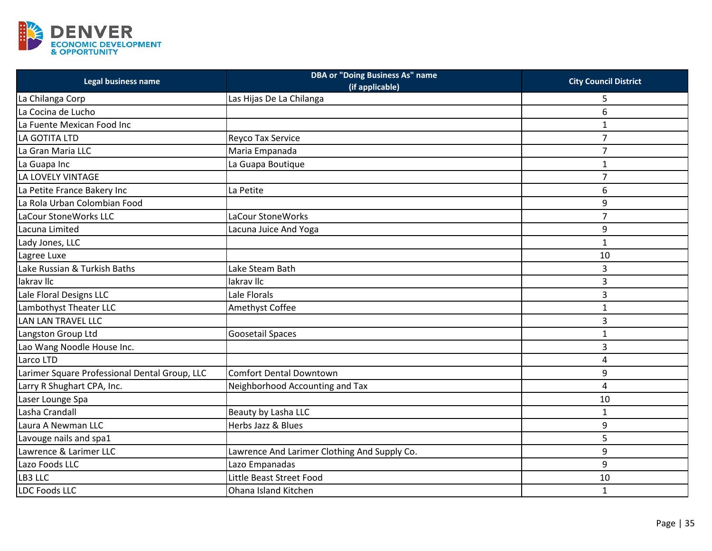

| Legal business name                           | <b>DBA or "Doing Business As" name</b><br>(if applicable) | <b>City Council District</b> |
|-----------------------------------------------|-----------------------------------------------------------|------------------------------|
| La Chilanga Corp                              | Las Hijas De La Chilanga                                  | 5                            |
| La Cocina de Lucho                            |                                                           | 6                            |
| La Fuente Mexican Food Inc                    |                                                           | $\mathbf{1}$                 |
| LA GOTITA LTD                                 | Reyco Tax Service                                         | $\overline{7}$               |
| La Gran Maria LLC                             | Maria Empanada                                            | $\overline{7}$               |
| La Guapa Inc                                  | La Guapa Boutique                                         | $\mathbf{1}$                 |
| LA LOVELY VINTAGE                             |                                                           | $\overline{7}$               |
| La Petite France Bakery Inc                   | La Petite                                                 | 6                            |
| La Rola Urban Colombian Food                  |                                                           | 9                            |
| LaCour StoneWorks LLC                         | LaCour StoneWorks                                         | $\overline{7}$               |
| Lacuna Limited                                | Lacuna Juice And Yoga                                     | 9                            |
| Lady Jones, LLC                               |                                                           | $\mathbf 1$                  |
| Lagree Luxe                                   |                                                           | 10                           |
| Lake Russian & Turkish Baths                  | Lake Steam Bath                                           | 3                            |
| lakrav IIc                                    | lakrav IIc                                                | 3                            |
| Lale Floral Designs LLC                       | Lale Florals                                              | 3                            |
| Lambothyst Theater LLC                        | Amethyst Coffee                                           | $\mathbf{1}$                 |
| LAN LAN TRAVEL LLC                            |                                                           | 3                            |
| Langston Group Ltd                            | <b>Goosetail Spaces</b>                                   | $\mathbf{1}$                 |
| Lao Wang Noodle House Inc.                    |                                                           | 3                            |
| Larco LTD                                     |                                                           | 4                            |
| Larimer Square Professional Dental Group, LLC | <b>Comfort Dental Downtown</b>                            | 9                            |
| Larry R Shughart CPA, Inc.                    | Neighborhood Accounting and Tax                           | $\overline{4}$               |
| Laser Lounge Spa                              |                                                           | 10                           |
| Lasha Crandall                                | Beauty by Lasha LLC                                       | $\mathbf{1}$                 |
| Laura A Newman LLC                            | Herbs Jazz & Blues                                        | 9                            |
| Lavouge nails and spa1                        |                                                           | 5                            |
| Lawrence & Larimer LLC                        | Lawrence And Larimer Clothing And Supply Co.              | 9                            |
| Lazo Foods LLC                                | Lazo Empanadas                                            | 9                            |
| LB3 LLC                                       | Little Beast Street Food                                  | 10                           |
| <b>LDC Foods LLC</b>                          | Ohana Island Kitchen                                      | $\mathbf{1}$                 |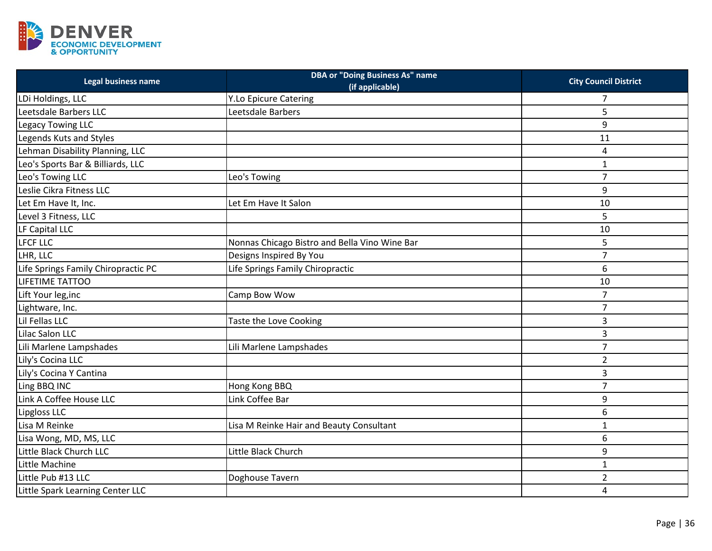

| Legal business name                 | <b>DBA or "Doing Business As" name</b><br>(if applicable) | <b>City Council District</b> |
|-------------------------------------|-----------------------------------------------------------|------------------------------|
| LDi Holdings, LLC                   | <b>Y.Lo Epicure Catering</b>                              | 7                            |
| Leetsdale Barbers LLC               | Leetsdale Barbers                                         | 5                            |
| Legacy Towing LLC                   |                                                           | 9                            |
| Legends Kuts and Styles             |                                                           | 11                           |
| Lehman Disability Planning, LLC     |                                                           | 4                            |
| Leo's Sports Bar & Billiards, LLC   |                                                           | $\mathbf{1}$                 |
| Leo's Towing LLC                    | Leo's Towing                                              | $\overline{7}$               |
| Leslie Cikra Fitness LLC            |                                                           | 9                            |
| Let Em Have It, Inc.                | Let Em Have It Salon                                      | 10                           |
| Level 3 Fitness, LLC                |                                                           | 5                            |
| LF Capital LLC                      |                                                           | 10                           |
| <b>LFCF LLC</b>                     | Nonnas Chicago Bistro and Bella Vino Wine Bar             | 5                            |
| LHR, LLC                            | Designs Inspired By You                                   | $\overline{7}$               |
| Life Springs Family Chiropractic PC | Life Springs Family Chiropractic                          | 6                            |
| LIFETIME TATTOO                     |                                                           | 10                           |
| Lift Your leg, inc                  | Camp Bow Wow                                              | $\overline{7}$               |
| Lightware, Inc.                     |                                                           | $\overline{7}$               |
| Lil Fellas LLC                      | Taste the Love Cooking                                    | 3                            |
| Lilac Salon LLC                     |                                                           | 3                            |
| Lili Marlene Lampshades             | Lili Marlene Lampshades                                   | $\overline{7}$               |
| Lily's Cocina LLC                   |                                                           | $\overline{2}$               |
| Lily's Cocina Y Cantina             |                                                           | 3                            |
| Ling BBQ INC                        | Hong Kong BBQ                                             | $\overline{7}$               |
| Link A Coffee House LLC             | Link Coffee Bar                                           | 9                            |
| Lipgloss LLC                        |                                                           | 6                            |
| Lisa M Reinke                       | Lisa M Reinke Hair and Beauty Consultant                  | $\mathbf{1}$                 |
| Lisa Wong, MD, MS, LLC              |                                                           | 6                            |
| Little Black Church LLC             | Little Black Church                                       | 9                            |
| Little Machine                      |                                                           | $\mathbf{1}$                 |
| Little Pub #13 LLC                  | Doghouse Tavern                                           | $\overline{2}$               |
| Little Spark Learning Center LLC    |                                                           | 4                            |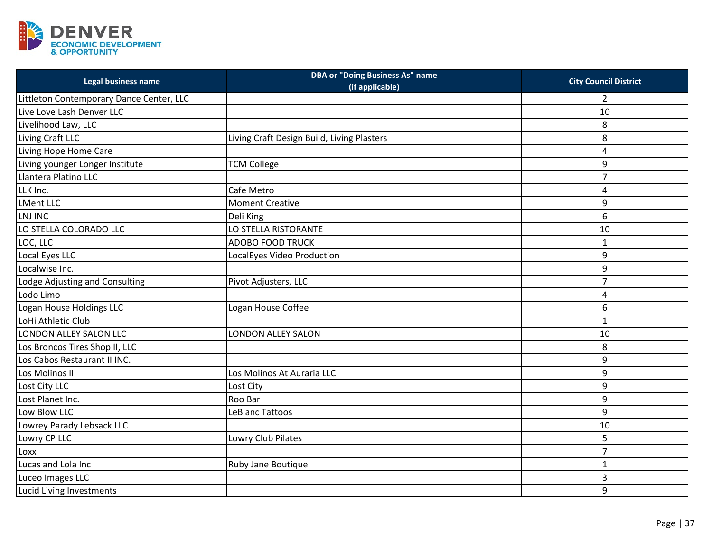

| Legal business name                      | <b>DBA or "Doing Business As" name</b><br>(if applicable) | <b>City Council District</b> |
|------------------------------------------|-----------------------------------------------------------|------------------------------|
| Littleton Contemporary Dance Center, LLC |                                                           | 2                            |
| Live Love Lash Denver LLC                |                                                           | 10                           |
| Livelihood Law, LLC                      |                                                           | 8                            |
| Living Craft LLC                         | Living Craft Design Build, Living Plasters                | 8                            |
| Living Hope Home Care                    |                                                           | 4                            |
| Living younger Longer Institute          | <b>TCM College</b>                                        | 9                            |
| Llantera Platino LLC                     |                                                           | $\overline{7}$               |
| LLK Inc.                                 | Cafe Metro                                                | 4                            |
| <b>LMent LLC</b>                         | <b>Moment Creative</b>                                    | 9                            |
| LNJ INC                                  | Deli King                                                 | 6                            |
| LO STELLA COLORADO LLC                   | LO STELLA RISTORANTE                                      | 10                           |
| LOC, LLC                                 | <b>ADOBO FOOD TRUCK</b>                                   | $\mathbf{1}$                 |
| Local Eyes LLC                           | LocalEyes Video Production                                | 9                            |
| Localwise Inc.                           |                                                           | 9                            |
| Lodge Adjusting and Consulting           | Pivot Adjusters, LLC                                      | $\overline{7}$               |
| Lodo Limo                                |                                                           | 4                            |
| Logan House Holdings LLC                 | Logan House Coffee                                        | 6                            |
| LoHi Athletic Club                       |                                                           | $\mathbf 1$                  |
| LONDON ALLEY SALON LLC                   | LONDON ALLEY SALON                                        | 10                           |
| Los Broncos Tires Shop II, LLC           |                                                           | 8                            |
| Los Cabos Restaurant II INC.             |                                                           | 9                            |
| Los Molinos II                           | Los Molinos At Auraria LLC                                | 9                            |
| Lost City LLC                            | Lost City                                                 | 9                            |
| Lost Planet Inc.                         | Roo Bar                                                   | 9                            |
| Low Blow LLC                             | LeBlanc Tattoos                                           | 9                            |
| Lowrey Parady Lebsack LLC                |                                                           | 10                           |
| Lowry CP LLC                             | Lowry Club Pilates                                        | 5                            |
| Loxx                                     |                                                           | $\overline{7}$               |
| Lucas and Lola Inc                       | Ruby Jane Boutique                                        | $\mathbf{1}$                 |
| Luceo Images LLC                         |                                                           | 3                            |
| Lucid Living Investments                 |                                                           | 9                            |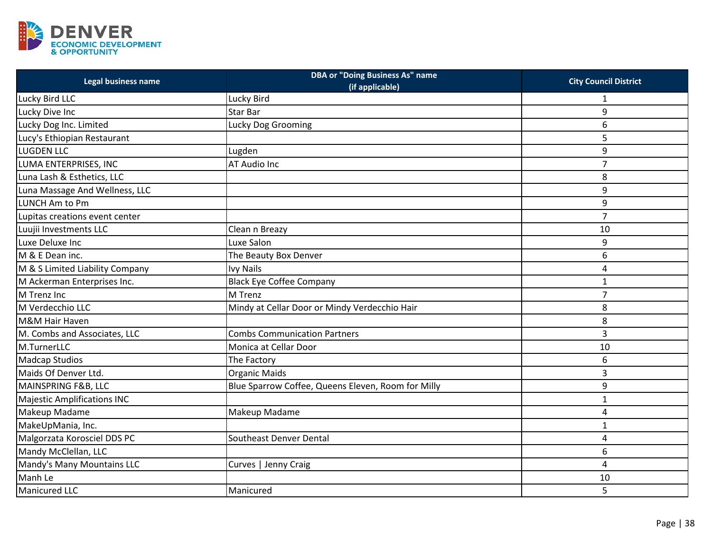

| Legal business name                | <b>DBA or "Doing Business As" name</b><br>(if applicable) | <b>City Council District</b> |
|------------------------------------|-----------------------------------------------------------|------------------------------|
| Lucky Bird LLC                     | Lucky Bird                                                | 1                            |
| Lucky Dive Inc                     | Star Bar                                                  | 9                            |
| Lucky Dog Inc. Limited             | Lucky Dog Grooming                                        | 6                            |
| Lucy's Ethiopian Restaurant        |                                                           | 5                            |
| <b>LUGDEN LLC</b>                  | Lugden                                                    | 9                            |
| LUMA ENTERPRISES, INC              | AT Audio Inc                                              | $\overline{7}$               |
| Luna Lash & Esthetics, LLC         |                                                           | 8                            |
| Luna Massage And Wellness, LLC     |                                                           | 9                            |
| LUNCH Am to Pm                     |                                                           | 9                            |
| Lupitas creations event center     |                                                           | $\overline{7}$               |
| Luujii Investments LLC             | Clean n Breazy                                            | 10                           |
| Luxe Deluxe Inc                    | Luxe Salon                                                | 9                            |
| M & E Dean inc.                    | The Beauty Box Denver                                     | 6                            |
| M & S Limited Liability Company    | <b>Ivy Nails</b>                                          | 4                            |
| M Ackerman Enterprises Inc.        | <b>Black Eye Coffee Company</b>                           | $\mathbf{1}$                 |
| M Trenz Inc                        | M Trenz                                                   | $\overline{7}$               |
| M Verdecchio LLC                   | Mindy at Cellar Door or Mindy Verdecchio Hair             | 8                            |
| <b>M&amp;M Hair Haven</b>          |                                                           | 8                            |
| M. Combs and Associates, LLC       | <b>Combs Communication Partners</b>                       | 3                            |
| M.TurnerLLC                        | Monica at Cellar Door                                     | 10                           |
| <b>Madcap Studios</b>              | The Factory                                               | 6                            |
| Maids Of Denver Ltd.               | <b>Organic Maids</b>                                      | 3                            |
| MAINSPRING F&B, LLC                | Blue Sparrow Coffee, Queens Eleven, Room for Milly        | 9                            |
| <b>Majestic Amplifications INC</b> |                                                           | $\mathbf{1}$                 |
| Makeup Madame                      | Makeup Madame                                             | 4                            |
| MakeUpMania, Inc.                  |                                                           | $\mathbf{1}$                 |
| Malgorzata Korosciel DDS PC        | Southeast Denver Dental                                   | 4                            |
| Mandy McClellan, LLC               |                                                           | 6                            |
| Mandy's Many Mountains LLC         | Curves   Jenny Craig                                      | $\overline{4}$               |
| Manh Le                            |                                                           | 10                           |
| Manicured LLC                      | Manicured                                                 | 5                            |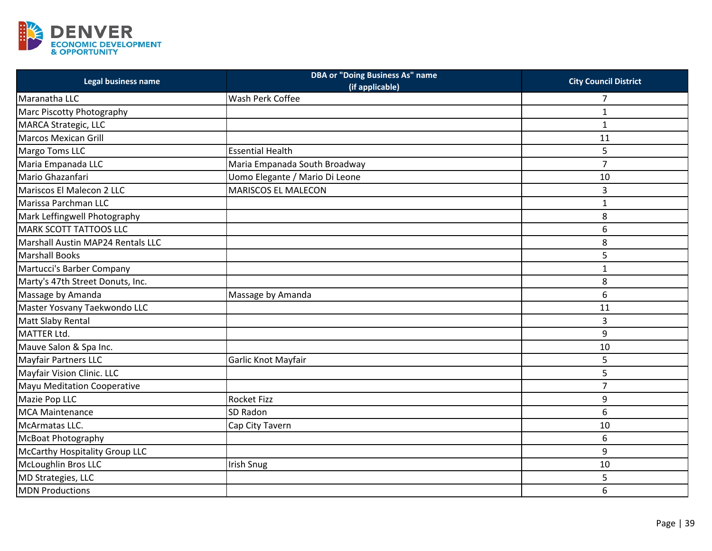

| Legal business name               | <b>DBA or "Doing Business As" name</b><br>(if applicable) | <b>City Council District</b> |
|-----------------------------------|-----------------------------------------------------------|------------------------------|
| Maranatha LLC                     | Wash Perk Coffee                                          | 7                            |
| Marc Piscotty Photography         |                                                           | $\mathbf{1}$                 |
| MARCA Strategic, LLC              |                                                           | $\mathbf{1}$                 |
| <b>Marcos Mexican Grill</b>       |                                                           | 11                           |
| Margo Toms LLC                    | <b>Essential Health</b>                                   | 5                            |
| Maria Empanada LLC                | Maria Empanada South Broadway                             | $\overline{7}$               |
| Mario Ghazanfari                  | Uomo Elegante / Mario Di Leone                            | 10                           |
| Mariscos El Malecon 2 LLC         | <b>MARISCOS EL MALECON</b>                                | 3                            |
| Marissa Parchman LLC              |                                                           | 1                            |
| Mark Leffingwell Photography      |                                                           | 8                            |
| <b>MARK SCOTT TATTOOS LLC</b>     |                                                           | 6                            |
| Marshall Austin MAP24 Rentals LLC |                                                           | 8                            |
| <b>Marshall Books</b>             |                                                           | 5                            |
| Martucci's Barber Company         |                                                           | $\mathbf{1}$                 |
| Marty's 47th Street Donuts, Inc.  |                                                           | 8                            |
| Massage by Amanda                 | Massage by Amanda                                         | 6                            |
| Master Yosvany Taekwondo LLC      |                                                           | 11                           |
| Matt Slaby Rental                 |                                                           | 3                            |
| MATTER Ltd.                       |                                                           | 9                            |
| Mauve Salon & Spa Inc.            |                                                           | 10                           |
| <b>Mayfair Partners LLC</b>       | Garlic Knot Mayfair                                       | 5                            |
| Mayfair Vision Clinic. LLC        |                                                           | 5                            |
| Mayu Meditation Cooperative       |                                                           | $\overline{7}$               |
| Mazie Pop LLC                     | <b>Rocket Fizz</b>                                        | 9                            |
| <b>MCA Maintenance</b>            | SD Radon                                                  | 6                            |
| McArmatas LLC.                    | Cap City Tavern                                           | 10                           |
| <b>McBoat Photography</b>         |                                                           | 6                            |
| McCarthy Hospitality Group LLC    |                                                           | 9                            |
| McLoughlin Bros LLC               | <b>Irish Snug</b>                                         | 10                           |
| MD Strategies, LLC                |                                                           | 5                            |
| <b>MDN Productions</b>            |                                                           | 6                            |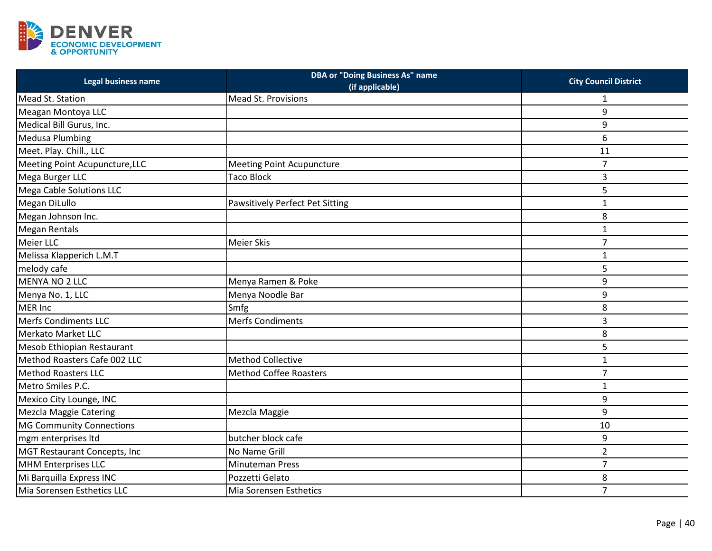

| Legal business name                 | <b>DBA or "Doing Business As" name</b><br>(if applicable) | <b>City Council District</b> |
|-------------------------------------|-----------------------------------------------------------|------------------------------|
| Mead St. Station                    | Mead St. Provisions                                       | 1                            |
| Meagan Montoya LLC                  |                                                           | 9                            |
| Medical Bill Gurus, Inc.            |                                                           | 9                            |
| <b>Medusa Plumbing</b>              |                                                           | 6                            |
| Meet. Play. Chill., LLC             |                                                           | 11                           |
| Meeting Point Acupuncture, LLC      | <b>Meeting Point Acupuncture</b>                          | $\overline{7}$               |
| Mega Burger LLC                     | <b>Taco Block</b>                                         | 3                            |
| Mega Cable Solutions LLC            |                                                           | 5                            |
| Megan DiLullo                       | Pawsitively Perfect Pet Sitting                           | $\mathbf{1}$                 |
| Megan Johnson Inc.                  |                                                           | 8                            |
| <b>Megan Rentals</b>                |                                                           | $\mathbf 1$                  |
| Meier LLC                           | <b>Meier Skis</b>                                         | $\overline{7}$               |
| Melissa Klapperich L.M.T            |                                                           | $\mathbf{1}$                 |
| melody cafe                         |                                                           | 5                            |
| <b>MENYA NO 2 LLC</b>               | Menya Ramen & Poke                                        | 9                            |
| Menya No. 1, LLC                    | Menya Noodle Bar                                          | 9                            |
| MER Inc                             | Smfg                                                      | 8                            |
| <b>Merfs Condiments LLC</b>         | <b>Merfs Condiments</b>                                   | 3                            |
| Merkato Market LLC                  |                                                           | 8                            |
| Mesob Ethiopian Restaurant          |                                                           | 5                            |
| Method Roasters Cafe 002 LLC        | <b>Method Collective</b>                                  | $\mathbf 1$                  |
| <b>Method Roasters LLC</b>          | <b>Method Coffee Roasters</b>                             | $\overline{7}$               |
| Metro Smiles P.C.                   |                                                           | $\mathbf{1}$                 |
| Mexico City Lounge, INC             |                                                           | 9                            |
| <b>Mezcla Maggie Catering</b>       | Mezcla Maggie                                             | 9                            |
| <b>MG Community Connections</b>     |                                                           | 10                           |
| mgm enterprises ltd                 | butcher block cafe                                        | 9                            |
| <b>MGT Restaurant Concepts, Inc</b> | No Name Grill                                             | $\overline{2}$               |
| <b>MHM Enterprises LLC</b>          | <b>Minuteman Press</b>                                    | $\overline{7}$               |
| Mi Barquilla Express INC            | Pozzetti Gelato                                           | 8                            |
| Mia Sorensen Esthetics LLC          | Mia Sorensen Esthetics                                    | $\overline{7}$               |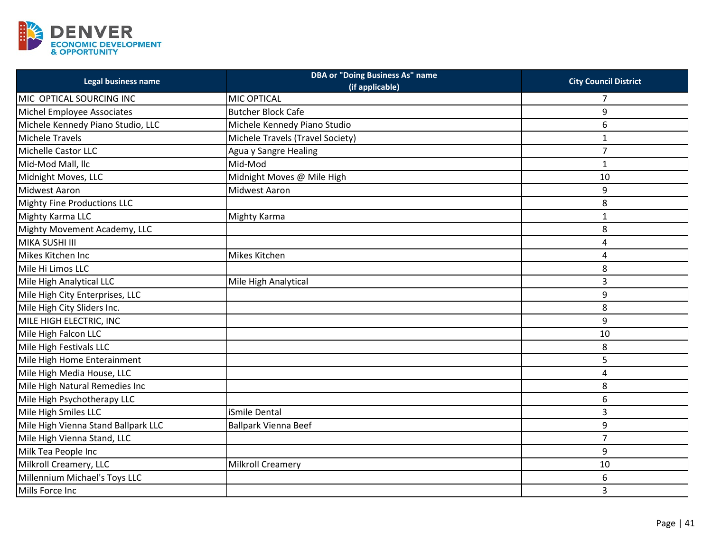

| Legal business name                 | <b>DBA or "Doing Business As" name</b><br>(if applicable) | <b>City Council District</b> |
|-------------------------------------|-----------------------------------------------------------|------------------------------|
| MIC OPTICAL SOURCING INC            | MIC OPTICAL                                               | 7                            |
| Michel Employee Associates          | <b>Butcher Block Cafe</b>                                 | 9                            |
| Michele Kennedy Piano Studio, LLC   | Michele Kennedy Piano Studio                              | 6                            |
| Michele Travels                     | Michele Travels (Travel Society)                          | $\mathbf{1}$                 |
| <b>Michelle Castor LLC</b>          | Agua y Sangre Healing                                     | $\overline{7}$               |
| Mid-Mod Mall, llc                   | Mid-Mod                                                   | $\mathbf{1}$                 |
| Midnight Moves, LLC                 | Midnight Moves @ Mile High                                | 10                           |
| Midwest Aaron                       | Midwest Aaron                                             | 9                            |
| <b>Mighty Fine Productions LLC</b>  |                                                           | 8                            |
| Mighty Karma LLC                    | Mighty Karma                                              | $\mathbf 1$                  |
| Mighty Movement Academy, LLC        |                                                           | 8                            |
| MIKA SUSHI III                      |                                                           | 4                            |
| Mikes Kitchen Inc                   | Mikes Kitchen                                             | 4                            |
| Mile Hi Limos LLC                   |                                                           | 8                            |
| Mile High Analytical LLC            | Mile High Analytical                                      | 3                            |
| Mile High City Enterprises, LLC     |                                                           | 9                            |
| Mile High City Sliders Inc.         |                                                           | 8                            |
| MILE HIGH ELECTRIC, INC             |                                                           | 9                            |
| Mile High Falcon LLC                |                                                           | 10                           |
| Mile High Festivals LLC             |                                                           | 8                            |
| Mile High Home Enterainment         |                                                           | 5                            |
| Mile High Media House, LLC          |                                                           | $\overline{4}$               |
| Mile High Natural Remedies Inc      |                                                           | 8                            |
| Mile High Psychotherapy LLC         |                                                           | 6                            |
| Mile High Smiles LLC                | iSmile Dental                                             | 3                            |
| Mile High Vienna Stand Ballpark LLC | <b>Ballpark Vienna Beef</b>                               | 9                            |
| Mile High Vienna Stand, LLC         |                                                           | $\overline{7}$               |
| Milk Tea People Inc                 |                                                           | 9                            |
| Milkroll Creamery, LLC              | <b>Milkroll Creamery</b>                                  | 10                           |
| Millennium Michael's Toys LLC       |                                                           | 6                            |
| Mills Force Inc                     |                                                           | 3                            |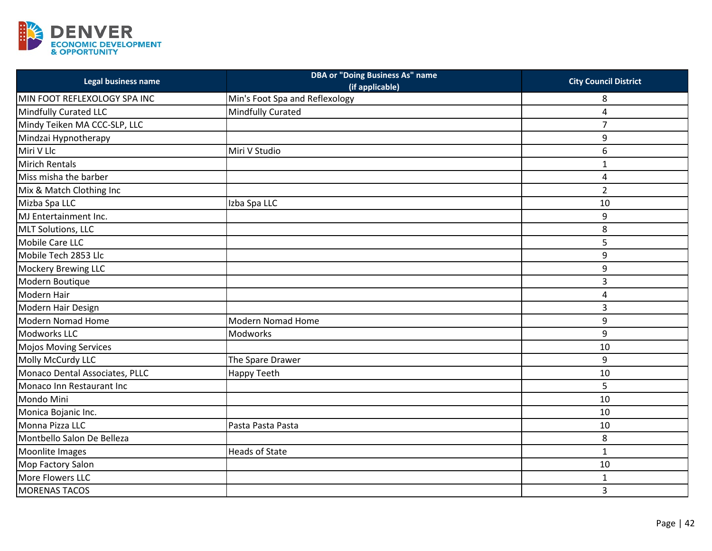

| Legal business name            | <b>DBA or "Doing Business As" name</b><br>(if applicable) | <b>City Council District</b> |
|--------------------------------|-----------------------------------------------------------|------------------------------|
| MIN FOOT REFLEXOLOGY SPA INC   | Min's Foot Spa and Reflexology                            | 8                            |
| Mindfully Curated LLC          | Mindfully Curated                                         | 4                            |
| Mindy Teiken MA CCC-SLP, LLC   |                                                           | $\overline{7}$               |
| Mindzai Hypnotherapy           |                                                           | 9                            |
| Miri V Llc                     | Miri V Studio                                             | 6                            |
| <b>Mirich Rentals</b>          |                                                           | $\mathbf 1$                  |
| Miss misha the barber          |                                                           | 4                            |
| Mix & Match Clothing Inc       |                                                           | $\overline{2}$               |
| Mizba Spa LLC                  | Izba Spa LLC                                              | 10                           |
| MJ Entertainment Inc.          |                                                           | 9                            |
| <b>MLT Solutions, LLC</b>      |                                                           | 8                            |
| Mobile Care LLC                |                                                           | 5                            |
| Mobile Tech 2853 Llc           |                                                           | 9                            |
| <b>Mockery Brewing LLC</b>     |                                                           | 9                            |
| Modern Boutique                |                                                           | 3                            |
| Modern Hair                    |                                                           | 4                            |
| Modern Hair Design             |                                                           | 3                            |
| Modern Nomad Home              | <b>Modern Nomad Home</b>                                  | 9                            |
| Modworks LLC                   | Modworks                                                  | 9                            |
| <b>Mojos Moving Services</b>   |                                                           | 10                           |
| Molly McCurdy LLC              | The Spare Drawer                                          | 9                            |
| Monaco Dental Associates, PLLC | <b>Happy Teeth</b>                                        | 10                           |
| Monaco Inn Restaurant Inc      |                                                           | 5                            |
| Mondo Mini                     |                                                           | 10                           |
| Monica Bojanic Inc.            |                                                           | 10                           |
| Monna Pizza LLC                | Pasta Pasta Pasta                                         | 10                           |
| Montbello Salon De Belleza     |                                                           | 8                            |
| Moonlite Images                | <b>Heads of State</b>                                     | $\mathbf 1$                  |
| Mop Factory Salon              |                                                           | 10                           |
| More Flowers LLC               |                                                           | 1                            |
| <b>MORENAS TACOS</b>           |                                                           | 3                            |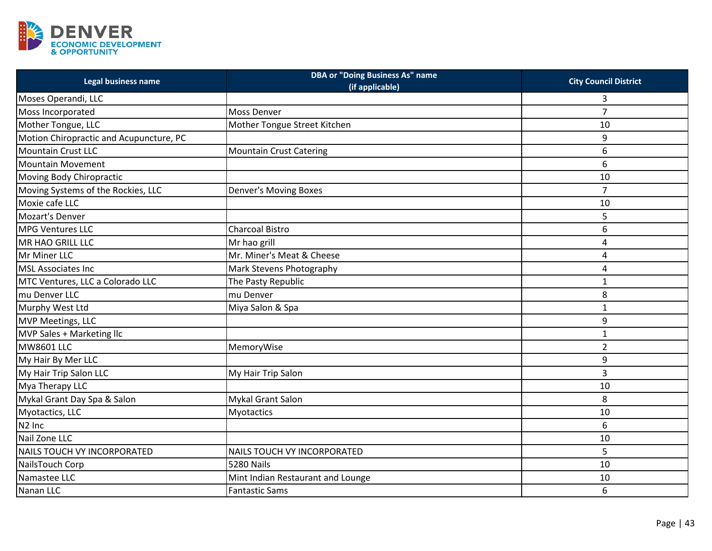

| <b>Legal business name</b>              | <b>DBA or "Doing Business As" name</b><br>(if applicable) | <b>City Council District</b> |
|-----------------------------------------|-----------------------------------------------------------|------------------------------|
| Moses Operandi, LLC                     |                                                           | 3                            |
| Moss Incorporated                       | Moss Denver                                               | $\overline{7}$               |
| Mother Tongue, LLC                      | Mother Tongue Street Kitchen                              | 10                           |
| Motion Chiropractic and Acupuncture, PC |                                                           | 9                            |
| <b>Mountain Crust LLC</b>               | <b>Mountain Crust Catering</b>                            | 6                            |
| <b>Mountain Movement</b>                |                                                           | 6                            |
| Moving Body Chiropractic                |                                                           | 10                           |
| Moving Systems of the Rockies, LLC      | Denver's Moving Boxes                                     | $\overline{7}$               |
| Moxie cafe LLC                          |                                                           | 10                           |
| <b>Mozart's Denver</b>                  |                                                           | 5                            |
| <b>MPG Ventures LLC</b>                 | <b>Charcoal Bistro</b>                                    | 6                            |
| MR HAO GRILL LLC                        | Mr hao grill                                              | 4                            |
| Mr Miner LLC                            | Mr. Miner's Meat & Cheese                                 | 4                            |
| <b>MSL Associates Inc</b>               | Mark Stevens Photography                                  | 4                            |
| MTC Ventures, LLC a Colorado LLC        | The Pasty Republic                                        | $\mathbf{1}$                 |
| mu Denver LLC                           | mu Denver                                                 | 8                            |
| Murphy West Ltd                         | Miya Salon & Spa                                          | 1                            |
| MVP Meetings, LLC                       |                                                           | 9                            |
| MVP Sales + Marketing Ilc               |                                                           | $\mathbf{1}$                 |
| <b>MW8601 LLC</b>                       | MemoryWise                                                | $\overline{2}$               |
| My Hair By Mer LLC                      |                                                           | 9                            |
| My Hair Trip Salon LLC                  | My Hair Trip Salon                                        | 3                            |
| Mya Therapy LLC                         |                                                           | 10                           |
| Mykal Grant Day Spa & Salon             | Mykal Grant Salon                                         | 8                            |
| Myotactics, LLC                         | <b>Myotactics</b>                                         | 10                           |
| N <sub>2</sub> Inc                      |                                                           | 6                            |
| Nail Zone LLC                           |                                                           | 10                           |
| NAILS TOUCH VY INCORPORATED             | NAILS TOUCH VY INCORPORATED                               | 5                            |
| NailsTouch Corp                         | 5280 Nails                                                | 10                           |
| Namastee LLC                            | Mint Indian Restaurant and Lounge                         | 10                           |
| Nanan LLC                               | <b>Fantastic Sams</b>                                     | 6                            |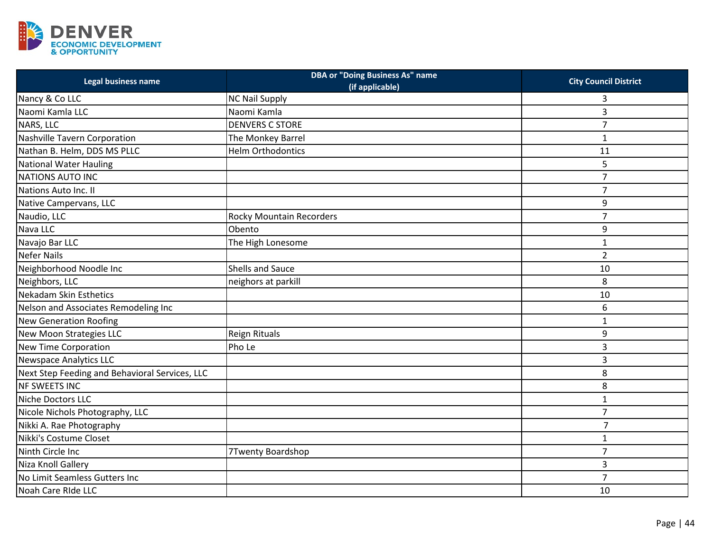

| Legal business name                            | <b>DBA or "Doing Business As" name</b><br>(if applicable) | <b>City Council District</b> |
|------------------------------------------------|-----------------------------------------------------------|------------------------------|
| Nancy & Co LLC                                 | <b>NC Nail Supply</b>                                     | 3                            |
| Naomi Kamla LLC                                | Naomi Kamla                                               | 3                            |
| NARS, LLC                                      | <b>DENVERS C STORE</b>                                    | $\overline{7}$               |
| Nashville Tavern Corporation                   | The Monkey Barrel                                         | $\mathbf 1$                  |
| Nathan B. Helm, DDS MS PLLC                    | <b>Helm Orthodontics</b>                                  | 11                           |
| <b>National Water Hauling</b>                  |                                                           | 5                            |
| <b>NATIONS AUTO INC</b>                        |                                                           | $\overline{7}$               |
| Nations Auto Inc. II                           |                                                           | $\overline{7}$               |
| Native Campervans, LLC                         |                                                           | 9                            |
| Naudio, LLC                                    | <b>Rocky Mountain Recorders</b>                           | $\overline{7}$               |
| Nava LLC                                       | Obento                                                    | 9                            |
| Navajo Bar LLC                                 | The High Lonesome                                         | $\mathbf{1}$                 |
| <b>Nefer Nails</b>                             |                                                           | $\overline{2}$               |
| Neighborhood Noodle Inc                        | Shells and Sauce                                          | 10                           |
| Neighbors, LLC                                 | neighors at parkill                                       | 8                            |
| Nekadam Skin Esthetics                         |                                                           | 10                           |
| Nelson and Associates Remodeling Inc           |                                                           | 6                            |
| <b>New Generation Roofing</b>                  |                                                           | $\mathbf{1}$                 |
| New Moon Strategies LLC                        | Reign Rituals                                             | 9                            |
| <b>New Time Corporation</b>                    | Pho Le                                                    | 3                            |
| <b>Newspace Analytics LLC</b>                  |                                                           | 3                            |
| Next Step Feeding and Behavioral Services, LLC |                                                           | 8                            |
| <b>NF SWEETS INC</b>                           |                                                           | 8                            |
| Niche Doctors LLC                              |                                                           | $\mathbf{1}$                 |
| Nicole Nichols Photography, LLC                |                                                           | $\overline{7}$               |
| Nikki A. Rae Photography                       |                                                           | $\overline{7}$               |
| Nikki's Costume Closet                         |                                                           | $\mathbf{1}$                 |
| Ninth Circle Inc                               | 7Twenty Boardshop                                         | $\overline{7}$               |
| Niza Knoll Gallery                             |                                                           | 3                            |
| No Limit Seamless Gutters Inc                  |                                                           | $\overline{7}$               |
| Noah Care Ride LLC                             |                                                           | 10                           |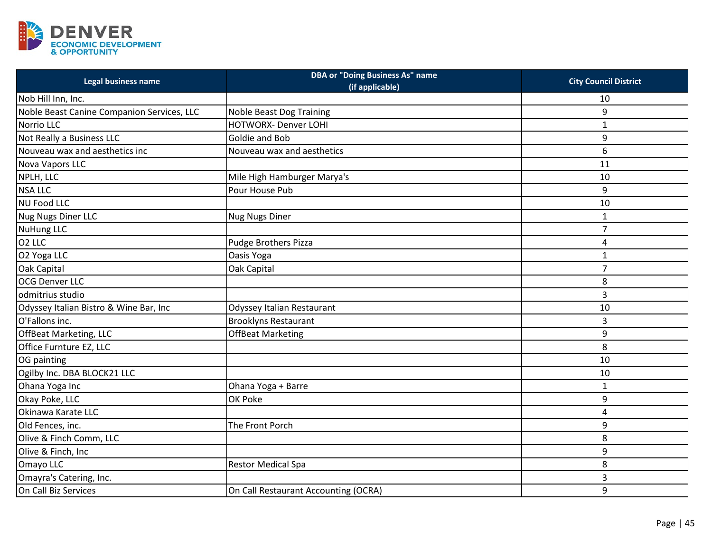

| Legal business name                        | <b>DBA or "Doing Business As" name</b><br>(if applicable) | <b>City Council District</b> |
|--------------------------------------------|-----------------------------------------------------------|------------------------------|
| Nob Hill Inn, Inc.                         |                                                           | 10                           |
| Noble Beast Canine Companion Services, LLC | <b>Noble Beast Dog Training</b>                           | 9                            |
| Norrio LLC                                 | <b>HOTWORX- Denver LOHI</b>                               | $\mathbf{1}$                 |
| Not Really a Business LLC                  | Goldie and Bob                                            | 9                            |
| Nouveau wax and aesthetics inc             | Nouveau wax and aesthetics                                | 6                            |
| Nova Vapors LLC                            |                                                           | 11                           |
| NPLH, LLC                                  | Mile High Hamburger Marya's                               | 10                           |
| <b>NSA LLC</b>                             | Pour House Pub                                            | 9                            |
| <b>NU Food LLC</b>                         |                                                           | 10                           |
| Nug Nugs Diner LLC                         | <b>Nug Nugs Diner</b>                                     | 1                            |
| <b>NuHung LLC</b>                          |                                                           | $\overline{7}$               |
| O <sub>2</sub> LLC                         | Pudge Brothers Pizza                                      | 4                            |
| O2 Yoga LLC                                | Oasis Yoga                                                | $\mathbf{1}$                 |
| Oak Capital                                | Oak Capital                                               | $\overline{7}$               |
| <b>OCG Denver LLC</b>                      |                                                           | 8                            |
| odmitrius studio                           |                                                           | 3                            |
| Odyssey Italian Bistro & Wine Bar, Inc     | Odyssey Italian Restaurant                                | 10                           |
| O'Fallons inc.                             | <b>Brooklyns Restaurant</b>                               | 3                            |
| OffBeat Marketing, LLC                     | <b>OffBeat Marketing</b>                                  | 9                            |
| Office Furnture EZ, LLC                    |                                                           | 8                            |
| OG painting                                |                                                           | 10                           |
| Ogilby Inc. DBA BLOCK21 LLC                |                                                           | 10                           |
| Ohana Yoga Inc                             | Ohana Yoga + Barre                                        | $\mathbf{1}$                 |
| Okay Poke, LLC                             | OK Poke                                                   | 9                            |
| Okinawa Karate LLC                         |                                                           | 4                            |
| Old Fences, inc.                           | The Front Porch                                           | 9                            |
| Olive & Finch Comm, LLC                    |                                                           | 8                            |
| Olive & Finch, Inc                         |                                                           | 9                            |
| Omayo LLC                                  | <b>Restor Medical Spa</b>                                 | 8                            |
| Omayra's Catering, Inc.                    |                                                           | 3                            |
| On Call Biz Services                       | On Call Restaurant Accounting (OCRA)                      | 9                            |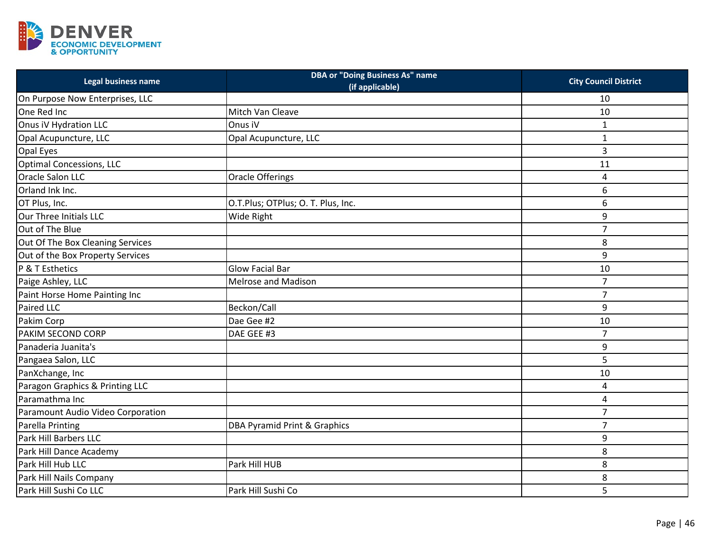

| Legal business name               | <b>DBA or "Doing Business As" name</b><br>(if applicable) | <b>City Council District</b> |
|-----------------------------------|-----------------------------------------------------------|------------------------------|
| On Purpose Now Enterprises, LLC   |                                                           | 10                           |
| One Red Inc                       | Mitch Van Cleave                                          | 10                           |
| Onus iV Hydration LLC             | Onus iV                                                   | $\mathbf{1}$                 |
| Opal Acupuncture, LLC             | Opal Acupuncture, LLC                                     | $\mathbf{1}$                 |
| Opal Eyes                         |                                                           | 3                            |
| Optimal Concessions, LLC          |                                                           | 11                           |
| <b>Oracle Salon LLC</b>           | Oracle Offerings                                          | 4                            |
| Orland Ink Inc.                   |                                                           | 6                            |
| OT Plus, Inc.                     | O.T.Plus; OTPlus; O. T. Plus, Inc.                        | 6                            |
| Our Three Initials LLC            | Wide Right                                                | 9                            |
| Out of The Blue                   |                                                           | $\overline{7}$               |
| Out Of The Box Cleaning Services  |                                                           | 8                            |
| Out of the Box Property Services  |                                                           | 9                            |
| P & T Esthetics                   | <b>Glow Facial Bar</b>                                    | 10                           |
| Paige Ashley, LLC                 | <b>Melrose and Madison</b>                                | $\overline{7}$               |
| Paint Horse Home Painting Inc     |                                                           | $\overline{7}$               |
| Paired LLC                        | Beckon/Call                                               | 9                            |
| Pakim Corp                        | Dae Gee #2                                                | 10                           |
| PAKIM SECOND CORP                 | DAE GEE #3                                                | $\overline{7}$               |
| Panaderia Juanita's               |                                                           | 9                            |
| Pangaea Salon, LLC                |                                                           | 5                            |
| PanXchange, Inc                   |                                                           | 10                           |
| Paragon Graphics & Printing LLC   |                                                           | 4                            |
| Paramathma Inc                    |                                                           | 4                            |
| Paramount Audio Video Corporation |                                                           | $\overline{7}$               |
| <b>Parella Printing</b>           | DBA Pyramid Print & Graphics                              | $\overline{7}$               |
| Park Hill Barbers LLC             |                                                           | 9                            |
| Park Hill Dance Academy           |                                                           | 8                            |
| Park Hill Hub LLC                 | Park Hill HUB                                             | 8                            |
| Park Hill Nails Company           |                                                           | 8                            |
| Park Hill Sushi Co LLC            | Park Hill Sushi Co                                        | 5                            |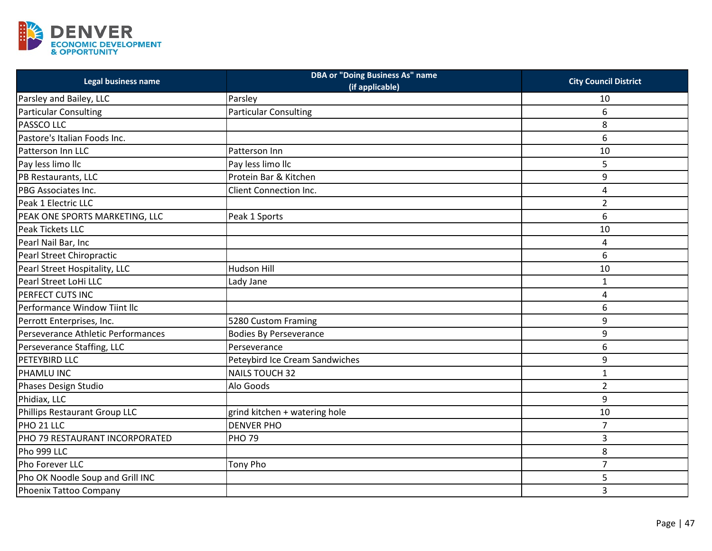

| Legal business name                | <b>DBA or "Doing Business As" name</b><br>(if applicable) | <b>City Council District</b> |
|------------------------------------|-----------------------------------------------------------|------------------------------|
| Parsley and Bailey, LLC            | Parsley                                                   | 10                           |
| <b>Particular Consulting</b>       | <b>Particular Consulting</b>                              | 6                            |
| <b>PASSCO LLC</b>                  |                                                           | 8                            |
| Pastore's Italian Foods Inc.       |                                                           | 6                            |
| Patterson Inn LLC                  | Patterson Inn                                             | 10                           |
| Pay less limo llc                  | Pay less limo llc                                         | 5                            |
| PB Restaurants, LLC                | Protein Bar & Kitchen                                     | 9                            |
| PBG Associates Inc.                | <b>Client Connection Inc.</b>                             | 4                            |
| Peak 1 Electric LLC                |                                                           | $\overline{2}$               |
| PEAK ONE SPORTS MARKETING, LLC     | Peak 1 Sports                                             | 6                            |
| Peak Tickets LLC                   |                                                           | 10                           |
| Pearl Nail Bar, Inc                |                                                           | 4                            |
| Pearl Street Chiropractic          |                                                           | 6                            |
| Pearl Street Hospitality, LLC      | <b>Hudson Hill</b>                                        | 10                           |
| Pearl Street LoHi LLC              | Lady Jane                                                 | $\mathbf{1}$                 |
| PERFECT CUTS INC                   |                                                           | 4                            |
| Performance Window Tiint Ilc       |                                                           | 6                            |
| Perrott Enterprises, Inc.          | 5280 Custom Framing                                       | 9                            |
| Perseverance Athletic Performances | <b>Bodies By Perseverance</b>                             | 9                            |
| Perseverance Staffing, LLC         | Perseverance                                              | 6                            |
| <b>PETEYBIRD LLC</b>               | Peteybird Ice Cream Sandwiches                            | 9                            |
| PHAMLU INC                         | <b>NAILS TOUCH 32</b>                                     | $\mathbf{1}$                 |
| <b>Phases Design Studio</b>        | Alo Goods                                                 | $\overline{2}$               |
| Phidiax, LLC                       |                                                           | 9                            |
| Phillips Restaurant Group LLC      | grind kitchen + watering hole                             | 10                           |
| PHO 21 LLC                         | <b>DENVER PHO</b>                                         | $\overline{7}$               |
| PHO 79 RESTAURANT INCORPORATED     | <b>PHO 79</b>                                             | 3                            |
| Pho 999 LLC                        |                                                           | 8                            |
| Pho Forever LLC                    | Tony Pho                                                  | $\overline{7}$               |
| Pho OK Noodle Soup and Grill INC   |                                                           | 5                            |
| Phoenix Tattoo Company             |                                                           | 3                            |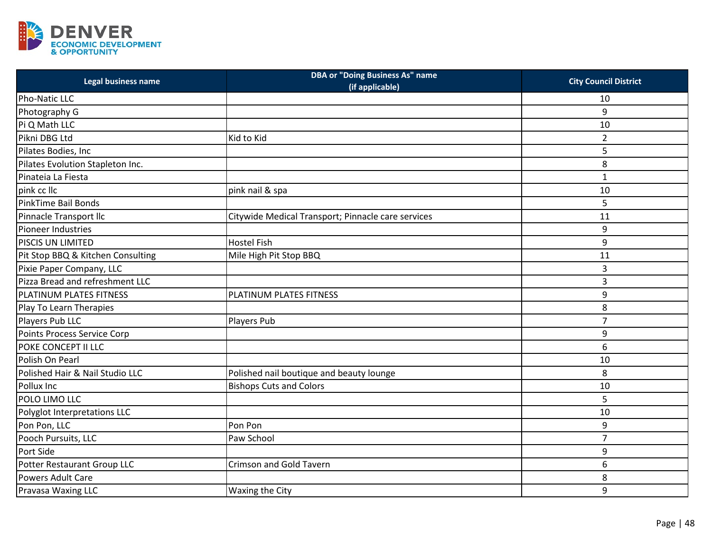

| Legal business name                | <b>DBA or "Doing Business As" name</b><br>(if applicable) | <b>City Council District</b> |
|------------------------------------|-----------------------------------------------------------|------------------------------|
| Pho-Natic LLC                      |                                                           | 10                           |
| Photography G                      |                                                           | 9                            |
| Pi Q Math LLC                      |                                                           | 10                           |
| Pikni DBG Ltd                      | Kid to Kid                                                | $\overline{2}$               |
| Pilates Bodies, Inc                |                                                           | 5                            |
| Pilates Evolution Stapleton Inc.   |                                                           | 8                            |
| Pinateia La Fiesta                 |                                                           | 1                            |
| pink cc IIc                        | pink nail & spa                                           | 10                           |
| PinkTime Bail Bonds                |                                                           | 5                            |
| Pinnacle Transport Ilc             | Citywide Medical Transport; Pinnacle care services        | 11                           |
| Pioneer Industries                 |                                                           | 9                            |
| PISCIS UN LIMITED                  | <b>Hostel Fish</b>                                        | 9                            |
| Pit Stop BBQ & Kitchen Consulting  | Mile High Pit Stop BBQ                                    | 11                           |
| Pixie Paper Company, LLC           |                                                           | 3                            |
| Pizza Bread and refreshment LLC    |                                                           | 3                            |
| PLATINUM PLATES FITNESS            | PLATINUM PLATES FITNESS                                   | 9                            |
| Play To Learn Therapies            |                                                           | 8                            |
| Players Pub LLC                    | Players Pub                                               | $\overline{7}$               |
| <b>Points Process Service Corp</b> |                                                           | 9                            |
| POKE CONCEPT II LLC                |                                                           | 6                            |
| Polish On Pearl                    |                                                           | 10                           |
| Polished Hair & Nail Studio LLC    | Polished nail boutique and beauty lounge                  | 8                            |
| Pollux Inc                         | <b>Bishops Cuts and Colors</b>                            | 10                           |
| POLO LIMO LLC                      |                                                           | 5                            |
| Polyglot Interpretations LLC       |                                                           | 10                           |
| Pon Pon, LLC                       | Pon Pon                                                   | 9                            |
| Pooch Pursuits, LLC                | Paw School                                                | 7                            |
| Port Side                          |                                                           | 9                            |
| Potter Restaurant Group LLC        | <b>Crimson and Gold Tavern</b>                            | 6                            |
| Powers Adult Care                  |                                                           | 8                            |
| Pravasa Waxing LLC                 | Waxing the City                                           | 9                            |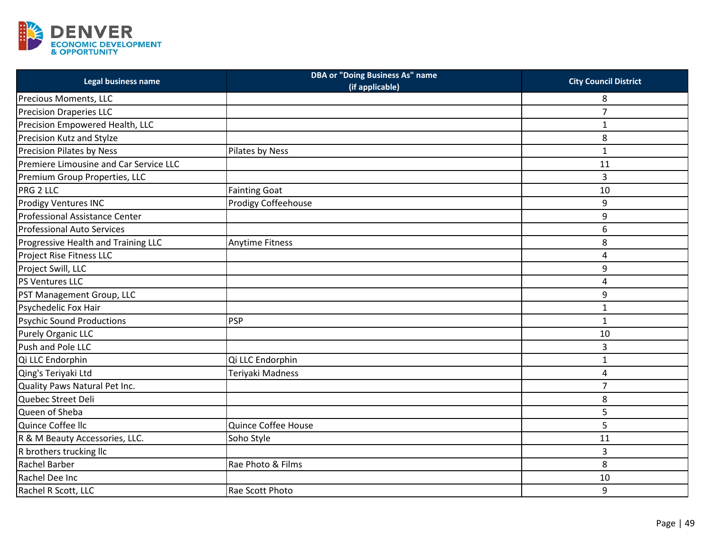

| Legal business name                    | <b>DBA or "Doing Business As" name</b><br>(if applicable) | <b>City Council District</b> |
|----------------------------------------|-----------------------------------------------------------|------------------------------|
| Precious Moments, LLC                  |                                                           | 8                            |
| Precision Draperies LLC                |                                                           | $\overline{7}$               |
| Precision Empowered Health, LLC        |                                                           | $\mathbf{1}$                 |
| Precision Kutz and Stylze              |                                                           | 8                            |
| <b>Precision Pilates by Ness</b>       | Pilates by Ness                                           | $\mathbf 1$                  |
| Premiere Limousine and Car Service LLC |                                                           | 11                           |
| Premium Group Properties, LLC          |                                                           | 3                            |
| PRG 2 LLC                              | <b>Fainting Goat</b>                                      | 10                           |
| <b>Prodigy Ventures INC</b>            | Prodigy Coffeehouse                                       | 9                            |
| Professional Assistance Center         |                                                           | 9                            |
| <b>Professional Auto Services</b>      |                                                           | 6                            |
| Progressive Health and Training LLC    | <b>Anytime Fitness</b>                                    | 8                            |
| Project Rise Fitness LLC               |                                                           | 4                            |
| Project Swill, LLC                     |                                                           | 9                            |
| PS Ventures LLC                        |                                                           | 4                            |
| PST Management Group, LLC              |                                                           | 9                            |
| Psychedelic Fox Hair                   |                                                           | $\mathbf{1}$                 |
| <b>Psychic Sound Productions</b>       | <b>PSP</b>                                                | $\mathbf 1$                  |
| Purely Organic LLC                     |                                                           | 10                           |
| Push and Pole LLC                      |                                                           | 3                            |
| Qi LLC Endorphin                       | Qi LLC Endorphin                                          | $\mathbf{1}$                 |
| Qing's Teriyaki Ltd                    | Teriyaki Madness                                          | 4                            |
| Quality Paws Natural Pet Inc.          |                                                           | $\overline{7}$               |
| Quebec Street Deli                     |                                                           | 8                            |
| Queen of Sheba                         |                                                           | 5                            |
| Quince Coffee Ilc                      | Quince Coffee House                                       | 5                            |
| R & M Beauty Accessories, LLC.         | Soho Style                                                | 11                           |
| R brothers trucking llc                |                                                           | 3                            |
| Rachel Barber                          | Rae Photo & Films                                         | 8                            |
| Rachel Dee Inc                         |                                                           | 10                           |
| Rachel R Scott, LLC                    | Rae Scott Photo                                           | 9                            |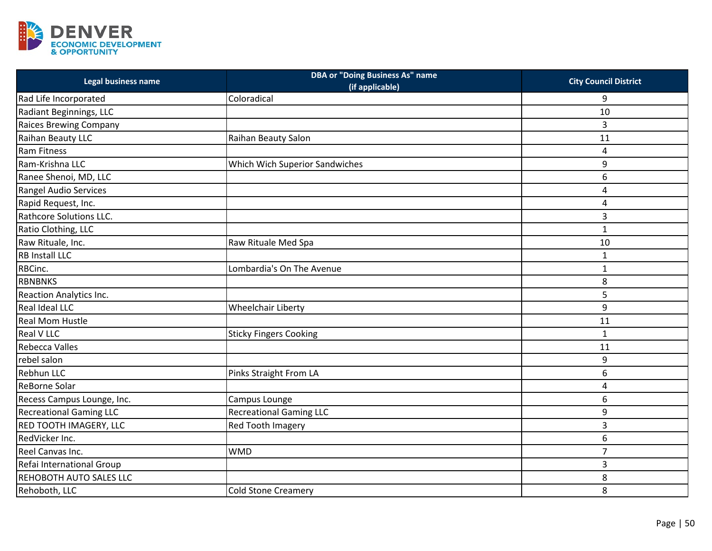

| Legal business name            | <b>DBA or "Doing Business As" name</b><br>(if applicable) | <b>City Council District</b> |
|--------------------------------|-----------------------------------------------------------|------------------------------|
| Rad Life Incorporated          | Coloradical                                               | 9                            |
| Radiant Beginnings, LLC        |                                                           | 10                           |
| <b>Raices Brewing Company</b>  |                                                           | 3                            |
| Raihan Beauty LLC              | Raihan Beauty Salon                                       | 11                           |
| <b>Ram Fitness</b>             |                                                           | 4                            |
| Ram-Krishna LLC                | Which Wich Superior Sandwiches                            | 9                            |
| Ranee Shenoi, MD, LLC          |                                                           | 6                            |
| Rangel Audio Services          |                                                           | 4                            |
| Rapid Request, Inc.            |                                                           | 4                            |
| Rathcore Solutions LLC.        |                                                           | 3                            |
| Ratio Clothing, LLC            |                                                           | $\mathbf{1}$                 |
| Raw Rituale, Inc.              | Raw Rituale Med Spa                                       | 10                           |
| <b>RB Install LLC</b>          |                                                           | $\mathbf 1$                  |
| RBCinc.                        | Lombardia's On The Avenue                                 | $\mathbf{1}$                 |
| <b>RBNBNKS</b>                 |                                                           | 8                            |
| Reaction Analytics Inc.        |                                                           | 5                            |
| <b>Real Ideal LLC</b>          | <b>Wheelchair Liberty</b>                                 | 9                            |
| <b>Real Mom Hustle</b>         |                                                           | 11                           |
| <b>Real V LLC</b>              | <b>Sticky Fingers Cooking</b>                             | $\mathbf 1$                  |
| <b>Rebecca Valles</b>          |                                                           | 11                           |
| rebel salon                    |                                                           | 9                            |
| <b>Rebhun LLC</b>              | Pinks Straight From LA                                    | 6                            |
| <b>ReBorne Solar</b>           |                                                           | 4                            |
| Recess Campus Lounge, Inc.     | Campus Lounge                                             | 6                            |
| <b>Recreational Gaming LLC</b> | <b>Recreational Gaming LLC</b>                            | 9                            |
| RED TOOTH IMAGERY, LLC         | Red Tooth Imagery                                         | 3                            |
| RedVicker Inc.                 |                                                           | 6                            |
| Reel Canvas Inc.               | <b>WMD</b>                                                | $\overline{7}$               |
| Refai International Group      |                                                           | 3                            |
| <b>REHOBOTH AUTO SALES LLC</b> |                                                           | 8                            |
| Rehoboth, LLC                  | Cold Stone Creamery                                       | 8                            |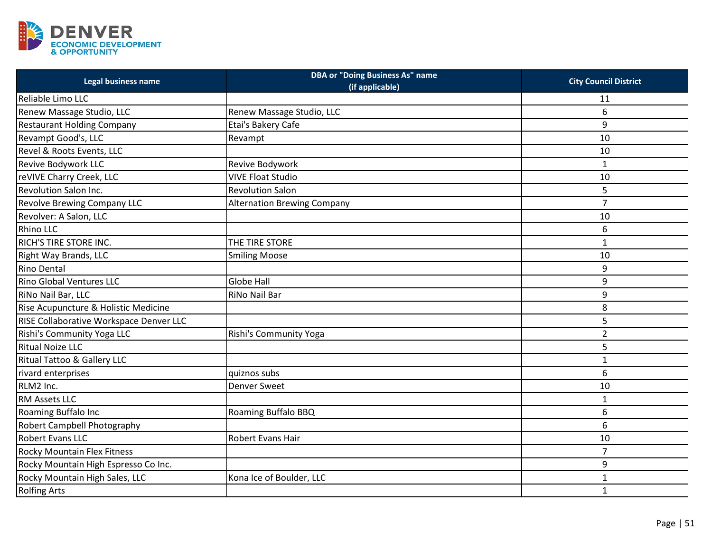

| Legal business name                     | <b>DBA or "Doing Business As" name</b><br>(if applicable) | <b>City Council District</b> |
|-----------------------------------------|-----------------------------------------------------------|------------------------------|
| Reliable Limo LLC                       |                                                           | 11                           |
| Renew Massage Studio, LLC               | Renew Massage Studio, LLC                                 | 6                            |
| <b>Restaurant Holding Company</b>       | Etai's Bakery Cafe                                        | 9                            |
| Revampt Good's, LLC                     | Revampt                                                   | 10                           |
| Revel & Roots Events, LLC               |                                                           | 10                           |
| Revive Bodywork LLC                     | Revive Bodywork                                           | $\mathbf{1}$                 |
| reVIVE Charry Creek, LLC                | <b>VIVE Float Studio</b>                                  | 10                           |
| Revolution Salon Inc.                   | <b>Revolution Salon</b>                                   | 5                            |
| <b>Revolve Brewing Company LLC</b>      | <b>Alternation Brewing Company</b>                        | $\overline{7}$               |
| Revolver: A Salon, LLC                  |                                                           | 10                           |
| <b>Rhino LLC</b>                        |                                                           | 6                            |
| RICH'S TIRE STORE INC.                  | THE TIRE STORE                                            | $\mathbf{1}$                 |
| Right Way Brands, LLC                   | <b>Smiling Moose</b>                                      | 10                           |
| <b>Rino Dental</b>                      |                                                           | 9                            |
| <b>Rino Global Ventures LLC</b>         | <b>Globe Hall</b>                                         | 9                            |
| RiNo Nail Bar, LLC                      | RiNo Nail Bar                                             | 9                            |
| Rise Acupuncture & Holistic Medicine    |                                                           | 8                            |
| RISE Collaborative Workspace Denver LLC |                                                           | 5                            |
| Rishi's Community Yoga LLC              | Rishi's Community Yoga                                    | $\overline{2}$               |
| <b>Ritual Noize LLC</b>                 |                                                           | 5                            |
| <b>Ritual Tattoo &amp; Gallery LLC</b>  |                                                           | $\mathbf{1}$                 |
| rivard enterprises                      | quiznos subs                                              | 6                            |
| RLM2 Inc.                               | <b>Denver Sweet</b>                                       | 10                           |
| RM Assets LLC                           |                                                           | $\mathbf{1}$                 |
| Roaming Buffalo Inc                     | Roaming Buffalo BBQ                                       | 6                            |
| Robert Campbell Photography             |                                                           | 6                            |
| Robert Evans LLC                        | Robert Evans Hair                                         | 10                           |
| <b>Rocky Mountain Flex Fitness</b>      |                                                           | $\overline{7}$               |
| Rocky Mountain High Espresso Co Inc.    |                                                           | 9                            |
| Rocky Mountain High Sales, LLC          | Kona Ice of Boulder, LLC                                  | $\mathbf{1}$                 |
| <b>Rolfing Arts</b>                     |                                                           | $\mathbf{1}$                 |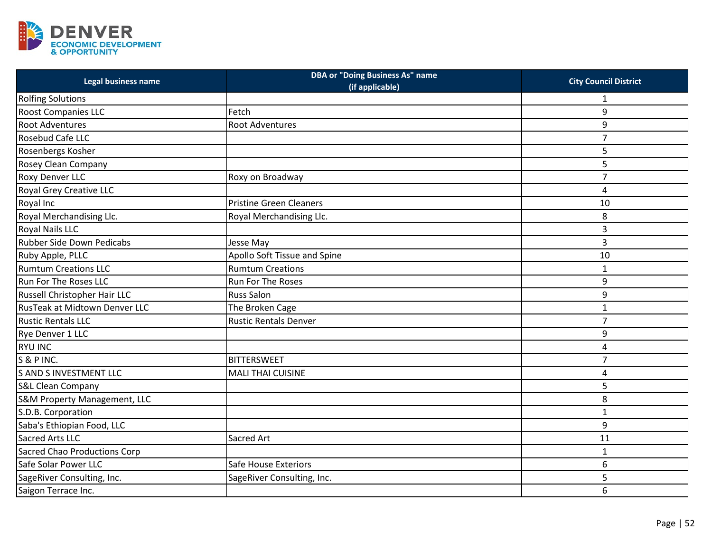

| Legal business name                 | <b>DBA or "Doing Business As" name</b><br>(if applicable) | <b>City Council District</b> |
|-------------------------------------|-----------------------------------------------------------|------------------------------|
| <b>Rolfing Solutions</b>            |                                                           | 1                            |
| <b>Roost Companies LLC</b>          | Fetch                                                     | 9                            |
| <b>Root Adventures</b>              | <b>Root Adventures</b>                                    | 9                            |
| Rosebud Cafe LLC                    |                                                           | $\overline{7}$               |
| Rosenbergs Kosher                   |                                                           | 5                            |
| Rosey Clean Company                 |                                                           | 5                            |
| <b>Roxy Denver LLC</b>              | Roxy on Broadway                                          | $\overline{7}$               |
| Royal Grey Creative LLC             |                                                           | 4                            |
| Royal Inc                           | <b>Pristine Green Cleaners</b>                            | 10                           |
| Royal Merchandising Llc.            | Royal Merchandising Llc.                                  | 8                            |
| <b>Royal Nails LLC</b>              |                                                           | 3                            |
| <b>Rubber Side Down Pedicabs</b>    | Jesse May                                                 | 3                            |
| Ruby Apple, PLLC                    | Apollo Soft Tissue and Spine                              | 10                           |
| <b>Rumtum Creations LLC</b>         | <b>Rumtum Creations</b>                                   | $\mathbf 1$                  |
| Run For The Roses LLC               | Run For The Roses                                         | 9                            |
| Russell Christopher Hair LLC        | <b>Russ Salon</b>                                         | 9                            |
| RusTeak at Midtown Denver LLC       | The Broken Cage                                           | $\mathbf{1}$                 |
| <b>Rustic Rentals LLC</b>           | <b>Rustic Rentals Denver</b>                              | $\overline{7}$               |
| Rye Denver 1 LLC                    |                                                           | 9                            |
| <b>RYU INC</b>                      |                                                           | 4                            |
| S & P INC.                          | <b>BITTERSWEET</b>                                        | $\overline{7}$               |
| <b>S AND S INVESTMENT LLC</b>       | <b>MALI THAI CUISINE</b>                                  | 4                            |
| S&L Clean Company                   |                                                           | 5                            |
| S&M Property Management, LLC        |                                                           | 8                            |
| S.D.B. Corporation                  |                                                           | $\mathbf{1}$                 |
| Saba's Ethiopian Food, LLC          |                                                           | 9                            |
| <b>Sacred Arts LLC</b>              | Sacred Art                                                | 11                           |
| <b>Sacred Chao Productions Corp</b> |                                                           | $\mathbf{1}$                 |
| Safe Solar Power LLC                | Safe House Exteriors                                      | 6                            |
| SageRiver Consulting, Inc.          | SageRiver Consulting, Inc.                                | 5                            |
| Saigon Terrace Inc.                 |                                                           | 6                            |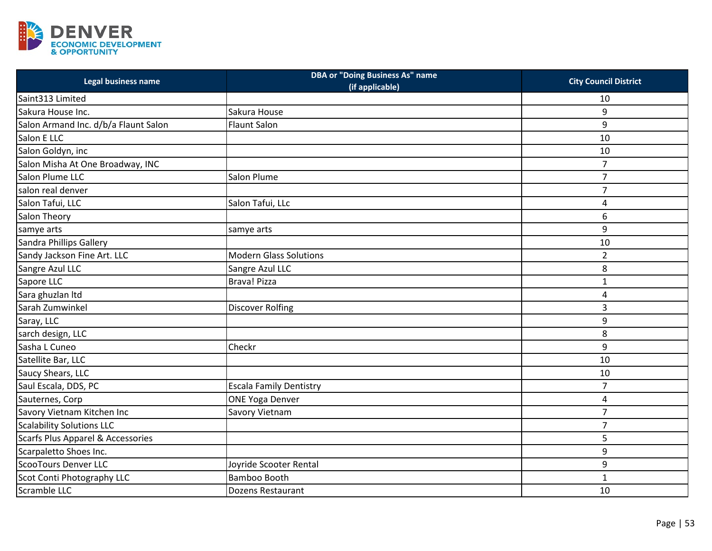

| Legal business name                          | <b>DBA or "Doing Business As" name</b><br>(if applicable) | <b>City Council District</b> |
|----------------------------------------------|-----------------------------------------------------------|------------------------------|
| Saint313 Limited                             |                                                           | 10                           |
| Sakura House Inc.                            | Sakura House                                              | 9                            |
| Salon Armand Inc. d/b/a Flaunt Salon         | <b>Flaunt Salon</b>                                       | 9                            |
| Salon E LLC                                  |                                                           | 10                           |
| Salon Goldyn, inc                            |                                                           | 10                           |
| Salon Misha At One Broadway, INC             |                                                           | $\overline{7}$               |
| Salon Plume LLC                              | Salon Plume                                               | $\overline{7}$               |
| salon real denver                            |                                                           | $\overline{7}$               |
| Salon Tafui, LLC                             | Salon Tafui, LLc                                          | 4                            |
| Salon Theory                                 |                                                           | 6                            |
| samye arts                                   | samye arts                                                | 9                            |
| Sandra Phillips Gallery                      |                                                           | 10                           |
| Sandy Jackson Fine Art. LLC                  | <b>Modern Glass Solutions</b>                             | $\overline{2}$               |
| Sangre Azul LLC                              | Sangre Azul LLC                                           | 8                            |
| Sapore LLC                                   | Brava! Pizza                                              | $\mathbf 1$                  |
| Sara ghuzlan Itd                             |                                                           | 4                            |
| Sarah Zumwinkel                              | <b>Discover Rolfing</b>                                   | 3                            |
| Saray, LLC                                   |                                                           | 9                            |
| sarch design, LLC                            |                                                           | 8                            |
| Sasha L Cuneo                                | Checkr                                                    | 9                            |
| Satellite Bar, LLC                           |                                                           | 10                           |
| Saucy Shears, LLC                            |                                                           | 10                           |
| Saul Escala, DDS, PC                         | <b>Escala Family Dentistry</b>                            | $\overline{7}$               |
| Sauternes, Corp                              | <b>ONE Yoga Denver</b>                                    | 4                            |
| Savory Vietnam Kitchen Inc                   | Savory Vietnam                                            | $\overline{7}$               |
| <b>Scalability Solutions LLC</b>             |                                                           | $\overline{7}$               |
| <b>Scarfs Plus Apparel &amp; Accessories</b> |                                                           | 5                            |
| Scarpaletto Shoes Inc.                       |                                                           | 9                            |
| <b>ScooTours Denver LLC</b>                  | Joyride Scooter Rental                                    | 9                            |
| Scot Conti Photography LLC                   | Bamboo Booth                                              | $\mathbf 1$                  |
| Scramble LLC                                 | Dozens Restaurant                                         | 10                           |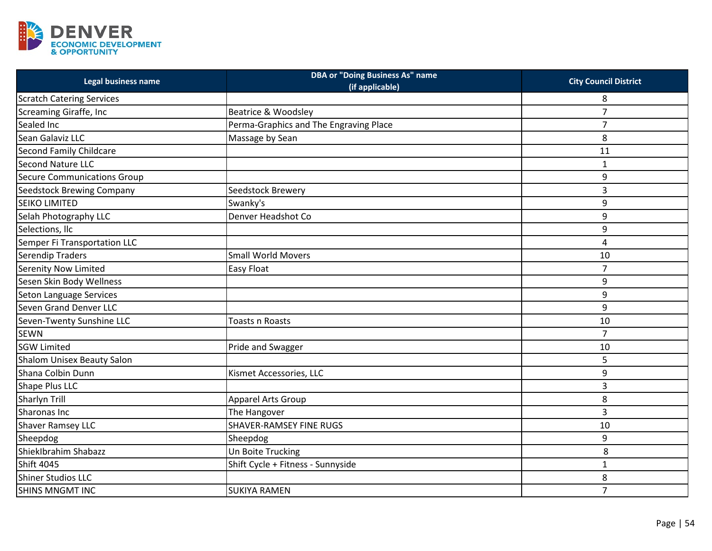

| <b>Legal business name</b>       | <b>DBA or "Doing Business As" name</b><br>(if applicable) | <b>City Council District</b> |
|----------------------------------|-----------------------------------------------------------|------------------------------|
| <b>Scratch Catering Services</b> |                                                           | 8                            |
| Screaming Giraffe, Inc           | Beatrice & Woodsley                                       | 7                            |
| Sealed Inc                       | Perma-Graphics and The Engraving Place                    | $\overline{7}$               |
| Sean Galaviz LLC                 | Massage by Sean                                           | 8                            |
| Second Family Childcare          |                                                           | 11                           |
| <b>Second Nature LLC</b>         |                                                           | $\mathbf 1$                  |
| Secure Communications Group      |                                                           | 9                            |
| <b>Seedstock Brewing Company</b> | Seedstock Brewery                                         | 3                            |
| <b>SEIKO LIMITED</b>             | Swanky's                                                  | 9                            |
| Selah Photography LLC            | Denver Headshot Co                                        | 9                            |
| Selections, Ilc                  |                                                           | 9                            |
| Semper Fi Transportation LLC     |                                                           | $\overline{\mathbf{4}}$      |
| <b>Serendip Traders</b>          | <b>Small World Movers</b>                                 | 10                           |
| <b>Serenity Now Limited</b>      | <b>Easy Float</b>                                         | $\overline{7}$               |
| Sesen Skin Body Wellness         |                                                           | 9                            |
| Seton Language Services          |                                                           | 9                            |
| Seven Grand Denver LLC           |                                                           | 9                            |
| Seven-Twenty Sunshine LLC        | Toasts n Roasts                                           | 10                           |
| <b>SEWN</b>                      |                                                           | $\overline{7}$               |
| <b>SGW Limited</b>               | Pride and Swagger                                         | 10                           |
| Shalom Unisex Beauty Salon       |                                                           | 5                            |
| Shana Colbin Dunn                | Kismet Accessories, LLC                                   | 9                            |
| Shape Plus LLC                   |                                                           | 3                            |
| Sharlyn Trill                    | <b>Apparel Arts Group</b>                                 | 8                            |
| Sharonas Inc                     | The Hangover                                              | 3                            |
| <b>Shaver Ramsey LLC</b>         | <b>SHAVER-RAMSEY FINE RUGS</b>                            | 10                           |
| Sheepdog                         | Sheepdog                                                  | 9                            |
| ShiekIbrahim Shabazz             | Un Boite Trucking                                         | 8                            |
| <b>Shift 4045</b>                | Shift Cycle + Fitness - Sunnyside                         | $\mathbf{1}$                 |
| <b>Shiner Studios LLC</b>        |                                                           | 8                            |
| <b>SHINS MNGMT INC</b>           | <b>SUKIYA RAMEN</b>                                       | $\overline{7}$               |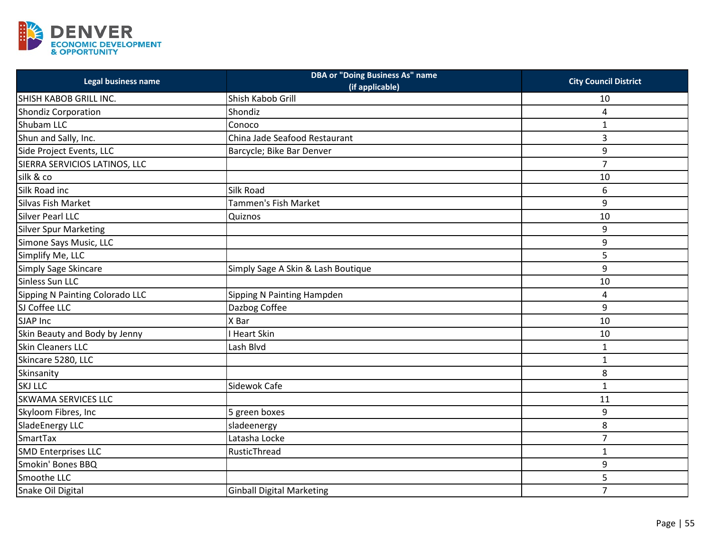

| Legal business name             | <b>DBA or "Doing Business As" name</b><br>(if applicable) | <b>City Council District</b> |
|---------------------------------|-----------------------------------------------------------|------------------------------|
| SHISH KABOB GRILL INC.          | Shish Kabob Grill                                         | 10                           |
| <b>Shondiz Corporation</b>      | Shondiz                                                   | 4                            |
| Shubam LLC                      | Conoco                                                    | $\mathbf{1}$                 |
| Shun and Sally, Inc.            | China Jade Seafood Restaurant                             | 3                            |
| Side Project Events, LLC        | Barcycle; Bike Bar Denver                                 | 9                            |
| SIERRA SERVICIOS LATINOS, LLC   |                                                           | $\overline{7}$               |
| silk & co                       |                                                           | 10                           |
| Silk Road inc                   | Silk Road                                                 | 6                            |
| Silvas Fish Market              | Tammen's Fish Market                                      | 9                            |
| <b>Silver Pearl LLC</b>         | Quiznos                                                   | 10                           |
| <b>Silver Spur Marketing</b>    |                                                           | 9                            |
| Simone Says Music, LLC          |                                                           | 9                            |
| Simplify Me, LLC                |                                                           | 5                            |
| Simply Sage Skincare            | Simply Sage A Skin & Lash Boutique                        | 9                            |
| Sinless Sun LLC                 |                                                           | 10                           |
| Sipping N Painting Colorado LLC | Sipping N Painting Hampden                                | 4                            |
| SJ Coffee LLC                   | Dazbog Coffee                                             | 9                            |
| SJAP Inc                        | X Bar                                                     | 10                           |
| Skin Beauty and Body by Jenny   | <b>Heart Skin</b>                                         | 10                           |
| <b>Skin Cleaners LLC</b>        | Lash Blvd                                                 | $\mathbf 1$                  |
| Skincare 5280, LLC              |                                                           | $\mathbf{1}$                 |
| Skinsanity                      |                                                           | 8                            |
| <b>SKJ LLC</b>                  | Sidewok Cafe                                              | $\mathbf 1$                  |
| <b>SKWAMA SERVICES LLC</b>      |                                                           | 11                           |
| Skyloom Fibres, Inc             | 5 green boxes                                             | 9                            |
| SladeEnergy LLC                 | sladeenergy                                               | 8                            |
| <b>SmartTax</b>                 | Latasha Locke                                             | $\overline{7}$               |
| <b>SMD Enterprises LLC</b>      | RusticThread                                              | $\mathbf{1}$                 |
| Smokin' Bones BBQ               |                                                           | 9                            |
| Smoothe LLC                     |                                                           | 5                            |
| Snake Oil Digital               | <b>Ginball Digital Marketing</b>                          | $\overline{7}$               |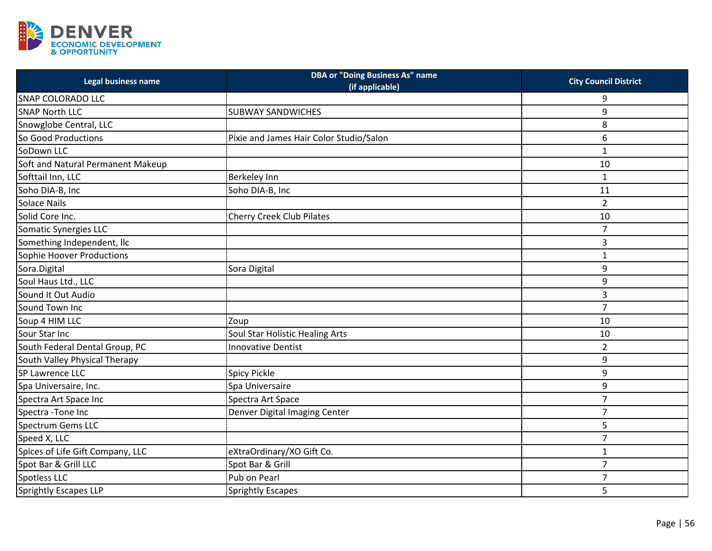

| Legal business name               | <b>DBA or "Doing Business As" name</b><br>(if applicable) | <b>City Council District</b> |
|-----------------------------------|-----------------------------------------------------------|------------------------------|
| <b>SNAP COLORADO LLC</b>          |                                                           | 9                            |
| <b>SNAP North LLC</b>             | <b>SUBWAY SANDWICHES</b>                                  | 9                            |
| Snowglobe Central, LLC            |                                                           | 8                            |
| So Good Productions               | Pixie and James Hair Color Studio/Salon                   | 6                            |
| SoDown LLC                        |                                                           | $\mathbf 1$                  |
| Soft and Natural Permanent Makeup |                                                           | 10                           |
| Softtail Inn, LLC                 | Berkeley Inn                                              | $\mathbf 1$                  |
| Soho DIA-B, Inc                   | Soho DIA-B, Inc                                           | 11                           |
| Solace Nails                      |                                                           | $\overline{2}$               |
| Solid Core Inc.                   | <b>Cherry Creek Club Pilates</b>                          | 10                           |
| Somatic Synergies LLC             |                                                           | $\overline{7}$               |
| Something Independent, Ilc        |                                                           | 3                            |
| Sophie Hoover Productions         |                                                           | $\mathbf{1}$                 |
| Sora.Digital                      | Sora Digital                                              | 9                            |
| Soul Haus Ltd., LLC               |                                                           | 9                            |
| Sound It Out Audio                |                                                           | 3                            |
| Sound Town Inc                    |                                                           | $\overline{7}$               |
| Soup 4 HIM LLC                    | Zoup                                                      | 10                           |
| Sour Star Inc                     | Soul Star Holistic Healing Arts                           | 10                           |
| South Federal Dental Group, PC    | <b>Innovative Dentist</b>                                 | $\overline{2}$               |
| South Valley Physical Therapy     |                                                           | 9                            |
| SP Lawrence LLC                   | Spicy Pickle                                              | 9                            |
| Spa Universaire, Inc.             | Spa Universaire                                           | 9                            |
| Spectra Art Space Inc             | Spectra Art Space                                         | $\overline{7}$               |
| Spectra - Tone Inc                | Denver Digital Imaging Center                             | $\overline{7}$               |
| <b>Spectrum Gems LLC</b>          |                                                           | 5                            |
| Speed X, LLC                      |                                                           | $\overline{7}$               |
| Spices of Life Gift Company, LLC  | eXtraOrdinary/XO Gift Co.                                 | $\mathbf 1$                  |
| Spot Bar & Grill LLC              | Spot Bar & Grill                                          | $\overline{7}$               |
| Spotless LLC                      | Pub on Pearl                                              | $\overline{7}$               |
| <b>Sprightly Escapes LLP</b>      | Sprightly Escapes                                         | 5                            |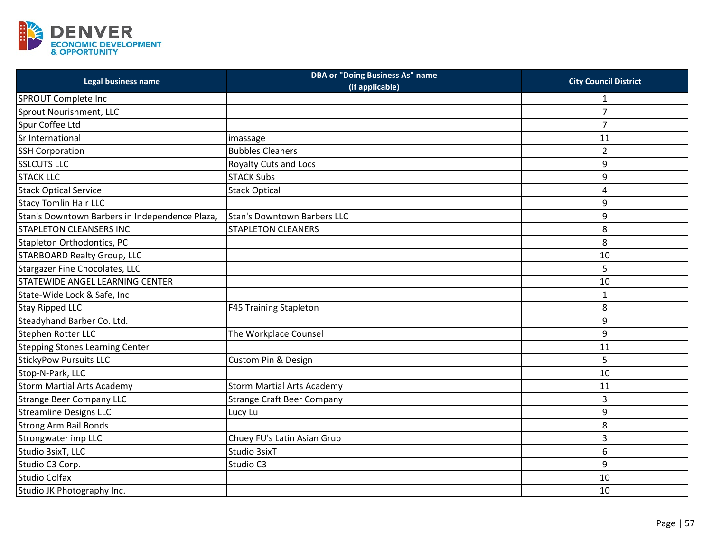

| Legal business name                            | <b>DBA or "Doing Business As" name</b><br>(if applicable) | <b>City Council District</b> |
|------------------------------------------------|-----------------------------------------------------------|------------------------------|
| SPROUT Complete Inc                            |                                                           | $\mathbf{1}$                 |
| Sprout Nourishment, LLC                        |                                                           | $\overline{7}$               |
| Spur Coffee Ltd                                |                                                           | $\overline{7}$               |
| Sr International                               | imassage                                                  | 11                           |
| <b>SSH Corporation</b>                         | <b>Bubbles Cleaners</b>                                   | $\overline{2}$               |
| <b>SSLCUTS LLC</b>                             | <b>Royalty Cuts and Locs</b>                              | 9                            |
| <b>STACK LLC</b>                               | <b>STACK Subs</b>                                         | 9                            |
| <b>Stack Optical Service</b>                   | <b>Stack Optical</b>                                      | 4                            |
| <b>Stacy Tomlin Hair LLC</b>                   |                                                           | 9                            |
| Stan's Downtown Barbers in Independence Plaza, | Stan's Downtown Barbers LLC                               | 9                            |
| <b>STAPLETON CLEANSERS INC</b>                 | <b>STAPLETON CLEANERS</b>                                 | 8                            |
| Stapleton Orthodontics, PC                     |                                                           | 8                            |
| <b>STARBOARD Realty Group, LLC</b>             |                                                           | 10                           |
| Stargazer Fine Chocolates, LLC                 |                                                           | 5                            |
| STATEWIDE ANGEL LEARNING CENTER                |                                                           | 10                           |
| State-Wide Lock & Safe, Inc                    |                                                           | $\mathbf{1}$                 |
| Stay Ripped LLC                                | <b>F45 Training Stapleton</b>                             | 8                            |
| Steadyhand Barber Co. Ltd.                     |                                                           | 9                            |
| Stephen Rotter LLC                             | The Workplace Counsel                                     | 9                            |
| <b>Stepping Stones Learning Center</b>         |                                                           | 11                           |
| <b>StickyPow Pursuits LLC</b>                  | Custom Pin & Design                                       | 5                            |
| Stop-N-Park, LLC                               |                                                           | 10                           |
| <b>Storm Martial Arts Academy</b>              | <b>Storm Martial Arts Academy</b>                         | 11                           |
| <b>Strange Beer Company LLC</b>                | <b>Strange Craft Beer Company</b>                         | 3                            |
| <b>Streamline Designs LLC</b>                  | Lucy Lu                                                   | 9                            |
| <b>Strong Arm Bail Bonds</b>                   |                                                           | 8                            |
| Strongwater imp LLC                            | Chuey FU's Latin Asian Grub                               | 3                            |
| Studio 3sixT, LLC                              | Studio 3sixT                                              | 6                            |
| Studio C3 Corp.                                | Studio C3                                                 | 9                            |
| <b>Studio Colfax</b>                           |                                                           | 10                           |
| Studio JK Photography Inc.                     |                                                           | 10                           |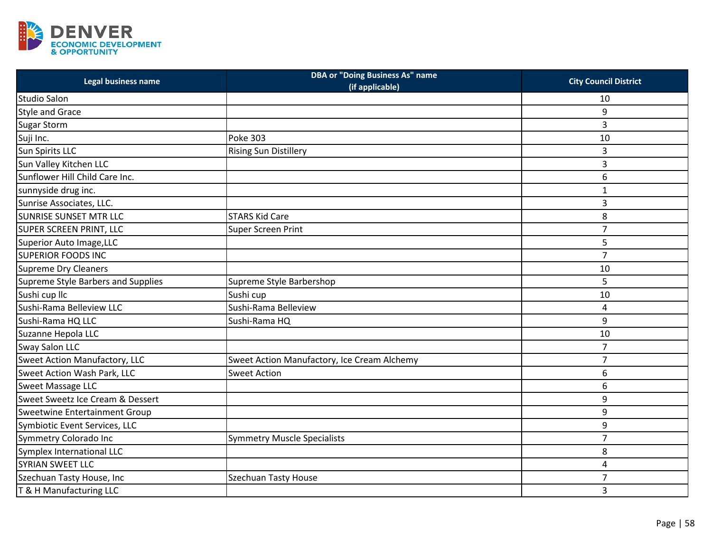

| Legal business name                | <b>DBA or "Doing Business As" name</b><br>(if applicable) | <b>City Council District</b> |
|------------------------------------|-----------------------------------------------------------|------------------------------|
| <b>Studio Salon</b>                |                                                           | 10                           |
| <b>Style and Grace</b>             |                                                           | 9                            |
| <b>Sugar Storm</b>                 |                                                           | 3                            |
| Suji Inc.                          | <b>Poke 303</b>                                           | 10                           |
| Sun Spirits LLC                    | <b>Rising Sun Distillery</b>                              | 3                            |
| Sun Valley Kitchen LLC             |                                                           | 3                            |
| Sunflower Hill Child Care Inc.     |                                                           | 6                            |
| sunnyside drug inc.                |                                                           | $\mathbf{1}$                 |
| Sunrise Associates, LLC.           |                                                           | 3                            |
| <b>SUNRISE SUNSET MTR LLC</b>      | <b>STARS Kid Care</b>                                     | 8                            |
| <b>SUPER SCREEN PRINT, LLC</b>     | Super Screen Print                                        | $\overline{7}$               |
| Superior Auto Image, LLC           |                                                           | 5                            |
| <b>SUPERIOR FOODS INC</b>          |                                                           | $\overline{7}$               |
| Supreme Dry Cleaners               |                                                           | 10                           |
| Supreme Style Barbers and Supplies | Supreme Style Barbershop                                  | 5                            |
| Sushi cup llc                      | Sushi cup                                                 | 10                           |
| Sushi-Rama Belleview LLC           | Sushi-Rama Belleview                                      | 4                            |
| Sushi-Rama HQ LLC                  | Sushi-Rama HQ                                             | 9                            |
| Suzanne Hepola LLC                 |                                                           | 10                           |
| <b>Sway Salon LLC</b>              |                                                           | $\overline{7}$               |
| Sweet Action Manufactory, LLC      | Sweet Action Manufactory, Ice Cream Alchemy               | $\overline{7}$               |
| Sweet Action Wash Park, LLC        | <b>Sweet Action</b>                                       | 6                            |
| <b>Sweet Massage LLC</b>           |                                                           | 6                            |
| Sweet Sweetz Ice Cream & Dessert   |                                                           | 9                            |
| Sweetwine Entertainment Group      |                                                           | 9                            |
| Symbiotic Event Services, LLC      |                                                           | 9                            |
| Symmetry Colorado Inc              | <b>Symmetry Muscle Specialists</b>                        | $\overline{7}$               |
| Symplex International LLC          |                                                           | 8                            |
| <b>SYRIAN SWEET LLC</b>            |                                                           | $\overline{\mathbf{4}}$      |
| Szechuan Tasty House, Inc          | <b>Szechuan Tasty House</b>                               | $\overline{7}$               |
| T & H Manufacturing LLC            |                                                           | 3                            |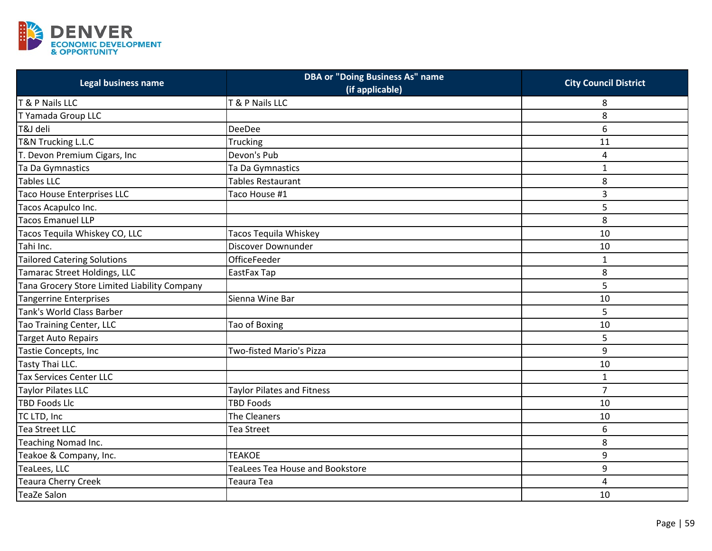

| Legal business name                          | <b>DBA or "Doing Business As" name</b><br>(if applicable) | <b>City Council District</b> |
|----------------------------------------------|-----------------------------------------------------------|------------------------------|
| T & P Nails LLC                              | T & P Nails LLC                                           | 8                            |
| T Yamada Group LLC                           |                                                           | 8                            |
| T&J deli                                     | <b>DeeDee</b>                                             | 6                            |
| T&N Trucking L.L.C                           | Trucking                                                  | 11                           |
| T. Devon Premium Cigars, Inc                 | Devon's Pub                                               | 4                            |
| Ta Da Gymnastics                             | Ta Da Gymnastics                                          | $\mathbf{1}$                 |
| <b>Tables LLC</b>                            | <b>Tables Restaurant</b>                                  | 8                            |
| <b>Taco House Enterprises LLC</b>            | Taco House #1                                             | 3                            |
| Tacos Acapulco Inc.                          |                                                           | 5                            |
| <b>Tacos Emanuel LLP</b>                     |                                                           | 8                            |
| Tacos Tequila Whiskey CO, LLC                | Tacos Tequila Whiskey                                     | 10                           |
| Tahi Inc.                                    | <b>Discover Downunder</b>                                 | 10                           |
| <b>Tailored Catering Solutions</b>           | <b>OfficeFeeder</b>                                       | $\mathbf{1}$                 |
| Tamarac Street Holdings, LLC                 | EastFax Tap                                               | 8                            |
| Tana Grocery Store Limited Liability Company |                                                           | 5                            |
| <b>Tangerrine Enterprises</b>                | Sienna Wine Bar                                           | 10                           |
| Tank's World Class Barber                    |                                                           | 5                            |
| Tao Training Center, LLC                     | Tao of Boxing                                             | 10                           |
| Target Auto Repairs                          |                                                           | 5                            |
| Tastie Concepts, Inc                         | Two-fisted Mario's Pizza                                  | 9                            |
| Tasty Thai LLC.                              |                                                           | 10                           |
| <b>Tax Services Center LLC</b>               |                                                           | $\mathbf{1}$                 |
| Taylor Pilates LLC                           | <b>Taylor Pilates and Fitness</b>                         | $\overline{7}$               |
| <b>TBD Foods Llc</b>                         | <b>TBD Foods</b>                                          | 10                           |
| TC LTD, Inc                                  | The Cleaners                                              | 10                           |
| Tea Street LLC                               | Tea Street                                                | 6                            |
| Teaching Nomad Inc.                          |                                                           | 8                            |
| Teakoe & Company, Inc.                       | <b>TEAKOE</b>                                             | 9                            |
| TeaLees, LLC                                 | <b>TeaLees Tea House and Bookstore</b>                    | 9                            |
| Teaura Cherry Creek                          | Teaura Tea                                                | $\overline{\mathbf{4}}$      |
| <b>TeaZe Salon</b>                           |                                                           | 10                           |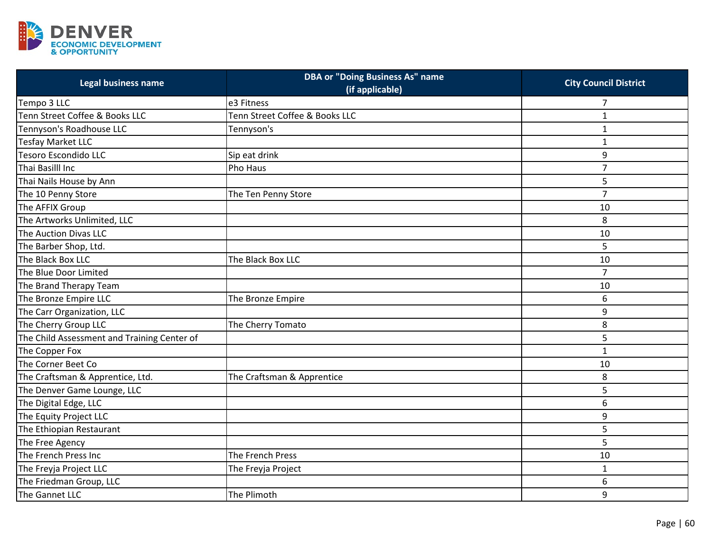

| Legal business name                         | <b>DBA or "Doing Business As" name</b><br>(if applicable) | <b>City Council District</b> |
|---------------------------------------------|-----------------------------------------------------------|------------------------------|
| Tempo 3 LLC                                 | e3 Fitness                                                | 7                            |
| Tenn Street Coffee & Books LLC              | Tenn Street Coffee & Books LLC                            | $\mathbf{1}$                 |
| Tennyson's Roadhouse LLC                    | Tennyson's                                                | $\mathbf{1}$                 |
| Tesfay Market LLC                           |                                                           | $\mathbf{1}$                 |
| Tesoro Escondido LLC                        | Sip eat drink                                             | 9                            |
| Thai Basilll Inc                            | Pho Haus                                                  | $\overline{7}$               |
| Thai Nails House by Ann                     |                                                           | 5                            |
| The 10 Penny Store                          | The Ten Penny Store                                       | $\overline{7}$               |
| The AFFIX Group                             |                                                           | 10                           |
| The Artworks Unlimited, LLC                 |                                                           | 8                            |
| The Auction Divas LLC                       |                                                           | 10                           |
| The Barber Shop, Ltd.                       |                                                           | 5                            |
| The Black Box LLC                           | The Black Box LLC                                         | 10                           |
| The Blue Door Limited                       |                                                           | $\overline{7}$               |
| The Brand Therapy Team                      |                                                           | 10                           |
| The Bronze Empire LLC                       | The Bronze Empire                                         | 6                            |
| The Carr Organization, LLC                  |                                                           | 9                            |
| The Cherry Group LLC                        | The Cherry Tomato                                         | 8                            |
| The Child Assessment and Training Center of |                                                           | 5                            |
| The Copper Fox                              |                                                           | $\mathbf 1$                  |
| The Corner Beet Co                          |                                                           | 10                           |
| The Craftsman & Apprentice, Ltd.            | The Craftsman & Apprentice                                | 8                            |
| The Denver Game Lounge, LLC                 |                                                           | 5                            |
| The Digital Edge, LLC                       |                                                           | 6                            |
| The Equity Project LLC                      |                                                           | 9                            |
| The Ethiopian Restaurant                    |                                                           | 5                            |
| The Free Agency                             |                                                           | 5                            |
| The French Press Inc                        | The French Press                                          | 10                           |
| The Freyja Project LLC                      | The Freyja Project                                        | $\mathbf{1}$                 |
| The Friedman Group, LLC                     |                                                           | 6                            |
| The Gannet LLC                              | The Plimoth                                               | 9                            |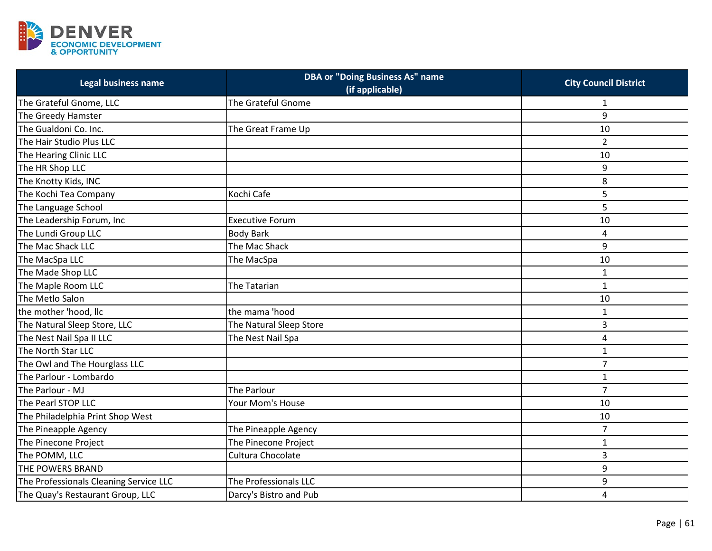

| Legal business name                    | <b>DBA or "Doing Business As" name</b><br>(if applicable) | <b>City Council District</b> |
|----------------------------------------|-----------------------------------------------------------|------------------------------|
| The Grateful Gnome, LLC                | The Grateful Gnome                                        | 1                            |
| The Greedy Hamster                     |                                                           | 9                            |
| The Gualdoni Co. Inc.                  | The Great Frame Up                                        | 10                           |
| The Hair Studio Plus LLC               |                                                           | $\overline{2}$               |
| The Hearing Clinic LLC                 |                                                           | 10                           |
| The HR Shop LLC                        |                                                           | 9                            |
| The Knotty Kids, INC                   |                                                           | 8                            |
| The Kochi Tea Company                  | Kochi Cafe                                                | 5                            |
| The Language School                    |                                                           | 5                            |
| The Leadership Forum, Inc              | <b>Executive Forum</b>                                    | 10                           |
| The Lundi Group LLC                    | <b>Body Bark</b>                                          | 4                            |
| The Mac Shack LLC                      | The Mac Shack                                             | 9                            |
| The MacSpa LLC                         | The MacSpa                                                | 10                           |
| The Made Shop LLC                      |                                                           | 1                            |
| The Maple Room LLC                     | The Tatarian                                              | $\mathbf 1$                  |
| The Metlo Salon                        |                                                           | 10                           |
| the mother 'hood, llc                  | the mama 'hood                                            | $\mathbf{1}$                 |
| The Natural Sleep Store, LLC           | The Natural Sleep Store                                   | 3                            |
| The Nest Nail Spa II LLC               | The Nest Nail Spa                                         | 4                            |
| The North Star LLC                     |                                                           | $\mathbf{1}$                 |
| The Owl and The Hourglass LLC          |                                                           | $\overline{7}$               |
| The Parlour - Lombardo                 |                                                           | $\mathbf{1}$                 |
| The Parlour - MJ                       | The Parlour                                               | $\overline{7}$               |
| The Pearl STOP LLC                     | Your Mom's House                                          | 10                           |
| The Philadelphia Print Shop West       |                                                           | 10                           |
| The Pineapple Agency                   | The Pineapple Agency                                      | $\overline{7}$               |
| The Pinecone Project                   | The Pinecone Project                                      | $\mathbf{1}$                 |
| The POMM, LLC                          | Cultura Chocolate                                         | 3                            |
| THE POWERS BRAND                       |                                                           | 9                            |
| The Professionals Cleaning Service LLC | The Professionals LLC                                     | 9                            |
| The Quay's Restaurant Group, LLC       | Darcy's Bistro and Pub                                    | 4                            |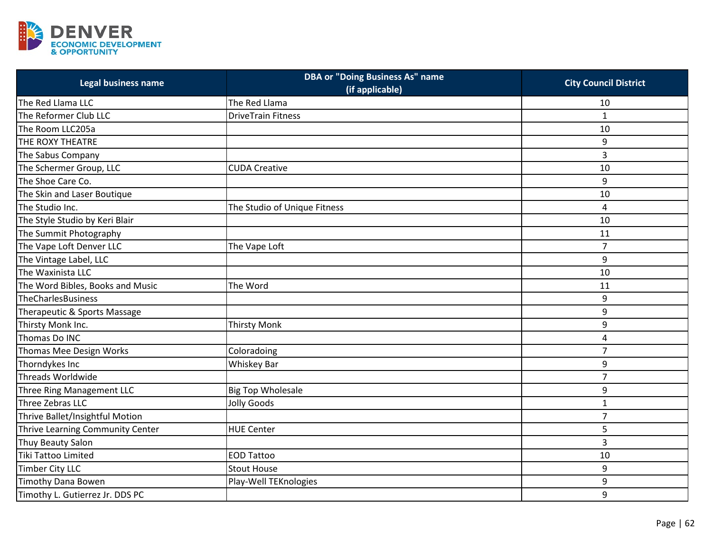

| Legal business name              | <b>DBA or "Doing Business As" name</b><br>(if applicable) | <b>City Council District</b> |
|----------------------------------|-----------------------------------------------------------|------------------------------|
| The Red Llama LLC                | The Red Llama                                             | 10                           |
| The Reformer Club LLC            | <b>DriveTrain Fitness</b>                                 | $\mathbf{1}$                 |
| The Room LLC205a                 |                                                           | 10                           |
| THE ROXY THEATRE                 |                                                           | 9                            |
| The Sabus Company                |                                                           | $\overline{3}$               |
| The Schermer Group, LLC          | <b>CUDA Creative</b>                                      | 10                           |
| The Shoe Care Co.                |                                                           | 9                            |
| The Skin and Laser Boutique      |                                                           | 10                           |
| The Studio Inc.                  | The Studio of Unique Fitness                              | 4                            |
| The Style Studio by Keri Blair   |                                                           | 10                           |
| The Summit Photography           |                                                           | 11                           |
| The Vape Loft Denver LLC         | The Vape Loft                                             | $\overline{7}$               |
| The Vintage Label, LLC           |                                                           | 9                            |
| The Waxinista LLC                |                                                           | 10                           |
| The Word Bibles, Books and Music | The Word                                                  | 11                           |
| TheCharlesBusiness               |                                                           | 9                            |
| Therapeutic & Sports Massage     |                                                           | 9                            |
| Thirsty Monk Inc.                | <b>Thirsty Monk</b>                                       | 9                            |
| Thomas Do INC                    |                                                           | 4                            |
| Thomas Mee Design Works          | Coloradoing                                               | $\overline{7}$               |
| Thorndykes Inc                   | <b>Whiskey Bar</b>                                        | 9                            |
| Threads Worldwide                |                                                           | $\overline{7}$               |
| Three Ring Management LLC        | <b>Big Top Wholesale</b>                                  | 9                            |
| Three Zebras LLC                 | Jolly Goods                                               | $\mathbf{1}$                 |
| Thrive Ballet/Insightful Motion  |                                                           | $\overline{7}$               |
| Thrive Learning Community Center | <b>HUE Center</b>                                         | 5                            |
| Thuy Beauty Salon                |                                                           | 3                            |
| Tiki Tattoo Limited              | <b>EOD Tattoo</b>                                         | 10                           |
| <b>Timber City LLC</b>           | <b>Stout House</b>                                        | 9                            |
| <b>Timothy Dana Bowen</b>        | Play-Well TEKnologies                                     | 9                            |
| Timothy L. Gutierrez Jr. DDS PC  |                                                           | 9                            |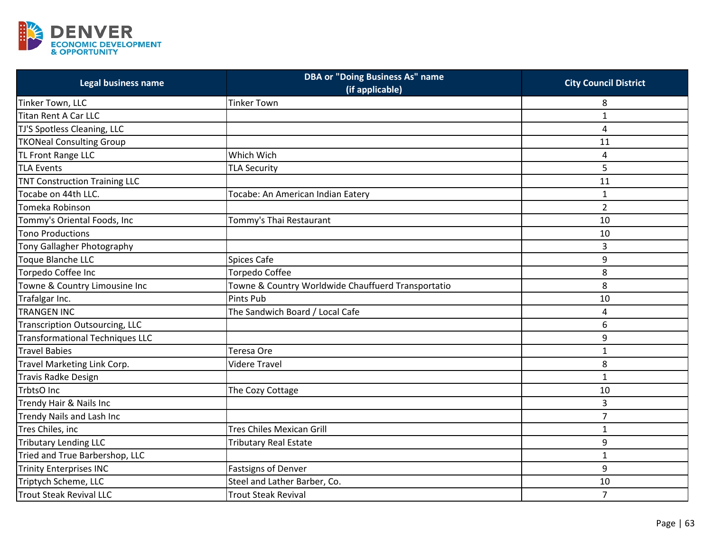

| Legal business name                    | <b>DBA or "Doing Business As" name</b><br>(if applicable) | <b>City Council District</b> |
|----------------------------------------|-----------------------------------------------------------|------------------------------|
| Tinker Town, LLC                       | <b>Tinker Town</b>                                        | 8                            |
| <b>Titan Rent A Car LLC</b>            |                                                           | $\mathbf{1}$                 |
| TJ'S Spotless Cleaning, LLC            |                                                           | 4                            |
| <b>TKONeal Consulting Group</b>        |                                                           | 11                           |
| TL Front Range LLC                     | Which Wich                                                | 4                            |
| <b>TLA Events</b>                      | <b>TLA Security</b>                                       | 5                            |
| <b>TNT Construction Training LLC</b>   |                                                           | 11                           |
| Tocabe on 44th LLC.                    | Tocabe: An American Indian Eatery                         | $\mathbf{1}$                 |
| Tomeka Robinson                        |                                                           | $\overline{2}$               |
| Tommy's Oriental Foods, Inc            | Tommy's Thai Restaurant                                   | 10                           |
| <b>Tono Productions</b>                |                                                           | 10                           |
| Tony Gallagher Photography             |                                                           | 3                            |
| Toque Blanche LLC                      | <b>Spices Cafe</b>                                        | 9                            |
| Torpedo Coffee Inc                     | <b>Torpedo Coffee</b>                                     | 8                            |
| Towne & Country Limousine Inc          | Towne & Country Worldwide Chauffuerd Transportatio        | 8                            |
| Trafalgar Inc.                         | Pints Pub                                                 | 10                           |
| <b>TRANGEN INC</b>                     | The Sandwich Board / Local Cafe                           | 4                            |
| <b>Transcription Outsourcing, LLC</b>  |                                                           | 6                            |
| <b>Transformational Techniques LLC</b> |                                                           | 9                            |
| Travel Babies                          | Teresa Ore                                                | $\mathbf 1$                  |
| Travel Marketing Link Corp.            | <b>Videre Travel</b>                                      | 8                            |
| <b>Travis Radke Design</b>             |                                                           | $\mathbf 1$                  |
| TrbtsO Inc                             | The Cozy Cottage                                          | 10                           |
| Trendy Hair & Nails Inc                |                                                           | 3                            |
| Trendy Nails and Lash Inc              |                                                           | $\overline{7}$               |
| Tres Chiles, inc                       | <b>Tres Chiles Mexican Grill</b>                          | $\mathbf{1}$                 |
| <b>Tributary Lending LLC</b>           | <b>Tributary Real Estate</b>                              | 9                            |
| Tried and True Barbershop, LLC         |                                                           | $\mathbf{1}$                 |
| <b>Trinity Enterprises INC</b>         | <b>Fastsigns of Denver</b>                                | 9                            |
| Triptych Scheme, LLC                   | Steel and Lather Barber, Co.                              | 10                           |
| <b>Trout Steak Revival LLC</b>         | <b>Trout Steak Revival</b>                                | $\overline{7}$               |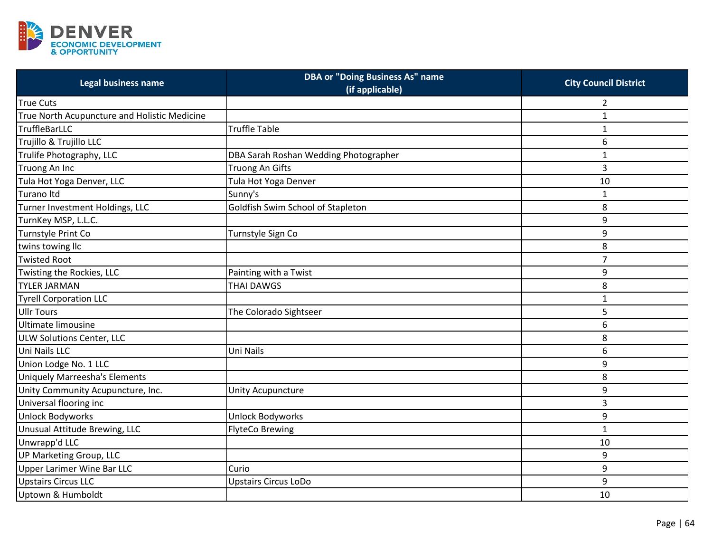

| Legal business name                          | <b>DBA or "Doing Business As" name</b><br>(if applicable) | <b>City Council District</b> |
|----------------------------------------------|-----------------------------------------------------------|------------------------------|
| <b>True Cuts</b>                             |                                                           | 2                            |
| True North Acupuncture and Holistic Medicine |                                                           | $\mathbf{1}$                 |
| <b>TruffleBarLLC</b>                         | <b>Truffle Table</b>                                      | $\mathbf{1}$                 |
| Trujillo & Trujillo LLC                      |                                                           | 6                            |
| Trulife Photography, LLC                     | DBA Sarah Roshan Wedding Photographer                     | $\mathbf{1}$                 |
| Truong An Inc                                | Truong An Gifts                                           | 3                            |
| Tula Hot Yoga Denver, LLC                    | Tula Hot Yoga Denver                                      | 10                           |
| Turano Itd                                   | Sunny's                                                   | $\mathbf{1}$                 |
| Turner Investment Holdings, LLC              | Goldfish Swim School of Stapleton                         | 8                            |
| TurnKey MSP, L.L.C.                          |                                                           | 9                            |
| Turnstyle Print Co                           | Turnstyle Sign Co                                         | 9                            |
| twins towing llc                             |                                                           | 8                            |
| <b>Twisted Root</b>                          |                                                           | $\overline{7}$               |
| Twisting the Rockies, LLC                    | Painting with a Twist                                     | 9                            |
| <b>TYLER JARMAN</b>                          | <b>THAI DAWGS</b>                                         | 8                            |
| <b>Tyrell Corporation LLC</b>                |                                                           | $\mathbf{1}$                 |
| <b>Ullr Tours</b>                            | The Colorado Sightseer                                    | 5                            |
| Ultimate limousine                           |                                                           | 6                            |
| ULW Solutions Center, LLC                    |                                                           | 8                            |
| Uni Nails LLC                                | Uni Nails                                                 | 6                            |
| Union Lodge No. 1 LLC                        |                                                           | 9                            |
| <b>Uniquely Marreesha's Elements</b>         |                                                           | 8                            |
| Unity Community Acupuncture, Inc.            | Unity Acupuncture                                         | 9                            |
| Universal flooring inc                       |                                                           | 3                            |
| <b>Unlock Bodyworks</b>                      | <b>Unlock Bodyworks</b>                                   | 9                            |
| Unusual Attitude Brewing, LLC                | <b>FlyteCo Brewing</b>                                    | $\mathbf 1$                  |
| Unwrapp'd LLC                                |                                                           | 10                           |
| UP Marketing Group, LLC                      |                                                           | 9                            |
| <b>Upper Larimer Wine Bar LLC</b>            | Curio                                                     | 9                            |
| <b>Upstairs Circus LLC</b>                   | <b>Upstairs Circus LoDo</b>                               | 9                            |
| Uptown & Humboldt                            |                                                           | 10                           |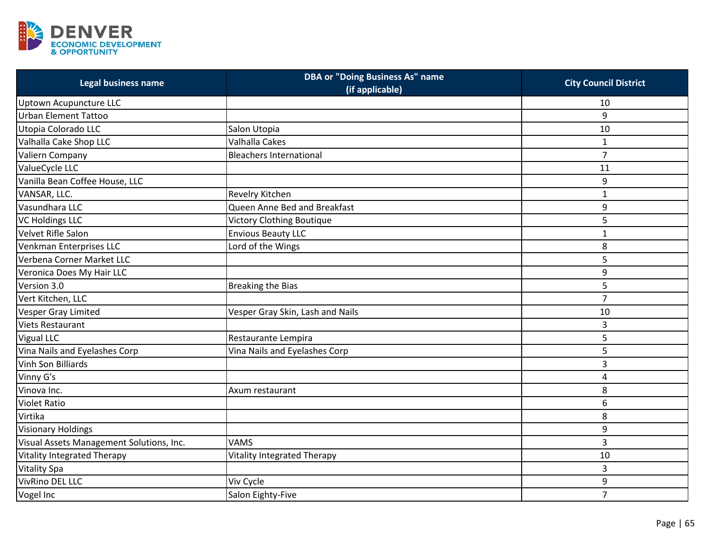

| <b>Legal business name</b>               | <b>DBA or "Doing Business As" name</b><br>(if applicable) | <b>City Council District</b> |
|------------------------------------------|-----------------------------------------------------------|------------------------------|
| Uptown Acupuncture LLC                   |                                                           | 10                           |
| <b>Urban Element Tattoo</b>              |                                                           | 9                            |
| Utopia Colorado LLC                      | Salon Utopia                                              | 10                           |
| Valhalla Cake Shop LLC                   | Valhalla Cakes                                            | $\mathbf{1}$                 |
| Valiern Company                          | <b>Bleachers International</b>                            | $\overline{7}$               |
| ValueCycle LLC                           |                                                           | 11                           |
| Vanilla Bean Coffee House, LLC           |                                                           | 9                            |
| VANSAR, LLC.                             | Revelry Kitchen                                           | $\mathbf{1}$                 |
| Vasundhara LLC                           | Queen Anne Bed and Breakfast                              | 9                            |
| <b>VC Holdings LLC</b>                   | Victory Clothing Boutique                                 | 5                            |
| Velvet Rifle Salon                       | <b>Envious Beauty LLC</b>                                 | $\mathbf{1}$                 |
| Venkman Enterprises LLC                  | Lord of the Wings                                         | 8                            |
| Verbena Corner Market LLC                |                                                           | 5                            |
| Veronica Does My Hair LLC                |                                                           | 9                            |
| Version 3.0                              | <b>Breaking the Bias</b>                                  | 5                            |
| Vert Kitchen, LLC                        |                                                           | $\overline{7}$               |
| <b>Vesper Gray Limited</b>               | Vesper Gray Skin, Lash and Nails                          | 10                           |
| <b>Viets Restaurant</b>                  |                                                           | 3                            |
| <b>Vigual LLC</b>                        | Restaurante Lempira                                       | 5                            |
| Vina Nails and Eyelashes Corp            | Vina Nails and Eyelashes Corp                             | 5                            |
| Vinh Son Billiards                       |                                                           | 3                            |
| Vinny G's                                |                                                           | 4                            |
| Vinova Inc.                              | Axum restaurant                                           | 8                            |
| <b>Violet Ratio</b>                      |                                                           | 6                            |
| Virtika                                  |                                                           | 8                            |
| <b>Visionary Holdings</b>                |                                                           | 9                            |
| Visual Assets Management Solutions, Inc. | <b>VAMS</b>                                               | 3                            |
| <b>Vitality Integrated Therapy</b>       | <b>Vitality Integrated Therapy</b>                        | 10                           |
| <b>Vitality Spa</b>                      |                                                           | 3                            |
| <b>VivRino DEL LLC</b>                   | Viv Cycle                                                 | 9                            |
| Vogel Inc                                | Salon Eighty-Five                                         | $\overline{7}$               |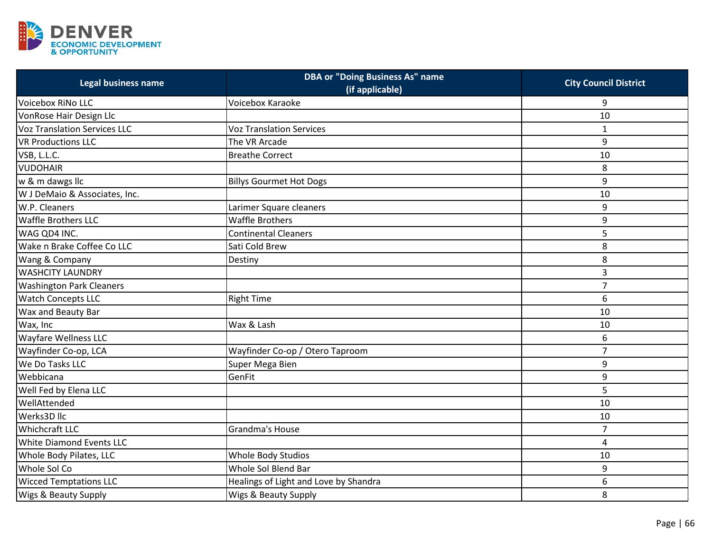

| Legal business name                 | <b>DBA or "Doing Business As" name</b><br>(if applicable) | <b>City Council District</b> |
|-------------------------------------|-----------------------------------------------------------|------------------------------|
| Voicebox RiNo LLC                   | Voicebox Karaoke                                          | 9                            |
| VonRose Hair Design Llc             |                                                           | 10                           |
| <b>Voz Translation Services LLC</b> | <b>Voz Translation Services</b>                           | $\mathbf{1}$                 |
| <b>VR Productions LLC</b>           | The VR Arcade                                             | 9                            |
| VSB, L.L.C.                         | <b>Breathe Correct</b>                                    | 10                           |
| <b>VUDOHAIR</b>                     |                                                           | 8                            |
| w & m dawgs llc                     | <b>Billys Gourmet Hot Dogs</b>                            | 9                            |
| W J DeMaio & Associates, Inc.       |                                                           | 10                           |
| W.P. Cleaners                       | Larimer Square cleaners                                   | 9                            |
| <b>Waffle Brothers LLC</b>          | <b>Waffle Brothers</b>                                    | 9                            |
| WAG QD4 INC.                        | <b>Continental Cleaners</b>                               | 5                            |
| Wake n Brake Coffee Co LLC          | Sati Cold Brew                                            | 8                            |
| Wang & Company                      | Destiny                                                   | 8                            |
| <b>WASHCITY LAUNDRY</b>             |                                                           | 3                            |
| <b>Washington Park Cleaners</b>     |                                                           | $\overline{7}$               |
| <b>Watch Concepts LLC</b>           | <b>Right Time</b>                                         | 6                            |
| Wax and Beauty Bar                  |                                                           | 10                           |
| Wax, Inc                            | Wax & Lash                                                | 10                           |
| <b>Wayfare Wellness LLC</b>         |                                                           | 6                            |
| Wayfinder Co-op, LCA                | Wayfinder Co-op / Otero Taproom                           | $\overline{7}$               |
| We Do Tasks LLC                     | Super Mega Bien                                           | 9                            |
| Webbicana                           | GenFit                                                    | 9                            |
| Well Fed by Elena LLC               |                                                           | 5                            |
| WellAttended                        |                                                           | 10                           |
| Werks3D llc                         |                                                           | 10                           |
| <b>Whichcraft LLC</b>               | Grandma's House                                           | $\overline{7}$               |
| White Diamond Events LLC            |                                                           | 4                            |
| Whole Body Pilates, LLC             | Whole Body Studios                                        | 10                           |
| Whole Sol Co                        | Whole Sol Blend Bar                                       | 9                            |
| <b>Wicced Temptations LLC</b>       | Healings of Light and Love by Shandra                     | 6                            |
| <b>Wigs &amp; Beauty Supply</b>     | <b>Wigs &amp; Beauty Supply</b>                           | 8                            |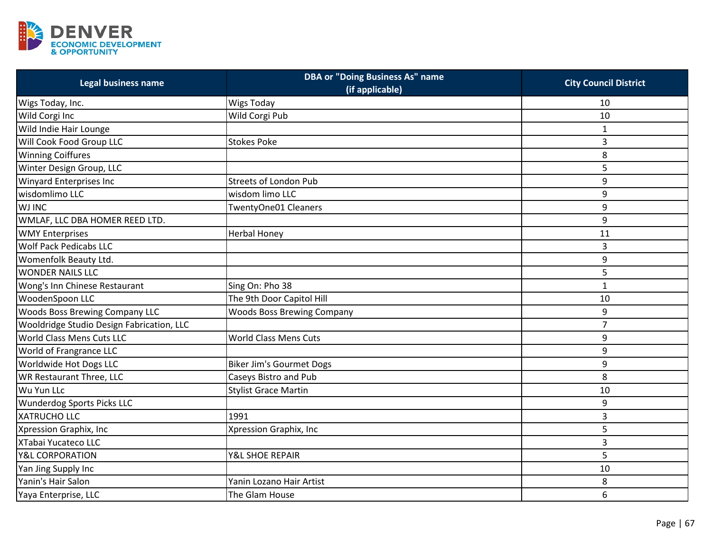

| Legal business name                       | <b>DBA or "Doing Business As" name</b><br>(if applicable) | <b>City Council District</b> |
|-------------------------------------------|-----------------------------------------------------------|------------------------------|
| Wigs Today, Inc.                          | <b>Wigs Today</b>                                         | 10                           |
| Wild Corgi Inc                            | Wild Corgi Pub                                            | 10                           |
| Wild Indie Hair Lounge                    |                                                           | $\mathbf{1}$                 |
| Will Cook Food Group LLC                  | <b>Stokes Poke</b>                                        | 3                            |
| <b>Winning Coiffures</b>                  |                                                           | 8                            |
| Winter Design Group, LLC                  |                                                           | 5                            |
| Winyard Enterprises Inc                   | <b>Streets of London Pub</b>                              | 9                            |
| wisdomlimo LLC                            | wisdom limo LLC                                           | 9                            |
| <b>WJ INC</b>                             | TwentyOne01 Cleaners                                      | 9                            |
| WMLAF, LLC DBA HOMER REED LTD.            |                                                           | 9                            |
| <b>WMY Enterprises</b>                    | <b>Herbal Honey</b>                                       | 11                           |
| <b>Wolf Pack Pedicabs LLC</b>             |                                                           | 3                            |
| Womenfolk Beauty Ltd.                     |                                                           | 9                            |
| <b>WONDER NAILS LLC</b>                   |                                                           | 5                            |
| Wong's Inn Chinese Restaurant             | Sing On: Pho 38                                           | $\mathbf{1}$                 |
| WoodenSpoon LLC                           | The 9th Door Capitol Hill                                 | 10                           |
| <b>Woods Boss Brewing Company LLC</b>     | <b>Woods Boss Brewing Company</b>                         | 9                            |
| Wooldridge Studio Design Fabrication, LLC |                                                           | $\overline{7}$               |
| World Class Mens Cuts LLC                 | <b>World Class Mens Cuts</b>                              | 9                            |
| World of Frangrance LLC                   |                                                           | 9                            |
| Worldwide Hot Dogs LLC                    | <b>Biker Jim's Gourmet Dogs</b>                           | 9                            |
| <b>WR Restaurant Three, LLC</b>           | Caseys Bistro and Pub                                     | 8                            |
| Wu Yun LLc                                | <b>Stylist Grace Martin</b>                               | 10                           |
| <b>Wunderdog Sports Picks LLC</b>         |                                                           | 9                            |
| XATRUCHO LLC                              | 1991                                                      | 3                            |
| Xpression Graphix, Inc                    | Xpression Graphix, Inc                                    | 5                            |
| XTabai Yucateco LLC                       |                                                           | 3                            |
| <b>Y&amp;L CORPORATION</b>                | Y&L SHOE REPAIR                                           | 5                            |
| Yan Jing Supply Inc                       |                                                           | 10                           |
| Yanin's Hair Salon                        | Yanin Lozano Hair Artist                                  | 8                            |
| Yaya Enterprise, LLC                      | The Glam House                                            | 6                            |